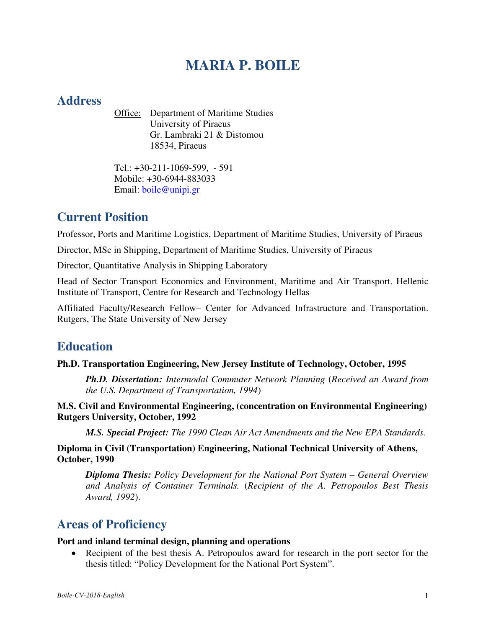# **MARIA P. BOILE**

## **Address**

Office: Department of Maritime Studies University of Piraeus Gr. Lambraki 21 & Distomou 18534, Piraeus

Tel.: +30-211-1069-599, - 591 Mobile: +30-6944-883033 Email: [boile@unipi.gr](mailto:boile@unipi.gr)

# **Current Position**

Professor, Ports and Maritime Logistics, Department of Maritime Studies, University of Piraeus

Director, MSc in Shipping, Department of Maritime Studies, University of Piraeus

Director, Quantitative Analysis in Shipping Laboratory

Head of Sector Transport Economics and Environment, Maritime and Air Transport. Hellenic Institute of Transport, Centre for Research and Technology Hellas

Affiliated Faculty/Research Fellow– Center for Advanced Infrastructure and Transportation. Rutgers, The State University of New Jersey

# **Education**

### **Ph.D. Transportation Engineering, New Jersey Institute of Technology, October, 1995**

*Ph.D. Dissertation: Intermodal Commuter Network Planning* (*Received an Award from the U.S. Department of Transportation, 1994*)

**M.S. Civil and Environmental Engineering, (concentration on Environmental Engineering) Rutgers University, October, 1992** 

*M.S. Special Project: The 1990 Clean Air Act Amendments and the New EPA Standards.*

**Diploma in Civil (Transportation) Engineering, National Technical University of Athens, October, 1990** 

*Diploma Thesis: Policy Development for the National Port System – General Overview and Analysis of Container Terminals.* (*Recipient of the A. Petropoulos Best Thesis Award, 1992*).

# **Areas of Proficiency**

#### **Port and inland terminal design, planning and operations**

 Recipient of the best thesis A. Petropoulos award for research in the port sector for the thesis titled: "Policy Development for the National Port System".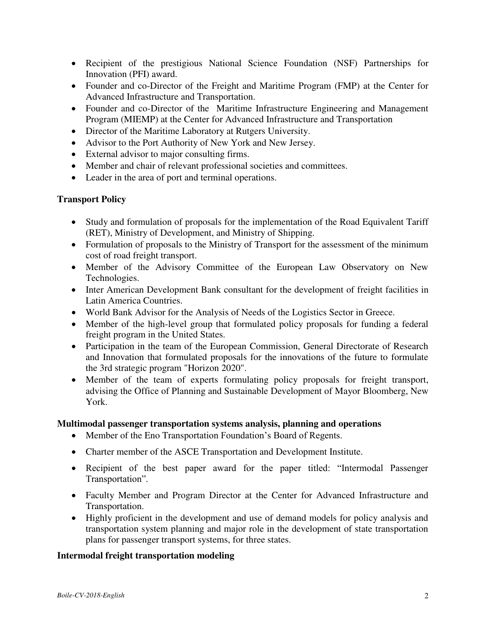- Recipient of the prestigious National Science Foundation (NSF) Partnerships for Innovation (PFI) award.
- Founder and co-Director of the Freight and Maritime Program (FMP) at the Center for Advanced Infrastructure and Transportation.
- Founder and co-Director of the Maritime Infrastructure Engineering and Management Program (MIEMP) at the Center for Advanced Infrastructure and Transportation
- Director of the Maritime Laboratory at Rutgers University.
- Advisor to the Port Authority of New York and New Jersey.
- External advisor to major consulting firms.
- Member and chair of relevant professional societies and committees.
- Leader in the area of port and terminal operations.

### **Transport Policy**

- Study and formulation of proposals for the implementation of the Road Equivalent Tariff (RET), Ministry of Development, and Ministry of Shipping.
- Formulation of proposals to the Ministry of Transport for the assessment of the minimum cost of road freight transport.
- Member of the Advisory Committee of the European Law Observatory on New Technologies.
- Inter American Development Bank consultant for the development of freight facilities in Latin America Countries.
- World Bank Advisor for the Analysis of Needs of the Logistics Sector in Greece.
- Member of the high-level group that formulated policy proposals for funding a federal freight program in the United States.
- Participation in the team of the European Commission, General Directorate of Research and Innovation that formulated proposals for the innovations of the future to formulate the 3rd strategic program "Horizon 2020".
- Member of the team of experts formulating policy proposals for freight transport, advising the Office of Planning and Sustainable Development of Mayor Bloomberg, New York.

### **Multimodal passenger transportation systems analysis, planning and operations**

- Member of the Eno Transportation Foundation's Board of Regents.
- Charter member of the ASCE Transportation and Development Institute.
- Recipient of the best paper award for the paper titled: "Intermodal Passenger Transportation".
- Faculty Member and Program Director at the Center for Advanced Infrastructure and Transportation.
- Highly proficient in the development and use of demand models for policy analysis and transportation system planning and major role in the development of state transportation plans for passenger transport systems, for three states.

### **Intermodal freight transportation modeling**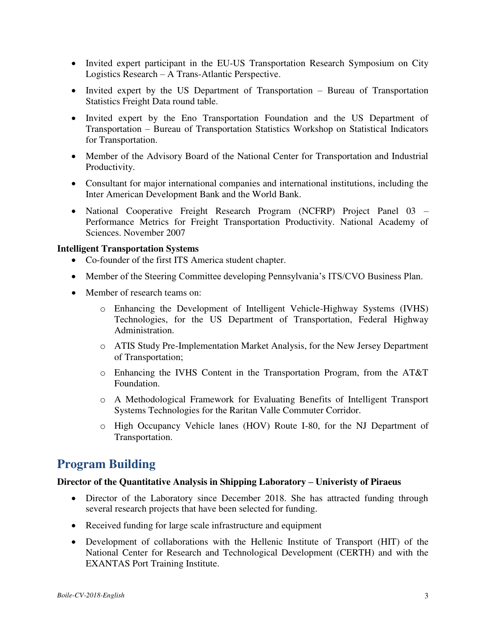- Invited expert participant in the EU-US Transportation Research Symposium on City Logistics Research – A Trans-Atlantic Perspective.
- Invited expert by the US Department of Transportation Bureau of Transportation Statistics Freight Data round table.
- Invited expert by the Eno Transportation Foundation and the US Department of Transportation – Bureau of Transportation Statistics Workshop on Statistical Indicators for Transportation.
- Member of the Advisory Board of the National Center for Transportation and Industrial Productivity.
- Consultant for major international companies and international institutions, including the Inter American Development Bank and the World Bank.
- National Cooperative Freight Research Program (NCFRP) Project Panel 03 Performance Metrics for Freight Transportation Productivity. National Academy of Sciences. November 2007

#### **Intelligent Transportation Systems**

- Co-founder of the first ITS America student chapter.
- Member of the Steering Committee developing Pennsylvania's ITS/CVO Business Plan.
- Member of research teams on:
	- o Enhancing the Development of Intelligent Vehicle-Highway Systems (IVHS) Technologies, for the US Department of Transportation, Federal Highway Administration.
	- o ATIS Study Pre-Implementation Market Analysis, for the New Jersey Department of Transportation;
	- o Enhancing the IVHS Content in the Transportation Program, from the AT&T Foundation.
	- o A Methodological Framework for Evaluating Benefits of Intelligent Transport Systems Technologies for the Raritan Valle Commuter Corridor.
	- o High Occupancy Vehicle lanes (HOV) Route I-80, for the NJ Department of Transportation.

# **Program Building**

#### **Director of the Quantitative Analysis in Shipping Laboratory – Univeristy of Piraeus**

- Director of the Laboratory since December 2018. She has attracted funding through several research projects that have been selected for funding.
- Received funding for large scale infrastructure and equipment
- Development of collaborations with the Hellenic Institute of Transport (HIT) of the National Center for Research and Technological Development (CERTH) and with the EXANTAS Port Training Institute.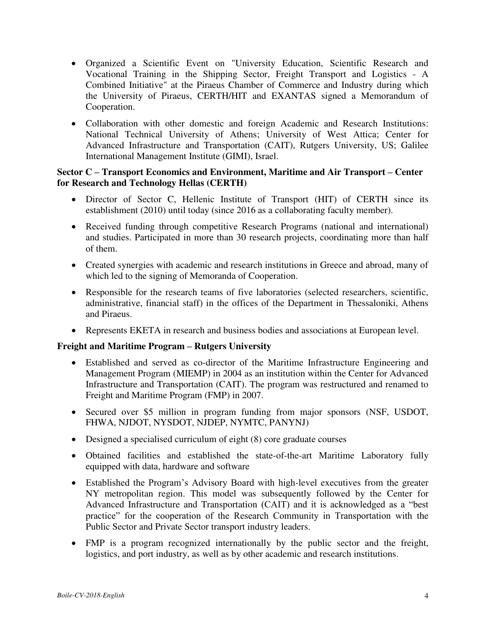- Organized a Scientific Event on "University Education, Scientific Research and Vocational Training in the Shipping Sector, Freight Transport and Logistics - A Combined Initiative" at the Piraeus Chamber of Commerce and Industry during which the University of Piraeus, CERTH/HIT and EXANTAS signed a Memorandum of Cooperation.
- Collaboration with other domestic and foreign Academic and Research Institutions: National Technical University of Athens; University of West Attica; Center for Advanced Infrastructure and Transportation (CAIT), Rutgers University, US; Galilee International Management Institute (GIMI), Israel.

### **Sector C – Transport Economics and Environment, Maritime and Air Transport – Center for Research and Technology Hellas (CERTH)**

- Director of Sector C, Hellenic Institute of Transport (HIT) of CERTH since its establishment (2010) until today (since 2016 as a collaborating faculty member).
- Received funding through competitive Research Programs (national and international) and studies. Participated in more than 30 research projects, coordinating more than half of them.
- Created synergies with academic and research institutions in Greece and abroad, many of which led to the signing of Memoranda of Cooperation.
- Responsible for the research teams of five laboratories (selected researchers, scientific, administrative, financial staff) in the offices of the Department in Thessaloniki, Athens and Piraeus.
- Represents EKETA in research and business bodies and associations at European level.

#### **Freight and Maritime Program – Rutgers University**

- Established and served as co-director of the Maritime Infrastructure Engineering and Management Program (MIEMP) in 2004 as an institution within the Center for Advanced Infrastructure and Transportation (CAIT). The program was restructured and renamed to Freight and Maritime Program (FMP) in 2007.
- Secured over \$5 million in program funding from major sponsors (NSF, USDOT, FHWA, NJDOT, NYSDOT, NJDEP, NYMTC, PANYNJ)
- Designed a specialised curriculum of eight (8) core graduate courses
- Obtained facilities and established the state-of-the-art Maritime Laboratory fully equipped with data, hardware and software
- Established the Program's Advisory Board with high-level executives from the greater NY metropolitan region. This model was subsequently followed by the Center for Advanced Infrastructure and Transportation (CAIT) and it is acknowledged as a "best practice" for the cooperation of the Research Community in Transportation with the Public Sector and Private Sector transport industry leaders.
- FMP is a program recognized internationally by the public sector and the freight, logistics, and port industry, as well as by other academic and research institutions.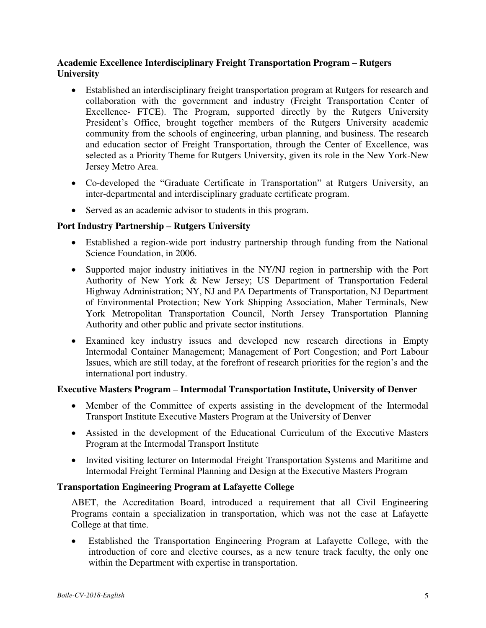### **Academic Excellence Interdisciplinary Freight Transportation Program – Rutgers University**

- Established an interdisciplinary freight transportation program at Rutgers for research and collaboration with the government and industry (Freight Transportation Center of Excellence- FTCE). The Program, supported directly by the Rutgers University President's Office, brought together members of the Rutgers University academic community from the schools of engineering, urban planning, and business. The research and education sector of Freight Transportation, through the Center of Excellence, was selected as a Priority Theme for Rutgers University, given its role in the New York-New Jersey Metro Area.
- Co-developed the "Graduate Certificate in Transportation" at Rutgers University, an inter-departmental and interdisciplinary graduate certificate program.
- Served as an academic advisor to students in this program.

### **Port Industry Partnership – Rutgers University**

- Established a region-wide port industry partnership through funding from the National Science Foundation, in 2006.
- Supported major industry initiatives in the NY/NJ region in partnership with the Port Authority of New York & New Jersey; US Department of Transportation Federal Highway Administration; NY, NJ and PA Departments of Transportation, NJ Department of Environmental Protection; New York Shipping Association, Maher Terminals, New York Metropolitan Transportation Council, North Jersey Transportation Planning Authority and other public and private sector institutions.
- Examined key industry issues and developed new research directions in Empty Intermodal Container Management; Management of Port Congestion; and Port Labour Issues, which are still today, at the forefront of research priorities for the region's and the international port industry.

#### **Executive Masters Program – Intermodal Transportation Institute, University of Denver**

- Member of the Committee of experts assisting in the development of the Intermodal Transport Institute Executive Masters Program at the University of Denver
- Assisted in the development of the Educational Curriculum of the Executive Masters Program at the Intermodal Transport Institute
- Invited visiting lecturer on Intermodal Freight Transportation Systems and Maritime and Intermodal Freight Terminal Planning and Design at the Executive Masters Program

### **Transportation Engineering Program at Lafayette College**

ABET, the Accreditation Board, introduced a requirement that all Civil Engineering Programs contain a specialization in transportation, which was not the case at Lafayette College at that time.

 Established the Transportation Engineering Program at Lafayette College, with the introduction of core and elective courses, as a new tenure track faculty, the only one within the Department with expertise in transportation.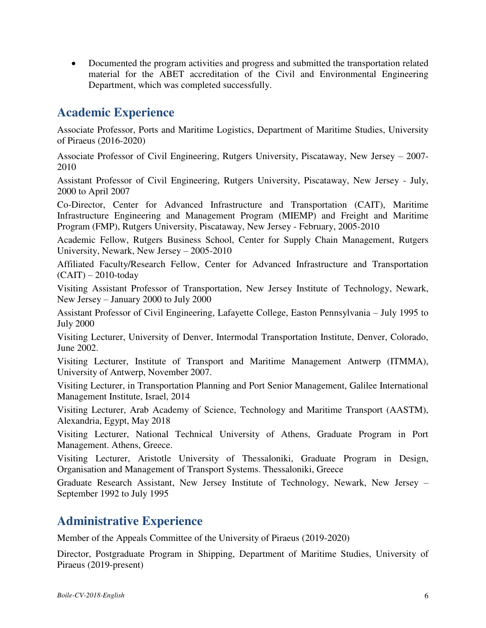Documented the program activities and progress and submitted the transportation related material for the ABET accreditation of the Civil and Environmental Engineering Department, which was completed successfully.

# **Academic Experience**

Associate Professor, Ports and Maritime Logistics, Department of Maritime Studies, University of Piraeus (2016-2020)

Associate Professor of Civil Engineering, Rutgers University, Piscataway, New Jersey – 2007- 2010

Assistant Professor of Civil Engineering, Rutgers University, Piscataway, New Jersey - July, 2000 to April 2007

Co-Director, Center for Advanced Infrastructure and Transportation (CAIT), Maritime Infrastructure Engineering and Management Program (MIEMP) and Freight and Maritime Program (FMP), Rutgers University, Piscataway, New Jersey - February, 2005-2010

Academic Fellow, Rutgers Business School, Center for Supply Chain Management, Rutgers University, Newark, New Jersey – 2005-2010

Affiliated Faculty/Research Fellow, Center for Advanced Infrastructure and Transportation  $(CAIT) - 2010$ -today

Visiting Assistant Professor of Transportation, New Jersey Institute of Technology, Newark, New Jersey – January 2000 to July 2000

Assistant Professor of Civil Engineering, Lafayette College, Easton Pennsylvania – July 1995 to July 2000

Visiting Lecturer, University of Denver, Intermodal Transportation Institute, Denver, Colorado, June 2002.

Visiting Lecturer, Institute of Transport and Maritime Management Antwerp (ITMMA), University of Antwerp, November 2007.

Visiting Lecturer, in Transportation Planning and Port Senior Management, Galilee International Management Institute, Israel, 2014

Visiting Lecturer, Arab Academy of Science, Technology and Maritime Transport (AASTM), Alexandria, Egypt, May 2018

Visiting Lecturer, National Technical University of Athens, Graduate Program in Port Management. Athens, Greece.

Visiting Lecturer, Aristotle University of Thessaloniki, Graduate Program in Design, Organisation and Management of Transport Systems. Thessaloniki, Greece

Graduate Research Assistant, New Jersey Institute of Technology, Newark, New Jersey – September 1992 to July 1995

# **Administrative Experience**

Member of the Appeals Committee of the University of Piraeus (2019-2020)

Director, Postgraduate Program in Shipping, Department of Maritime Studies, University of Piraeus (2019-present)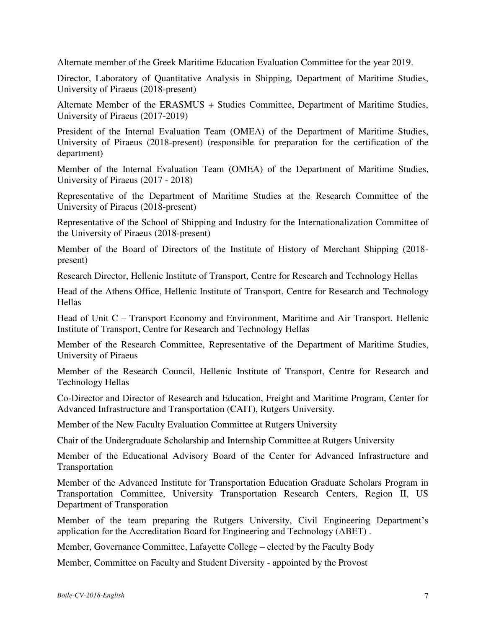Alternate member of the Greek Maritime Education Evaluation Committee for the year 2019.

Director, Laboratory of Quantitative Analysis in Shipping, Department of Maritime Studies, University of Piraeus (2018-present)

Alternate Member of the ERASMUS + Studies Committee, Department of Maritime Studies, University of Piraeus (2017-2019)

President of the Internal Evaluation Team (OMEA) of the Department of Maritime Studies, University of Piraeus (2018-present) (responsible for preparation for the certification of the department)

Member of the Internal Evaluation Team (OMEA) of the Department of Maritime Studies, University of Piraeus (2017 - 2018)

Representative of the Department of Maritime Studies at the Research Committee of the University of Piraeus (2018-present)

Representative of the School of Shipping and Industry for the Internationalization Committee of the University of Piraeus (2018-present)

Member of the Board of Directors of the Institute of History of Merchant Shipping (2018 present)

Research Director, Hellenic Institute of Transport, Centre for Research and Technology Hellas

Head of the Athens Office, Hellenic Institute of Transport, Centre for Research and Technology **Hellas** 

Head of Unit C – Transport Economy and Environment, Maritime and Air Transport. Hellenic Institute of Transport, Centre for Research and Technology Hellas

Member of the Research Committee, Representative of the Department of Maritime Studies, University of Piraeus

Member of the Research Council, Hellenic Institute of Transport, Centre for Research and Technology Hellas

Co-Director and Director of Research and Education, Freight and Maritime Program, Center for Advanced Infrastructure and Transportation (CAIT), Rutgers University.

Member of the New Faculty Evaluation Committee at Rutgers University

Chair of the Undergraduate Scholarship and Internship Committee at Rutgers University

Member of the Educational Advisory Board of the Center for Advanced Infrastructure and Transportation

Member of the Advanced Institute for Transportation Education Graduate Scholars Program in Transportation Committee, University Transportation Research Centers, Region II, US Department of Transporation

Member of the team preparing the Rutgers University, Civil Engineering Department's application for the Accreditation Board for Engineering and Technology (ABET) .

Member, Governance Committee, Lafayette College – elected by the Faculty Body

Member, Committee on Faculty and Student Diversity - appointed by the Provost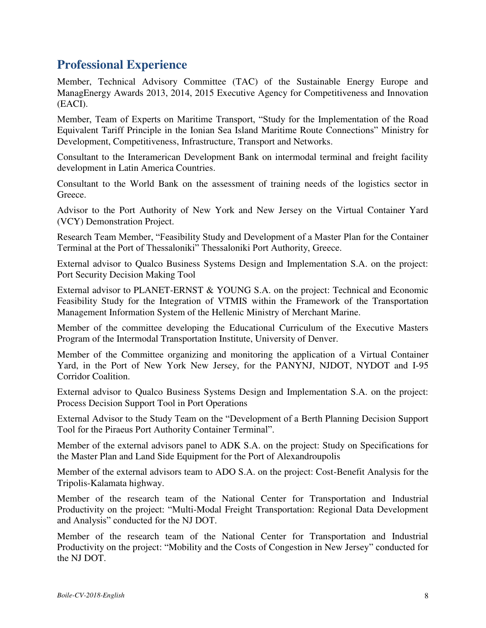# **Professional Experience**

Member, Technical Advisory Committee (TAC) of the Sustainable Energy Europe and ManagEnergy Awards 2013, 2014, 2015 Executive Agency for Competitiveness and Innovation (EACI).

Member, Team of Experts on Maritime Transport, "Study for the Implementation of the Road Equivalent Tariff Principle in the Ionian Sea Island Maritime Route Connections" Ministry for Development, Competitiveness, Infrastructure, Transport and Networks.

Consultant to the Interamerican Development Bank on intermodal terminal and freight facility development in Latin America Countries.

Consultant to the World Bank on the assessment of training needs of the logistics sector in Greece.

Advisor to the Port Authority of New York and New Jersey on the Virtual Container Yard (VCY) Demonstration Project.

Research Team Member, "Feasibility Study and Development of a Master Plan for the Container Terminal at the Port of Thessaloniki" Thessaloniki Port Authority, Greece.

External advisor to Qualco Business Systems Design and Implementation S.A. on the project: Port Security Decision Making Tool

External advisor to PLANET-ERNST & YOUNG S.A. on the project: Technical and Economic Feasibility Study for the Integration of VTMIS within the Framework of the Transportation Management Information System of the Hellenic Ministry of Merchant Marine.

Member of the committee developing the Educational Curriculum of the Executive Masters Program of the Intermodal Transportation Institute, University of Denver.

Member of the Committee organizing and monitoring the application of a Virtual Container Yard, in the Port of New York New Jersey, for the PANYNJ, NJDOT, NYDOT and I-95 Corridor Coalition.

External advisor to Qualco Business Systems Design and Implementation S.A. on the project: Process Decision Support Tool in Port Operations

External Advisor to the Study Team on the "Development of a Berth Planning Decision Support Tool for the Piraeus Port Authority Container Terminal".

Member of the external advisors panel to ADK S.A. on the project: Study on Specifications for the Master Plan and Land Side Equipment for the Port of Alexandroupolis

Member of the external advisors team to ADO S.A. on the project: Cost-Benefit Analysis for the Tripolis-Kalamata highway.

Member of the research team of the National Center for Transportation and Industrial Productivity on the project: "Multi-Modal Freight Transportation: Regional Data Development and Analysis" conducted for the NJ DOT.

Member of the research team of the National Center for Transportation and Industrial Productivity on the project: "Mobility and the Costs of Congestion in New Jersey" conducted for the NJ DOT.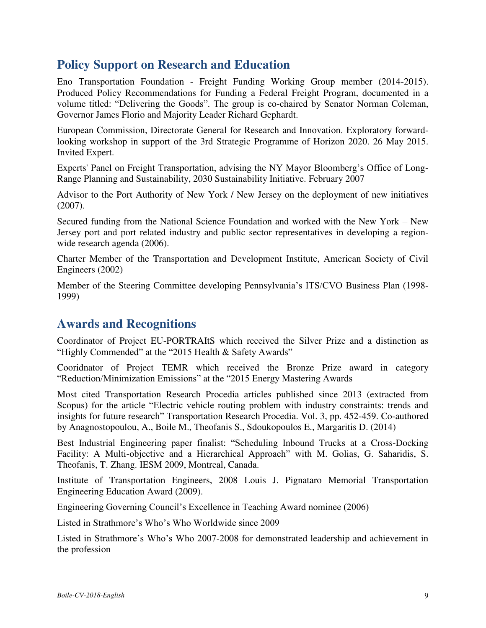# **Policy Support on Research and Education**

Eno Transportation Foundation - Freight Funding Working Group member (2014-2015). Produced Policy Recommendations for Funding a Federal Freight Program, documented in a volume titled: "Delivering the Goods". The group is co-chaired by Senator Norman Coleman, Governor James Florio and Majority Leader Richard Gephardt.

European Commission, Directorate General for Research and Innovation. Exploratory forwardlooking workshop in support of the 3rd Strategic Programme of Horizon 2020. 26 May 2015. Invited Expert.

Experts' Panel on Freight Transportation, advising the NY Mayor Bloomberg's Office of Long-Range Planning and Sustainability, 2030 Sustainability Initiative. February 2007

Advisor to the Port Authority of New York / New Jersey on the deployment of new initiatives (2007).

Secured funding from the National Science Foundation and worked with the New York – New Jersey port and port related industry and public sector representatives in developing a regionwide research agenda (2006).

Charter Member of the Transportation and Development Institute, American Society of Civil Engineers (2002)

Member of the Steering Committee developing Pennsylvania's ITS/CVO Business Plan (1998- 1999)

## **Awards and Recognitions**

Coordinator of Project EU-PORTRAItS which received the Silver Prize and a distinction as "Highly Commended" at the "2015 Health & Safety Awards"

Cooridnator of Project TEMR which received the Bronze Prize award in category "Reduction/Minimization Emissions" at the "2015 Energy Mastering Awards

Most cited Transportation Research Procedia articles published since 2013 (extracted from Scopus) for the article "Electric vehicle routing problem with industry constraints: trends and insights for future research" Transportation Research Procedia. Vol. 3, pp. 452-459. Co-authored by Anagnostopoulou, A., Boile M., Theofanis S., Sdoukopoulos E., Margaritis D. (2014)

Best Industrial Engineering paper finalist: "Scheduling Inbound Trucks at a Cross-Docking Facility: A Multi-objective and a Hierarchical Approach" with M. Golias, G. Saharidis, S. Theofanis, T. Zhang. IESM 2009, Montreal, Canada.

Institute of Transportation Engineers, 2008 Louis J. Pignataro Memorial Transportation Engineering Education Award (2009).

Engineering Governing Council's Excellence in Teaching Award nominee (2006)

Listed in Strathmore's Who's Who Worldwide since 2009

Listed in Strathmore's Who's Who 2007-2008 for demonstrated leadership and achievement in the profession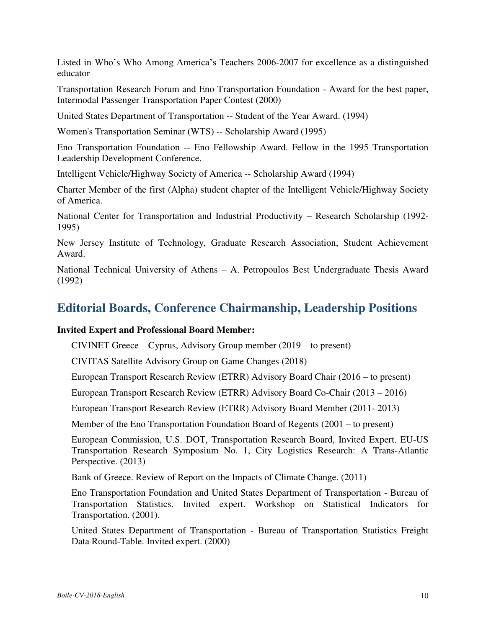Listed in Who's Who Among America's Teachers 2006-2007 for excellence as a distinguished educator

Transportation Research Forum and Eno Transportation Foundation - Award for the best paper, Intermodal Passenger Transportation Paper Contest (2000)

United States Department of Transportation -- Student of the Year Award. (1994)

Women's Transportation Seminar (WTS) -- Scholarship Award (1995)

Eno Transportation Foundation -- Eno Fellowship Award. Fellow in the 1995 Transportation Leadership Development Conference.

Intelligent Vehicle/Highway Society of America -- Scholarship Award (1994)

Charter Member of the first (Alpha) student chapter of the Intelligent Vehicle/Highway Society of America.

National Center for Transportation and Industrial Productivity – Research Scholarship (1992- 1995)

New Jersey Institute of Technology, Graduate Research Association, Student Achievement Award.

National Technical University of Athens – A. Petropoulos Best Undergraduate Thesis Award (1992)

# **Editorial Boards, Conference Chairmanship, Leadership Positions**

#### **Invited Expert and Professional Board Member:**

CIVINET Greece – Cyprus, Advisory Group member (2019 – to present)

CIVITAS Satellite Advisory Group on Game Changes (2018)

European Transport Research Review (ETRR) Advisory Board Chair (2016 – to present)

European Transport Research Review (ETRR) Advisory Board Co-Chair (2013 – 2016)

European Transport Research Review (ETRR) Advisory Board Member (2011- 2013)

Member of the Eno Transportation Foundation Board of Regents (2001 – to present)

European Commission, U.S. DOT, Transportation Research Board, Invited Expert. EU-US Transportation Research Symposium No. 1, City Logistics Research: A Trans-Atlantic Perspective. (2013)

Bank of Greece. Review of Report on the Impacts of Climate Change. (2011)

Eno Transportation Foundation and United States Department of Transportation - Bureau of Transportation Statistics. Invited expert. Workshop on Statistical Indicators for Transportation. (2001).

United States Department of Transportation - Bureau of Transportation Statistics Freight Data Round-Table. Invited expert. (2000)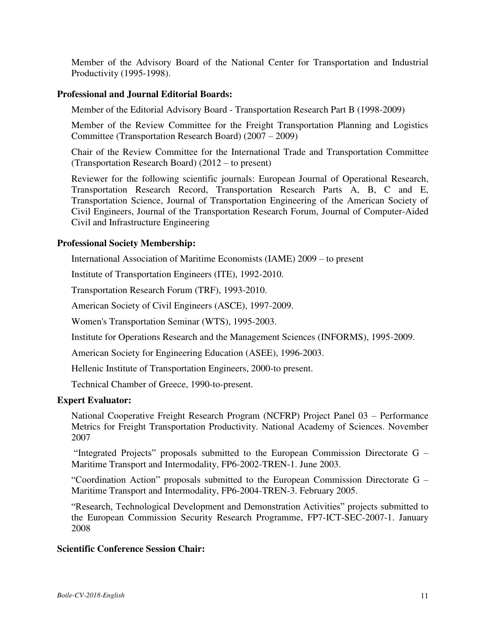Member of the Advisory Board of the National Center for Transportation and Industrial Productivity (1995-1998).

#### **Professional and Journal Editorial Boards:**

Member of the Editorial Advisory Board - Transportation Research Part B (1998-2009)

Member of the Review Committee for the Freight Transportation Planning and Logistics Committee (Transportation Research Board) (2007 – 2009)

Chair of the Review Committee for the International Trade and Transportation Committee (Transportation Research Board) (2012 – to present)

Reviewer for the following scientific journals: European Journal of Operational Research, Transportation Research Record, Transportation Research Parts A, B, C and E, Transportation Science, Journal of Transportation Engineering of the American Society of Civil Engineers, Journal of the Transportation Research Forum, Journal of Computer-Aided Civil and Infrastructure Engineering

#### **Professional Society Membership:**

International Association of Maritime Economists (IAME) 2009 – to present

Institute of Transportation Engineers (ITE), 1992-2010.

Transportation Research Forum (TRF), 1993-2010.

American Society of Civil Engineers (ASCE), 1997-2009.

Women's Transportation Seminar (WTS), 1995-2003.

Institute for Operations Research and the Management Sciences (INFORMS), 1995-2009.

American Society for Engineering Education (ASEE), 1996-2003.

Hellenic Institute of Transportation Engineers, 2000-to present.

Technical Chamber of Greece, 1990-to-present.

#### **Expert Evaluator:**

National Cooperative Freight Research Program (NCFRP) Project Panel 03 – Performance Metrics for Freight Transportation Productivity. National Academy of Sciences. November 2007

"Integrated Projects" proposals submitted to the European Commission Directorate G – Maritime Transport and Intermodality, FP6-2002-TREN-1. June 2003.

"Coordination Action" proposals submitted to the European Commission Directorate G – Maritime Transport and Intermodality, FP6-2004-TREN-3. February 2005.

"Research, Technological Development and Demonstration Activities" projects submitted to the European Commission Security Research Programme, FP7-ICT-SEC-2007-1. January 2008

#### **Scientific Conference Session Chair:**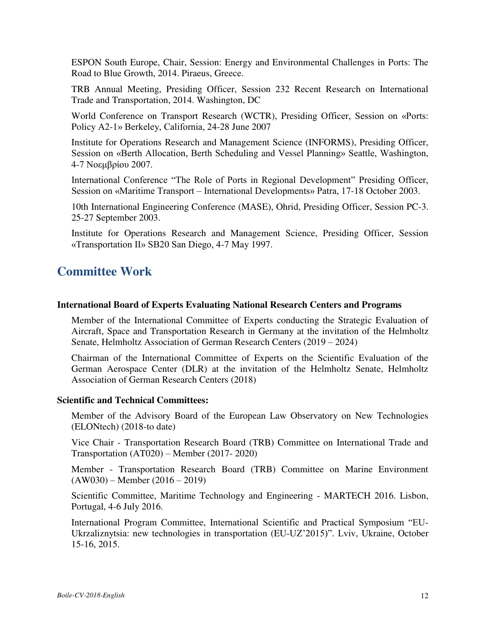ESPON South Europe, Chair, Session: Energy and Environmental Challenges in Ports: The Road to Blue Growth, 2014. Piraeus, Greece.

TRB Annual Meeting, Presiding Officer, Session 232 Recent Research on International Trade and Transportation, 2014. Washington, DC

World Conference on Transport Research (WCTR), Presiding Officer, Session on «Ports: Policy A2-1» Berkeley, California, 24-28 June 2007

Institute for Operations Research and Management Science (INFORMS), Presiding Officer, Session on «Berth Allocation, Berth Scheduling and Vessel Planning» Seattle, Washington, 4-7 Νοεμβρίου 2007.

International Conference "The Role of Ports in Regional Development" Presiding Officer, Session on «Maritime Transport – International Developments» Patra, 17-18 October 2003.

10th International Engineering Conference (MASE), Ohrid, Presiding Officer, Session PC-3. 25-27 September 2003.

Institute for Operations Research and Management Science, Presiding Officer, Session «Transportation II» SB20 San Diego, 4-7 May 1997.

## **Committee Work**

#### **International Board of Experts Evaluating National Research Centers and Programs**

Member of the International Committee of Experts conducting the Strategic Evaluation of Aircraft, Space and Transportation Research in Germany at the invitation of the Helmholtz Senate, Helmholtz Association of German Research Centers (2019 – 2024)

Chairman of the International Committee of Experts on the Scientific Evaluation of the German Aerospace Center (DLR) at the invitation of the Helmholtz Senate, Helmholtz Association of German Research Centers (2018)

#### **Scientific and Technical Committees:**

Member of the Advisory Board of the European Law Observatory on New Technologies (ELONtech) (2018-to date)

Vice Chair - Transportation Research Board (TRB) Committee on International Trade and Transportation (AT020) – Member (2017- 2020)

Member - Transportation Research Board (TRB) Committee on Marine Environment (AW030) – Member (2016 – 2019)

Scientific Committee, Maritime Technology and Engineering - MARTECH 2016. Lisbon, Portugal, 4-6 July 2016.

International Program Committee, International Scientific and Practical Symposium "EU-Ukrzaliznytsia: new technologies in transportation (EU-UZ'2015)". Lviv, Ukraine, October 15-16, 2015.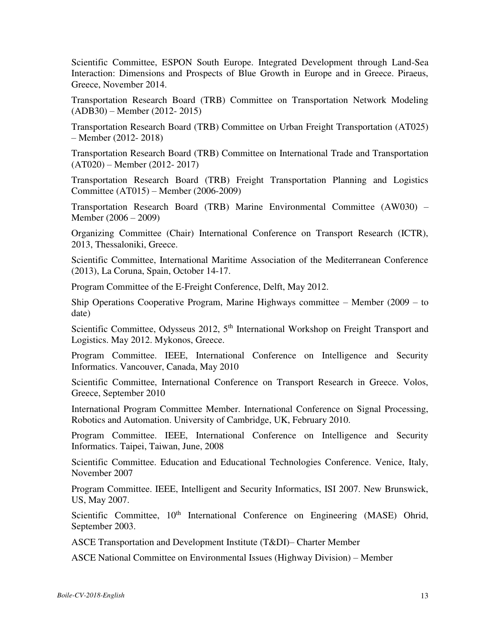Scientific Committee, ESPON South Europe. Integrated Development through Land-Sea Interaction: Dimensions and Prospects of Blue Growth in Europe and in Greece. Piraeus, Greece, November 2014.

Transportation Research Board (TRB) Committee on Transportation Network Modeling (ADB30) – Member (2012- 2015)

Transportation Research Board (TRB) Committee on Urban Freight Transportation (AT025) – Member (2012- 2018)

Transportation Research Board (TRB) Committee on International Trade and Transportation (AT020) – Member (2012- 2017)

Transportation Research Board (TRB) Freight Transportation Planning and Logistics Committee (AT015) – Member (2006-2009)

Transportation Research Board (TRB) Marine Environmental Committee (AW030) – Member (2006 – 2009)

Organizing Committee (Chair) International Conference on Transport Research (ICTR), 2013, Thessaloniki, Greece.

Scientific Committee, International Maritime Association of the Mediterranean Conference (2013), La Coruna, Spain, October 14-17.

Program Committee of the E-Freight Conference, Delft, May 2012.

Ship Operations Cooperative Program, Marine Highways committee – Member (2009 – to date)

Scientific Committee, Odysseus 2012, 5<sup>th</sup> International Workshop on Freight Transport and Logistics. May 2012. Mykonos, Greece.

Program Committee. IEEE, International Conference on Intelligence and Security Informatics. Vancouver, Canada, May 2010

Scientific Committee, International Conference on Transport Research in Greece. Volos, Greece, September 2010

International Program Committee Member. International Conference on Signal Processing, Robotics and Automation. University of Cambridge, UK, February 2010.

Program Committee. IEEE, International Conference on Intelligence and Security Informatics. Taipei, Taiwan, June, 2008

Scientific Committee. Education and Educational Technologies Conference. Venice, Italy, November 2007

Program Committee. IEEE, Intelligent and Security Informatics, ISI 2007. New Brunswick, US, May 2007.

Scientific Committee, 10<sup>th</sup> International Conference on Engineering (MASE) Ohrid, September 2003.

ASCE Transportation and Development Institute (T&DI)– Charter Member

ASCE National Committee on Environmental Issues (Highway Division) – Member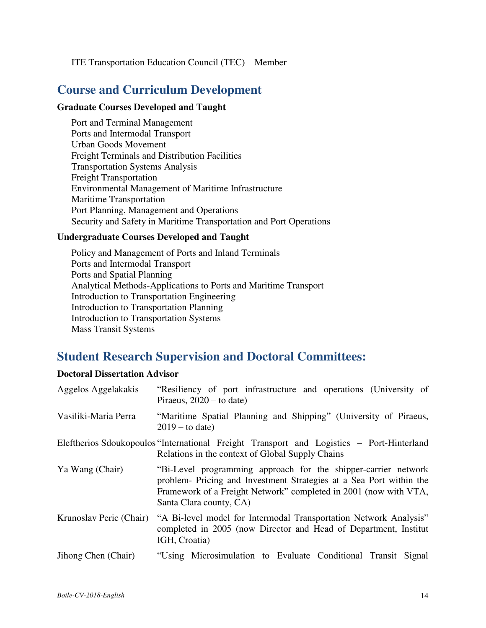#### ITE Transportation Education Council (TEC) – Member

### **Course and Curriculum Development**

#### **Graduate Courses Developed and Taught**

Port and Terminal Management Ports and Intermodal Transport Urban Goods Movement Freight Terminals and Distribution Facilities Transportation Systems Analysis Freight Transportation Environmental Management of Maritime Infrastructure Maritime Transportation Port Planning, Management and Operations Security and Safety in Maritime Transportation and Port Operations

#### **Undergraduate Courses Developed and Taught**

Policy and Management of Ports and Inland Terminals Ports and Intermodal Transport Ports and Spatial Planning Analytical Methods-Applications to Ports and Maritime Transport Introduction to Transportation Engineering Introduction to Transportation Planning Introduction to Transportation Systems Mass Transit Systems

## **Student Research Supervision and Doctoral Committees:**

#### **Doctoral Dissertation Advisor**

| Aggelos Aggelakakis     | "Resiliency of port infrastructure and operations (University of<br>Piraeus, $2020 -$ to date)                                                                                                                                       |
|-------------------------|--------------------------------------------------------------------------------------------------------------------------------------------------------------------------------------------------------------------------------------|
| Vasiliki-Maria Perra    | "Maritime Spatial Planning and Shipping" (University of Piraeus,<br>$2019 -$ to date)                                                                                                                                                |
|                         | Eleftherios Sdoukopoulos "International Freight Transport and Logistics – Port-Hinterland<br>Relations in the context of Global Supply Chains                                                                                        |
| Ya Wang (Chair)         | "Bi-Level programming approach for the shipper-carrier network<br>problem- Pricing and Investment Strategies at a Sea Port within the<br>Framework of a Freight Network" completed in 2001 (now with VTA,<br>Santa Clara county, CA) |
| Krunoslav Peric (Chair) | "A Bi-level model for Intermodal Transportation Network Analysis"<br>completed in 2005 (now Director and Head of Department, Institut<br>IGH, Croatia)                                                                               |
| Jihong Chen (Chair)     | "Using Microsimulation to Evaluate Conditional Transit Signal                                                                                                                                                                        |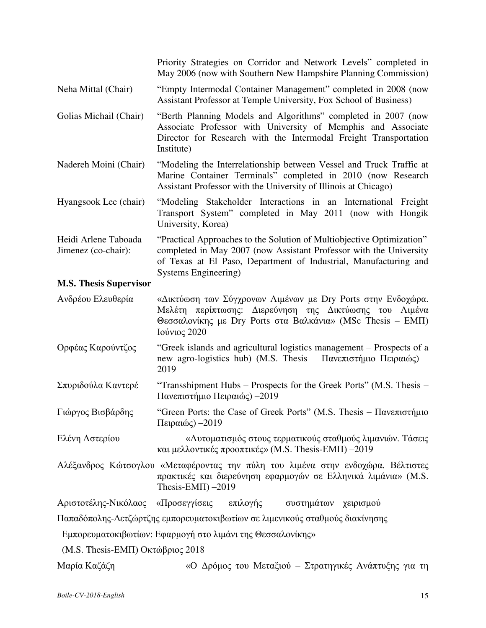|                                             | Priority Strategies on Corridor and Network Levels" completed in<br>May 2006 (now with Southern New Hampshire Planning Commission)                                                                                                      |
|---------------------------------------------|-----------------------------------------------------------------------------------------------------------------------------------------------------------------------------------------------------------------------------------------|
| Neha Mittal (Chair)                         | "Empty Intermodal Container Management" completed in 2008 (now<br>Assistant Professor at Temple University, Fox School of Business)                                                                                                     |
| Golias Michail (Chair)                      | "Berth Planning Models and Algorithms" completed in 2007 (now<br>Associate Professor with University of Memphis and Associate<br>Director for Research with the Intermodal Freight Transportation<br>Institute)                         |
| Nadereh Moini (Chair)                       | "Modeling the Interrelationship between Vessel and Truck Traffic at<br>Marine Container Terminals" completed in 2010 (now Research<br>Assistant Professor with the University of Illinois at Chicago)                                   |
| Hyangsook Lee (chair)                       | "Modeling Stakeholder Interactions in an International Freight<br>Transport System" completed in May 2011 (now with Hongik<br>University, Korea)                                                                                        |
| Heidi Arlene Taboada<br>Jimenez (co-chair): | "Practical Approaches to the Solution of Multiobjective Optimization"<br>completed in May 2007 (now Assistant Professor with the University<br>of Texas at El Paso, Department of Industrial, Manufacturing and<br>Systems Engineering) |
| <b>M.S. Thesis Supervisor</b>               |                                                                                                                                                                                                                                         |
| Ανδρέου Ελευθερία                           | «Δικτύωση των Σύγχρονων Λιμένων με Dry Ports στην Ενδοχώρα.<br>Μελέτη περίπτωσης: Διερεύνηση της Δικτύωσης του Λιμένα<br>Θεσσαλονίκης με Dry Ports στα Βαλκάνια» (MSc Thesis – ΕΜΠ)<br>Ιούνιος 2020                                     |
| Ορφέας Καρούντζος                           | "Greek islands and agricultural logistics management – Prospects of a<br>new agro-logistics hub) (M.S. Thesis - Πανεπιστήμιο Πειραιώς) -<br>2019                                                                                        |
| Σπυριδούλα Καντερέ                          | "Transshipment Hubs – Prospects for the Greek Ports" (M.S. Thesis –<br>Πανεπιστήμιο Πειραιώς) -2019                                                                                                                                     |
| Γιώργος Βισβάρδης                           | "Green Ports: the Case of Greek Ports" (M.S. Thesis – Πανεπιστήμιο<br>Πειραιώς) - 2019                                                                                                                                                  |
| Ελένη Αστερίου                              | «Αυτοματισμός στους τερματικούς σταθμούς λιμανιών. Τάσεις<br>και μελλοντικές προοπτικές» (M.S. Thesis-EMII) -2019                                                                                                                       |
|                                             | Αλέξανδρος Κώτσογλου «Μεταφέροντας την πύλη του λιμένα στην ενδοχώρα. Βέλτιστες<br>πρακτικές και διερεύνηση εφαρμογών σε Ελληνικά λιμάνια» (M.S.<br>Thesis-EMIT) $-2019$                                                                |
|                                             | Αριστοτέλης-Νικόλαος «Προσεγγίσεις επιλογής συστημάτων χειρισμού                                                                                                                                                                        |
|                                             | Παπαδόπολης-Δετζώρτζης εμπορευματοκιβωτίων σε λιμενικούς σταθμούς διακίνησης                                                                                                                                                            |
|                                             | Εμπορευματοκιβωτίων: Εφαρμογή στο λιμάνι της Θεσσαλονίκης»                                                                                                                                                                              |
| (M.S. Thesis-EMΠ) Οκτώβριος 2018            |                                                                                                                                                                                                                                         |
| Μαρία Καζάζη                                | «Ο Δρόμος του Μεταξιού - Στρατηγικές Ανάπτυξης για τη                                                                                                                                                                                   |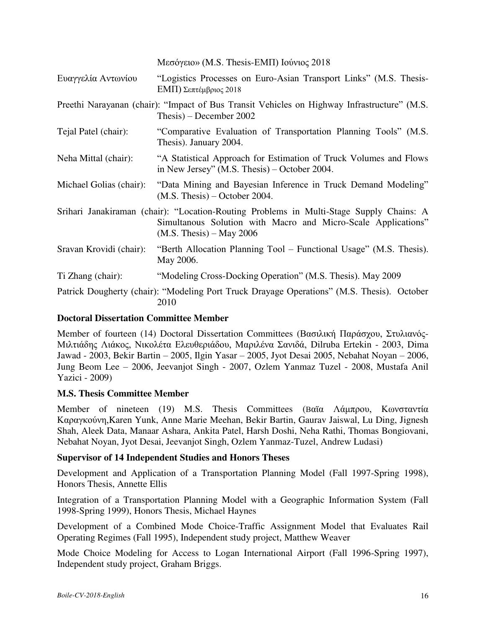|  | Μεσόγειο» (M.S. Thesis-EMΠ) Ιούνιος 2018 |  |  |  |  |  |
|--|------------------------------------------|--|--|--|--|--|
|--|------------------------------------------|--|--|--|--|--|

| Ευαγγελία Αντωνίου      | "Logistics Processes on Euro-Asian Transport Links" (M.S. Thesis-<br>ΕΜΠ) Σεπτέμβριος 2018                                                                                             |
|-------------------------|----------------------------------------------------------------------------------------------------------------------------------------------------------------------------------------|
|                         | Preethi Narayanan (chair): "Impact of Bus Transit Vehicles on Highway Infrastructure" (M.S.<br>Thesis) – December 2002                                                                 |
| Tejal Patel (chair):    | "Comparative Evaluation of Transportation Planning Tools" (M.S.<br>Thesis). January 2004.                                                                                              |
| Neha Mittal (chair):    | "A Statistical Approach for Estimation of Truck Volumes and Flows<br>in New Jersey" (M.S. Thesis) $-$ October 2004.                                                                    |
| Michael Golias (chair): | "Data Mining and Bayesian Inference in Truck Demand Modeling"<br>$(M.S. Thesis) - October 2004.$                                                                                       |
|                         | Srihari Janakiraman (chair): "Location-Routing Problems in Multi-Stage Supply Chains: A<br>Simultanous Solution with Macro and Micro-Scale Applications"<br>$(M.S.$ Thesis) – May 2006 |
| Sravan Krovidi (chair): | "Berth Allocation Planning Tool – Functional Usage" (M.S. Thesis).<br>May 2006.                                                                                                        |
| Ti Zhang (chair):       | "Modeling Cross-Docking Operation" (M.S. Thesis). May 2009                                                                                                                             |
|                         | Patrick Dougherty (chair): "Modeling Port Truck Drayage Operations" (M.S. Thesis). October<br>2010                                                                                     |

### **Doctoral Dissertation Committee Member**

Member of fourteen (14) Doctoral Dissertation Committees (Βασιλική Παράσχου, Στυλιανός-Μιλτιάδης Λιάκος, Νικολέτα Ελευθεριάδου, Μαριλένα Σανιδά, Dilruba Ertekin - 2003, Dima Jawad - 2003, Bekir Bartin – 2005, Ilgin Yasar – 2005, Jyot Desai 2005, Nebahat Noyan – 2006, Jung Beom Lee – 2006, Jeevanjot Singh - 2007, Ozlem Yanmaz Tuzel - 2008, Mustafa Anil Yazici - 2009)

### **M.S. Thesis Committee Member**

Member of nineteen (19) M.S. Thesis Committees (Βαϊα Λάμπρου, Κωνσταντία Καραγκούνη,Karen Yunk, Anne Marie Meehan, Bekir Bartin, Gaurav Jaiswal, Lu Ding, Jignesh Shah, Aleek Data, Manaar Ashara, Ankita Patel, Harsh Doshi, Neha Rathi, Thomas Bongiovani, Nebahat Noyan, Jyot Desai, Jeevanjot Singh, Ozlem Yanmaz-Tuzel, Andrew Ludasi)

### **Supervisor of 14 Independent Studies and Honors Theses**

Development and Application of a Transportation Planning Model (Fall 1997-Spring 1998), Honors Thesis, Annette Ellis

Integration of a Transportation Planning Model with a Geographic Information System (Fall 1998-Spring 1999), Honors Thesis, Michael Haynes

Development of a Combined Mode Choice-Traffic Assignment Model that Evaluates Rail Operating Regimes (Fall 1995), Independent study project, Matthew Weaver

Mode Choice Modeling for Access to Logan International Airport (Fall 1996-Spring 1997), Independent study project, Graham Briggs.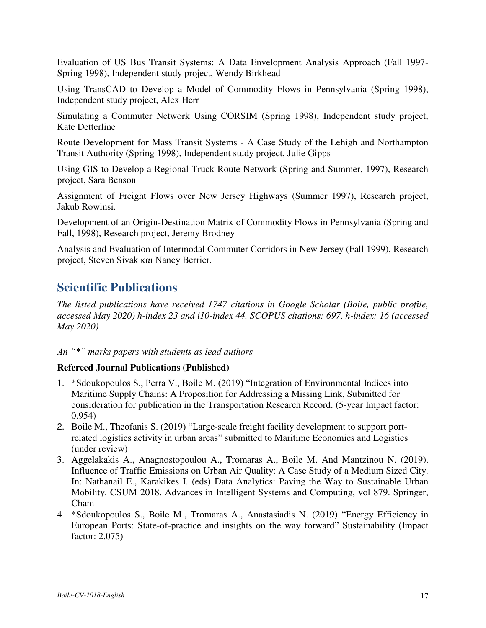Evaluation of US Bus Transit Systems: A Data Envelopment Analysis Approach (Fall 1997- Spring 1998), Independent study project, Wendy Birkhead

Using TransCAD to Develop a Model of Commodity Flows in Pennsylvania (Spring 1998), Independent study project, Alex Herr

Simulating a Commuter Network Using CORSIM (Spring 1998), Independent study project, Kate Detterline

Route Development for Mass Transit Systems - A Case Study of the Lehigh and Northampton Transit Authority (Spring 1998), Independent study project, Julie Gipps

Using GIS to Develop a Regional Truck Route Network (Spring and Summer, 1997), Research project, Sara Benson

Assignment of Freight Flows over New Jersey Highways (Summer 1997), Research project, Jakub Rowinsi.

Development of an Origin-Destination Matrix of Commodity Flows in Pennsylvania (Spring and Fall, 1998), Research project, Jeremy Brodney

Analysis and Evaluation of Intermodal Commuter Corridors in New Jersey (Fall 1999), Research project, Steven Sivak και Nancy Berrier.

# **Scientific Publications**

*The listed publications have received 1747 citations in Google Scholar (Boile, public profile, accessed Μay 2020) h-index 23 and i10-index 44. SCOPUS citations: 697, h-index: 16 (accessed May 2020)* 

#### *An "\*" marks papers with students as lead authors*

#### **Refereed Journal Publications (Published)**

- 1. \*Sdoukopoulos S., Perra V., Boile M. (2019) "Integration of Environmental Indices into Maritime Supply Chains: A Proposition for Addressing a Missing Link, Submitted for consideration for publication in the Transportation Research Record. (5-year Impact factor: 0.954)
- 2. Boile M., Theofanis S. (2019) "Large-scale freight facility development to support portrelated logistics activity in urban areas" submitted to Maritime Economics and Logistics (under review)
- 3. Aggelakakis A., Anagnostopoulou A., Tromaras A., Boile M. And Mantzinou N. (2019). Influence of Traffic Emissions on Urban Air Quality: A Case Study of a Medium Sized City. In: Nathanail E., Karakikes I. (eds) Data Analytics: Paving the Way to Sustainable Urban Mobility. CSUM 2018. Advances in Intelligent Systems and Computing, vol 879. Springer, Cham
- 4. \*Sdoukopoulos S., Boile M., Tromaras A., Anastasiadis N. (2019) "Energy Efficiency in European Ports: State-of-practice and insights on the way forward" Sustainability (Impact factor: 2.075)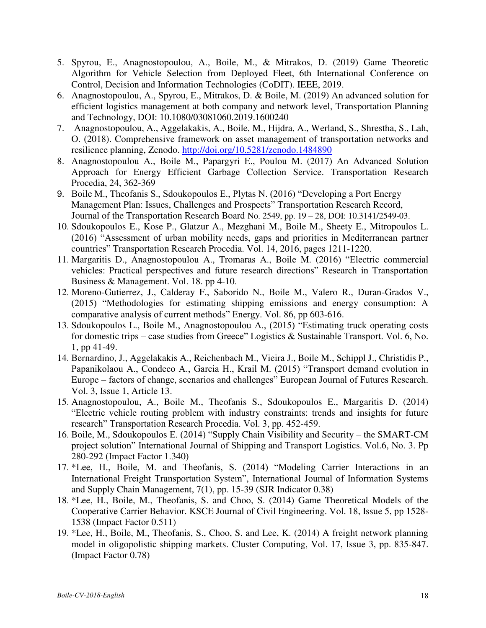- 5. Spyrou, E., Anagnostopoulou, A., Boile, M., & Mitrakos, D. (2019) Game Theoretic Algorithm for Vehicle Selection from Deployed Fleet, 6th International Conference on Control, Decision and Information Technologies (CoDIT). IEEE, 2019.
- 6. Anagnostopoulou, A., Spyrou, E., Mitrakos, D. & Boile, M. (2019) An advanced solution for efficient logistics management at both company and network level, Transportation Planning and Technology, DOI: 10.1080/03081060.2019.1600240
- 7. Anagnostopoulou, A., Aggelakakis, A., Boile, M., Hijdra, A., Werland, S., Shrestha, S., Lah, O. (2018). Comprehensive framework on asset management of transportation networks and resilience planning, Zenodo.<http://doi.org/10.5281/zenodo.1484890>
- 8. Anagnostopoulou A., Boile M., Papargyri E., Poulou M. (2017) An Advanced Solution Approach for Energy Efficient Garbage Collection Service. Transportation Research Procedia, 24, 362-369
- 9. Boile M., Theofanis S., Sdoukopoulos E., Plytas N. (2016) "Developing a Port Energy Management Plan: Issues, Challenges and Prospects" Transportation Research Record, Journal of the Transportation Research Board No. 2549, pp. 19 – 28, DOI: 10.3141/2549-03.
- 10. Sdoukopoulos E., Kose P., Glatzur A., Mezghani M., Boile M., Sheety E., Mitropoulos L. (2016) "Assessment of urban mobility needs, gaps and priorities in Mediterranean partner countries" Transportation Research Procedia. Vol. 14, 2016, pages 1211-1220.
- 11. Margaritis D., Anagnostopoulou A., Tromaras A., Boile M. (2016) "Electric commercial vehicles: Practical perspectives and future research directions" Research in Transportation Business & Management. Vol. 18. pp 4-10.
- 12. Moreno-Gutierrez, J., Calderay F., Saborido N., Boile M., Valero R., Duran-Grados V., (2015) "Methodologies for estimating shipping emissions and energy consumption: A comparative analysis of current methods" Energy. Vol. 86, pp 603-616.
- 13. Sdoukopoulos L., Boile M., Anagnostopoulou A., (2015) "Estimating truck operating costs for domestic trips – case studies from Greece" Logistics  $\&$  Sustainable Transport. Vol. 6, No. 1, pp 41-49.
- 14. Bernardino, J., Aggelakakis A., Reichenbach M., Vieira J., Boile M., Schippl J., Christidis P., Papanikolaou A., Condeco A., Garcia H., Krail M. (2015) "Transport demand evolution in Europe – factors of change, scenarios and challenges" European Journal of Futures Research. Vol. 3, Issue 1, Article 13.
- 15. Anagnostopoulou, A., Boile M., Theofanis S., Sdoukopoulos E., Margaritis D. (2014) "Electric vehicle routing problem with industry constraints: trends and insights for future research" Transportation Research Procedia. Vol. 3, pp. 452-459.
- 16. Boile, M., Sdoukopoulos E. (2014) "Supply Chain Visibility and Security the SMART-CM project solution" International Journal of Shipping and Transport Logistics. Vol.6, No. 3. Pp 280-292 (Impact Factor 1.340)
- 17. \*Lee, H., Boile, M. and Theofanis, S. (2014) "Modeling Carrier Interactions in an International Freight Transportation System", International Journal of Information Systems and Supply Chain Management, 7(1), pp. 15-39 (SJR Indicator 0.38)
- 18. \*Lee, H., Boile, M., Theofanis, S. and Choo, S. (2014) Game Theoretical Models of the Cooperative Carrier Behavior. KSCE Journal of Civil Engineering. Vol. 18, Issue 5, pp 1528- 1538 (Impact Factor 0.511)
- 19. \*Lee, H., Boile, M., Theofanis, S., Choo, S. and Lee, K. (2014) A freight network planning model in oligopolistic shipping markets. Cluster Computing, Vol. 17, Issue 3, pp. 835-847. (Impact Factor 0.78)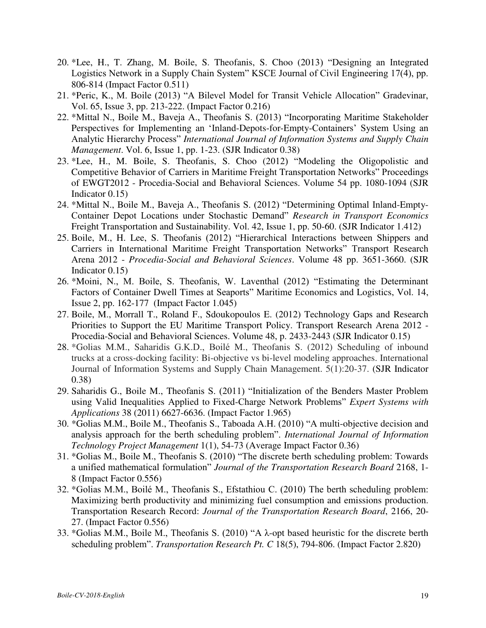- 20. \*Lee, H., T. Zhang, M. Boile, S. Theofanis, S. Choo (2013) "Designing an Integrated Logistics Network in a Supply Chain System" KSCE Journal of Civil Engineering 17(4), pp. 806-814 (Impact Factor 0.511)
- 21. \*Peric, K., M. Boile (2013) "A Bilevel Model for Transit Vehicle Allocation" Gradevinar, Vol. 65, Issue 3, pp. 213-222. (Impact Factor 0.216)
- 22. \*Mittal N., Boile M., Baveja A., Theofanis S. (2013) "Incorporating Maritime Stakeholder Perspectives for Implementing an 'Inland-Depots-for-Empty-Containers' System Using an Analytic Hierarchy Process" *International Journal of Information Systems and Supply Chain Management*. Vol. 6, Issue 1, pp. 1-23. (SJR Indicator 0.38)
- 23. \*Lee, H., M. Boile, S. Theofanis, S. Choo (2012) "Modeling the Oligopolistic and Competitive Behavior of Carriers in Maritime Freight Transportation Networks" Proceedings of EWGT2012 - Procedia-Social and Behavioral Sciences. Volume 54 pp. 1080-1094 (SJR Indicator 0.15)
- 24. \*Mittal N., Boile M., Baveja A., Theofanis S. (2012) "Determining Optimal Inland-Empty-Container Depot Locations under Stochastic Demand" *Research in Transport Economics* Freight Transportation and Sustainability. Vol. 42, Issue 1, pp. 50-60. (SJR Indicator 1.412)
- 25. Boile, M., H. Lee, S. Theofanis (2012) "Hierarchical Interactions between Shippers and Carriers in International Maritime Freight Transportation Networks" Transport Research Arena 2012 - *Procedia-Social and Behavioral Sciences*. Volume 48 pp. 3651-3660. (SJR Indicator 0.15)
- 26. \*Moini, N., M. Boile, S. Theofanis, W. Laventhal (2012) "Estimating the Determinant Factors of Container Dwell Times at Seaports" Maritime Economics and Logistics, Vol. 14, Issue 2, pp. 162-177 (Impact Factor 1.045)
- 27. Boile, M., Morrall T., Roland F., Sdoukopoulos E. (2012) Technology Gaps and Research Priorities to Support the EU Maritime Transport Policy. Transport Research Arena 2012 - Procedia-Social and Behavioral Sciences. Volume 48, p. 2433-2443 (SJR Indicator 0.15)
- 28. \*Golias M.M., Saharidis G.K.D., Boilé M., Theofanis S. (2012) Scheduling of inbound trucks at a cross-docking facility: Bi-objective vs bi-level modeling approaches. International Journal of Information Systems and Supply Chain Management. 5(1):20-37. (SJR Indicator 0.38)
- 29. Saharidis G., Boile M., Theofanis S. (2011) "Initialization of the Benders Master Problem using Valid Inequalities Applied to Fixed-Charge Network Problems" *Expert Systems with Applications* 38 (2011) 6627-6636. (Impact Factor 1.965)
- 30. \*Golias M.M., Boile M., Theofanis S., Taboada A.H. (2010) "A multi-objective decision and analysis approach for the berth scheduling problem". *International Journal of Information Technology Project Management* 1(1), 54-73 (Average Impact Factor 0.36)
- 31. \*Golias M., Boile M., Theofanis S. (2010) "The discrete berth scheduling problem: Towards a unified mathematical formulation" *Journal of the Transportation Research Board* 2168, 1- 8 (Impact Factor 0.556)
- 32. \*Golias M.M., Boilé M., Theofanis S., Efstathiou C. (2010) The berth scheduling problem: Maximizing berth productivity and minimizing fuel consumption and emissions production. Transportation Research Record: *Journal of the Transportation Research Board*, 2166, 20- 27. (Impact Factor 0.556)
- 33. \*Golias M.M., Boile M., Theofanis S. (2010) "A λ-opt based heuristic for the discrete berth scheduling problem". *Transportation Research Pt. C* 18(5), 794-806. (Impact Factor 2.820)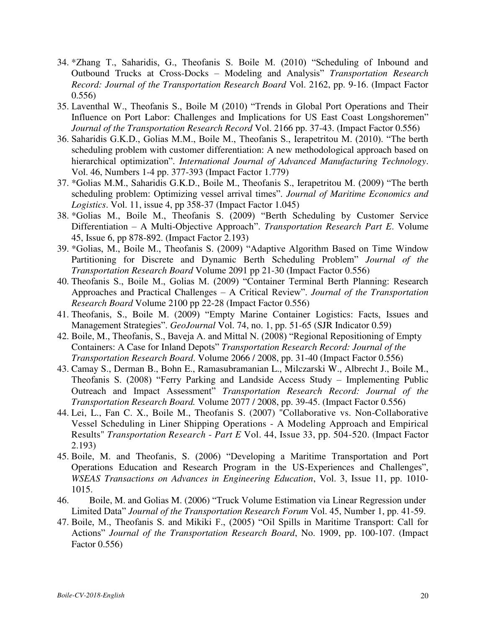- 34. \*Zhang T., Saharidis, G., Theofanis S. Boile M. (2010) "Scheduling of Inbound and Outbound Trucks at Cross-Docks – Modeling and Analysis" *Transportation Research Record: Journal of the Transportation Research Board* Vol. 2162, pp. 9-16. (Impact Factor 0.556)
- 35. Laventhal W., Theofanis S., Boile M (2010) "Trends in Global Port Operations and Their Influence on Port Labor: Challenges and Implications for US East Coast Longshoremen" *Journal of the Transportation Research Record* Vol. 2166 pp. 37-43. (Impact Factor 0.556)
- 36. Saharidis G.K.D., Golias M.M., Boile M., Theofanis S., Ierapetritou M. (2010). "The berth scheduling problem with customer differentiation: A new methodological approach based on hierarchical optimization". *International Journal of Advanced Manufacturing Technology*. Vol. 46, Numbers 1-4 pp. 377-393 (Impact Factor 1.779)
- 37. \*Golias M.M., Saharidis G.K.D., Boile M., Theofanis S., Ierapetritou M. (2009) "The berth scheduling problem: Optimizing vessel arrival times". *Journal of Maritime Economics and Logistics*. Vol. 11, issue 4, pp 358-37 (Impact Factor 1.045)
- 38. \*Golias M., Boile M., Theofanis S. (2009) "Berth Scheduling by Customer Service Differentiation – A Multi-Objective Approach". *Transportation Research Part E*. Volume 45, Issue 6, pp 878-892. (Impact Factor 2.193)
- 39. \*Golias, M., Boile M., Theofanis S. (2009) "Adaptive Algorithm Based on Time Window Partitioning for Discrete and Dynamic Berth Scheduling Problem" *Journal of the Transportation Research Board* Volume 2091 pp 21-30 (Impact Factor 0.556)
- 40. Theofanis S., Boile M., Golias M. (2009) "Container Terminal Berth Planning: Research Approaches and Practical Challenges – A Critical Review". *Journal of the Transportation Research Board* Volume 2100 pp 22-28 (Impact Factor 0.556)
- 41. Theofanis, S., Boile M. (2009) "Empty Marine Container Logistics: Facts, Issues and Management Strategies". *GeoJournal* Vol. 74, no. 1, pp. 51-65 (SJR Indicator 0.59)
- 42. Boile, M., Theofanis, S., Baveja A. and Mittal N. (2008) "Regional Repositioning of Empty Containers: A Case for Inland Depots" *Transportation Research Record: Journal of the Transportation Research Board*. Volume 2066 / 2008, pp. 31-40 (Impact Factor 0.556)
- 43. Camay S., Derman B., Bohn E., Ramasubramanian L., Milczarski W., Albrecht J., Boile M., Theofanis S. (2008) "Ferry Parking and Landside Access Study – Implementing Public Outreach and Impact Assessment" *Transportation Research Record: Journal of the Transportation Research Board.* Volume 2077 / 2008, pp. 39-45. (Impact Factor 0.556)
- 44. Lei, L., Fan C. X., Boile M., Theofanis S. (2007) "Collaborative vs. Non-Collaborative Vessel Scheduling in Liner Shipping Operations - A Modeling Approach and Empirical Results" *Transportation Research* - *Part E* Vol. 44, Issue 33, pp. 504-520. (Impact Factor 2.193)
- 45. Boile, M. and Theofanis, S. (2006) "Developing a Maritime Transportation and Port Operations Education and Research Program in the US-Experiences and Challenges", *WSEAS Transactions on Advances in Engineering Education*, Vol. 3, Issue 11, pp. 1010- 1015.
- 46. Boile, M. and Golias M. (2006) "Truck Volume Estimation via Linear Regression under Limited Data" *Journal of the Transportation Research Forum* Vol. 45, Number 1, pp. 41-59.
- 47. Boile, M., Theofanis S. and Mikiki F., (2005) "Oil Spills in Maritime Transport: Call for Actions" *Journal of the Transportation Research Board*, No. 1909, pp. 100-107. (Impact Factor 0.556)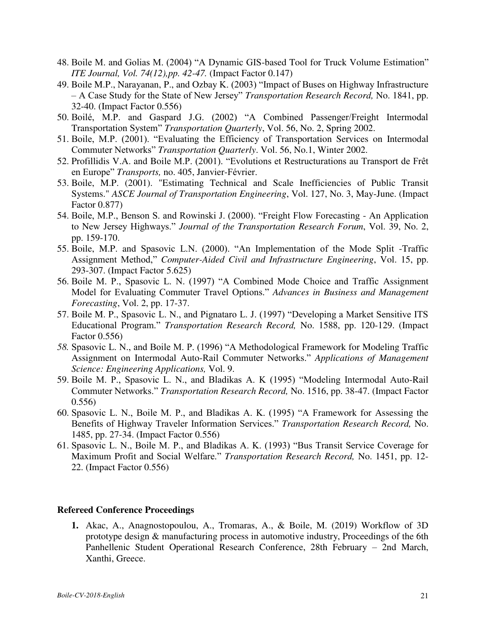- 48. Boile M. and Golias M. (2004) "A Dynamic GIS-based Tool for Truck Volume Estimation" *ITE Journal, Vol. 74(12),pp. 42-47.* (Impact Factor 0.147)
- 49. Boile M.P., Narayanan, P., and Ozbay K. (2003) "Impact of Buses on Highway Infrastructure – A Case Study for the State of New Jersey" *Transportation Research Record,* No. 1841, pp. 32-40. (Impact Factor 0.556)
- 50. Boilé, M.P. and Gaspard J.G. (2002) "A Combined Passenger/Freight Intermodal Transportation System" *Transportation Quarterly*, Vol. 56, No. 2, Spring 2002.
- 51. Boile, M.P. (2001). "Evaluating the Efficiency of Transportation Services on Intermodal Commuter Networks" *Transportation Quarterly*. Vol. 56, No.1, Winter 2002.
- 52. Profillidis V.A. and Boile M.P. (2001). "Evolutions et Restructurations au Transport de Frêt en Europe" *Transports,* no. 405, Janvier-Février.
- 53. Boile, M.P. (2001). "Estimating Technical and Scale Inefficiencies of Public Transit Systems." *ASCE Journal of Transportation Engineering*, Vol. 127, No. 3, May-June. (Impact Factor 0.877)
- 54. Boile, M.P., Benson S. and Rowinski J. (2000). "Freight Flow Forecasting An Application to New Jersey Highways." *Journal of the Transportation Research Forum*, Vol. 39, No. 2, pp. 159-170.
- 55. Boile, M.P. and Spasovic L.N. (2000). "An Implementation of the Mode Split -Traffic Assignment Method," *Computer-Aided Civil and Infrastructure Engineering*, Vol. 15, pp. 293-307. (Impact Factor 5.625)
- 56. Boile M. P., Spasovic L. N. (1997) "A Combined Mode Choice and Traffic Assignment Model for Evaluating Commuter Travel Options." *Advances in Business and Management Forecasting*, Vol. 2, pp. 17-37.
- 57. Boile M. P., Spasovic L. N., and Pignataro L. J. (1997) "Developing a Market Sensitive ITS Educational Program." *Transportation Research Record,* No. 1588, pp. 120-129. (Impact Factor 0.556)
- *58.* Spasovic L. N., and Boile M. P. (1996) "A Methodological Framework for Modeling Traffic Assignment on Intermodal Auto-Rail Commuter Networks." *Applications of Management Science: Engineering Applications,* Vol. 9.
- 59. Boile M. P., Spasovic L. N., and Bladikas A. K (1995) "Modeling Intermodal Auto-Rail Commuter Networks." *Transportation Research Record,* No. 1516, pp. 38-47. (Impact Factor 0.556)
- 60. Spasovic L. N., Boile M. P., and Bladikas A. K. (1995) "A Framework for Assessing the Benefits of Highway Traveler Information Services." *Transportation Research Record,* No. 1485, pp. 27-34. (Impact Factor 0.556)
- 61. Spasovic L. N., Boile M. P., and Bladikas A. K. (1993) "Bus Transit Service Coverage for Maximum Profit and Social Welfare." *Transportation Research Record,* No. 1451, pp. 12- 22. (Impact Factor 0.556)

#### **Refereed Conference Proceedings**

**1.** Akac, A., Anagnostopoulou, A., Tromaras, A., & Boile, M. (2019) Workflow of 3D prototype design & manufacturing process in automotive industry, Proceedings of the 6th Panhellenic Student Operational Research Conference, 28th February – 2nd March, Xanthi, Greece.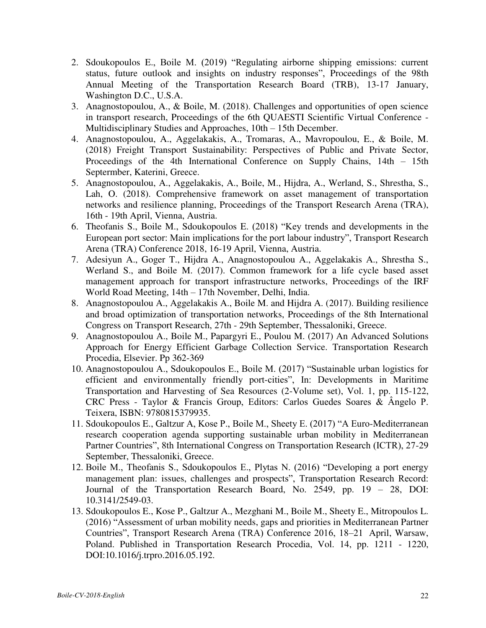- 2. Sdoukopoulos E., Boile M. (2019) "Regulating airborne shipping emissions: current status, future outlook and insights on industry responses", Proceedings of the 98th Annual Meeting of the Transportation Research Board (TRB), 13-17 January, Washington D.C., U.S.A.
- 3. Anagnostopoulou, A., & Boile, M. (2018). Challenges and opportunities of open science in transport research, Proceedings of the 6th QUAESTI Scientific Virtual Conference - Multidisciplinary Studies and Approaches, 10th – 15th December.
- 4. Anagnostopoulou, A., Aggelakakis, A., Tromaras, A., Mavropoulou, E., & Boile, M. (2018) Freight Transport Sustainability: Perspectives of Public and Private Sector, Proceedings of the 4th International Conference on Supply Chains, 14th – 15th Septermber, Katerini, Greece.
- 5. Anagnostopoulou, A., Aggelakakis, A., Boile, M., Hijdra, A., Werland, S., Shrestha, S., Lah, O. (2018). Comprehensive framework on asset management of transportation networks and resilience planning, Proceedings of the Transport Research Arena (TRA), 16th - 19th April, Vienna, Austria.
- 6. Theofanis S., Boile M., Sdoukopoulos E. (2018) "Key trends and developments in the European port sector: Main implications for the port labour industry", Transport Research Arena (TRA) Conference 2018, 16-19 April, Vienna, Austria.
- 7. Adesiyun A., Goger T., Hijdra A., Anagnostopoulou A., Aggelakakis A., Shrestha S., Werland S., and Boile M. (2017). Common framework for a life cycle based asset management approach for transport infrastructure networks, Proceedings of the IRF World Road Meeting, 14th – 17th November, Delhi, India.
- 8. Anagnostopoulou A., Aggelakakis A., Boile M. and Hijdra A. (2017). Building resilience and broad optimization of transportation networks, Proceedings of the 8th International Congress on Transport Research, 27th - 29th September, Thessaloniki, Greece.
- 9. Anagnostopoulou A., Boile M., Papargyri E., Poulou M. (2017) An Advanced Solutions Approach for Energy Efficient Garbage Collection Service. Transportation Research Procedia, Elsevier. Pp 362-369
- 10. Anagnostopoulou A., Sdoukopoulos E., Boile M. (2017) "Sustainable urban logistics for efficient and environmentally friendly port-cities", In: Developments in Maritime Transportation and Harvesting of Sea Resources (2-Volume set), Vol. 1, pp. 115-122, CRC Press - Taylor & Francis Group, Editors: Carlos Guedes Soares & Ângelo P. Teixera, ISBN: 9780815379935.
- 11. Sdoukopoulos E., Galtzur A, Kose P., Boile M., Sheety E. (2017) "A Euro-Mediterranean research cooperation agenda supporting sustainable urban mobility in Mediterranean Partner Countries", 8th International Congress on Transportation Research (ICTR), 27-29 September, Thessaloniki, Greece.
- 12. Boile M., Theofanis S., Sdoukopoulos E., Plytas N. (2016) "Developing a port energy management plan: issues, challenges and prospects", Transportation Research Record: Journal of the Transportation Research Board, No. 2549, pp. 19 – 28, DOI: 10.3141/2549-03.
- 13. Sdoukopoulos E., Kose P., Galtzur A., Mezghani M., Boile M., Sheety E., Mitropoulos L. (2016) "Assessment of urban mobility needs, gaps and priorities in Mediterranean Partner Countries", Transport Research Arena (TRA) Conference 2016, 18–21 April, Warsaw, Poland. Published in Transportation Research Procedia, Vol. 14, pp. 1211 - 1220, DOI:10.1016/j.trpro.2016.05.192.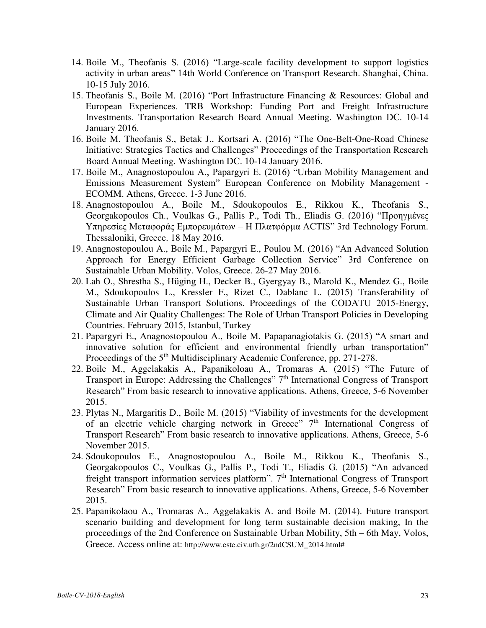- 14. Boile M., Theofanis S. (2016) "Large-scale facility development to support logistics activity in urban areas" 14th World Conference on Transport Research. Shanghai, China. 10-15 July 2016.
- 15. Theofanis S., Boile M. (2016) "Port Infrastructure Financing & Resources: Global and European Experiences. TRB Workshop: Funding Port and Freight Infrastructure Investments. Transportation Research Board Annual Meeting. Washington DC. 10-14 January 2016.
- 16. Boile M. Theofanis S., Betak J., Kortsari A. (2016) "The One-Belt-One-Road Chinese Initiative: Strategies Tactics and Challenges" Proceedings of the Transportation Research Board Annual Meeting. Washington DC. 10-14 January 2016.
- 17. Boile M., Anagnostopoulou A., Papargyri E. (2016) "Urban Mobility Management and Emissions Measurement System" European Conference on Mobility Management - ECOMM. Athens, Greece. 1-3 June 2016.
- 18. Anagnostopoulou A., Boile M., Sdoukopoulos E., Rikkou K., Theofanis S., Georgakopoulos Ch., Voulkas G., Pallis P., Todi Th., Eliadis G. (2016) "Προηγμένες Υπηρεσίες Μεταφοράς Εμπορευμάτων – Η Πλατφόρμα ACTIS" 3rd Technology Forum. Thessaloniki, Greece. 18 May 2016.
- 19. Anagnostopoulou A., Boile M., Papargyri E., Poulou M. (2016) "An Advanced Solution Approach for Energy Efficient Garbage Collection Service" 3rd Conference on Sustainable Urban Mobility. Volos, Greece. 26-27 May 2016.
- 20. Lah O., Shrestha S., Hüging H., Decker B., Gyergyay B., Marold K., Mendez G., Boile M., Sdoukopoulos L., Kressler F., Rizet C., Dablanc L. (2015) Transferability of Sustainable Urban Transport Solutions. Proceedings of the CODATU 2015-Energy, Climate and Air Quality Challenges: The Role of Urban Transport Policies in Developing Countries. February 2015, Istanbul, Turkey
- 21. Papargyri E., Anagnostopoulou A., Boile M. Papapanagiotakis G. (2015) "A smart and innovative solution for efficient and environmental friendly urban transportation" Proceedings of the 5<sup>th</sup> Multidisciplinary Academic Conference, pp. 271-278.
- 22. Boile M., Aggelakakis A., Papanikoloau A., Tromaras A. (2015) "The Future of Transport in Europe: Addressing the Challenges" 7<sup>th</sup> International Congress of Transport Research" From basic research to innovative applications. Athens, Greece, 5-6 November 2015.
- 23. Plytas N., Margaritis D., Boile M. (2015) "Viability of investments for the development of an electric vehicle charging network in Greece"  $7<sup>th</sup>$  International Congress of Transport Research" From basic research to innovative applications. Athens, Greece, 5-6 November 2015.
- 24. Sdoukopoulos E., Anagnostopoulou A., Boile M., Rikkou K., Theofanis S., Georgakopoulos C., Voulkas G., Pallis P., Todi T., Eliadis G. (2015) "An advanced freight transport information services platform". 7<sup>th</sup> International Congress of Transport Research" From basic research to innovative applications. Athens, Greece, 5-6 November 2015.
- 25. Papanikolaou A., Tromaras A., Aggelakakis A. and Boile M. (2014). Future transport scenario building and development for long term sustainable decision making, In the proceedings of the 2nd Conference on Sustainable Urban Mobility, 5th – 6th May, Volos, Greece. Access online at: [http://www.este.civ.uth.gr/2ndCSUM\\_2014.html#](http://www.este.civ.uth.gr/2ndCSUM_2014.html)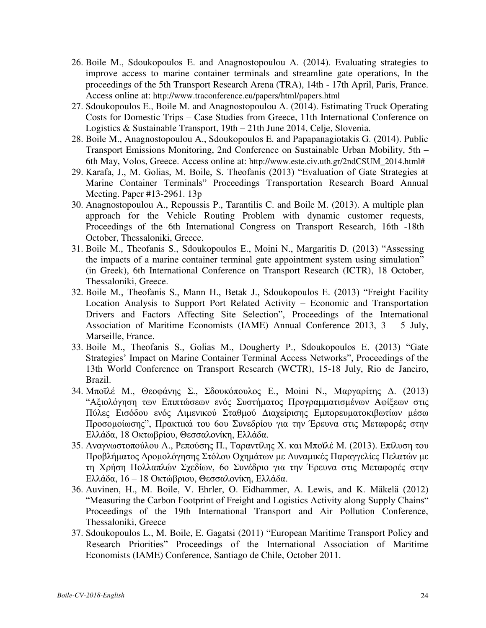- 26. Boile M., Sdoukopoulos E. and Anagnostopoulou A. (2014). Evaluating strategies to improve access to marine container terminals and streamline gate operations, In the proceedings of the 5th Transport Research Arena (TRA), 14th - 17th April, Paris, France. Access online at: <http://www.traconference.eu/papers/html/papers.html>
- 27. Sdoukopoulos E., Boile M. and Anagnostopoulou A. (2014). Estimating Truck Operating Costs for Domestic Trips – Case Studies from Greece, 11th International Conference on Logistics & Sustainable Transport, 19th – 21th June 2014, Celje, Slovenia.
- 28. Boile M., Anagnostopoulou A., Sdoukopoulos E. and Papapanagiotakis G. (2014). Public Transport Emissions Monitoring, 2nd Conference on Sustainable Urban Mobility, 5th – 6th May, Volos, Greece. Access online at: [http://www.este.civ.uth.gr/2ndCSUM\\_2014.html#](http://www.este.civ.uth.gr/2ndCSUM_2014.html)
- 29. Karafa, J., M. Golias, M. Boile, S. Theofanis (2013) "Evaluation of Gate Strategies at Marine Container Terminals" Proceedings Transportation Research Board Annual Meeting. Paper #13-2961. 13p
- 30. Anagnostopoulou A., Repoussis P., Tarantilis C. and Boile M. (2013). A multiple plan approach for the Vehicle Routing Problem with dynamic customer requests, Proceedings of the 6th International Congress on Transport Research, 16th -18th October, Thessaloniki, Greece.
- 31. Boile Μ., Theofanis S., Sdoukopoulos Ε., Moini N., Margaritis D. (2013) "Assessing the impacts of a marine container terminal gate appointment system using simulation" (in Greek), 6th International Conference on Transport Research (ICTR), 18 October, Thessaloniki, Greece.
- 32. Boile M., Theofanis S., Mann H., Betak J., Sdoukopoulos E. (2013) "Freight Facility Location Analysis to Support Port Related Activity – Economic and Transportation Drivers and Factors Affecting Site Selection", Proceedings of the International Association of Maritime Economists (IAME) Annual Conference 2013, 3 – 5 July, Marseille, France.
- 33. Boile M., Theofanis S., Golias M., Dougherty P., Sdoukopoulos E. (2013) "Gate Strategies' Impact on Marine Container Terminal Access Networks", Proceedings of the 13th World Conference on Transport Research (WCTR), 15-18 July, Rio de Janeiro, Brazil.
- 34. Μποϊλέ Μ., Θεοφάνης Σ., Σδουκόπουλος Ε., Moini N., Μαργαρίτης Δ. (2013) "Αξιολόγηση των Επιπτώσεων ενός Συστήματος Προγραμματισμένων Αφίξεων στις Πύλες Εισόδου ενός Λιμενικού Σταθμού Διαχείρισης Εμπορευματοκιβωτίων μέσω Προσομοίωσης", Πρακτικά του 6ου Συνεδρίου για την Έρευνα στις Μεταφορές στην Ελλάδα, 18 Οκτωβρίου, Θεσσαλονίκη, Ελλάδα.
- 35. Αναγνωστοπούλου Α., Ρεπούσης Π., Ταραντίλης Χ. και Μποϊλέ Μ. (2013). Επίλυση του Προβλήματος Δρομολόγησης Στόλου Οχημάτων με Δυναμικές Παραγγελίες Πελατών με τη Χρήση Πολλαπλών Σχεδίων, 6ο Συνέδριο για την Έρευνα στις Μεταφορές στην Ελλάδα, 16 – 18 Οκτώβριου, Θεσσαλονίκη, Ελλάδα.
- 36. Auvinen, H., M. Boile, V. Ehrler, O. Eidhammer, A. Lewis, and K. Mäkelä (2012) "Measuring the Carbon Footprint of Freight and Logistics Activity along Supply Chains" Proceedings of the 19th International Transport and Air Pollution Conference, Thessaloniki, Greece
- 37. Sdoukopoulos L., M. Boile, E. Gagatsi (2011) "European Maritime Transport Policy and Research Priorities" Proceedings of the International Association of Maritime Economists (IAME) Conference, Santiago de Chile, October 2011.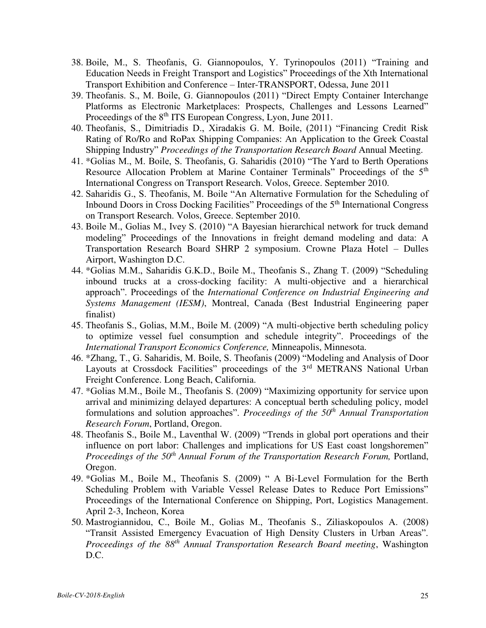- 38. Boile, M., S. Theofanis, G. Giannopoulos, Y. Tyrinopoulos (2011) "Training and Education Needs in Freight Transport and Logistics" Proceedings of the Xth International Transport Exhibition and Conference – Inter-TRANSPORT, Odessa, June 2011
- 39. Theofanis. S., M. Boile, G. Giannopoulos (2011) "Direct Empty Container Interchange Platforms as Electronic Marketplaces: Prospects, Challenges and Lessons Learned" Proceedings of the 8<sup>th</sup> ITS European Congress, Lyon, June 2011.
- 40. Theofanis, S., Dimitriadis D., Xiradakis G. M. Boile, (2011) "Financing Credit Risk Rating of Ro/Ro and RoPax Shipping Companies: An Application to the Greek Coastal Shipping Industry" *Proceedings of the Transportation Research Board* Annual Meeting.
- 41. \*Golias M., M. Boile, S. Theofanis, G. Saharidis (2010) "The Yard to Berth Operations Resource Allocation Problem at Marine Container Terminals" Proceedings of the 5<sup>th</sup> International Congress on Transport Research. Volos, Greece. September 2010.
- 42. Saharidis G., S. Theofanis, M. Boile "An Alternative Formulation for the Scheduling of Inbound Doors in Cross Docking Facilities" Proceedings of the 5<sup>th</sup> International Congress on Transport Research. Volos, Greece. September 2010.
- 43. Boile M., Golias M., Ivey S. (2010) "A Bayesian hierarchical network for truck demand modeling" Proceedings of the Innovations in freight demand modeling and data: A Transportation Research Board SHRP 2 symposium. Crowne Plaza Hotel – Dulles Airport, Washington D.C.
- 44. \*Golias M.M., Saharidis G.K.D., Boile M., Theofanis S., Zhang T. (2009) "Scheduling inbound trucks at a cross-docking facility: A multi-objective and a hierarchical approach". Proceedings of the *International Conference on Industrial Engineering and Systems Management (IESM)*, Montreal, Canada (Best Industrial Engineering paper finalist)
- 45. Theofanis S., Golias, M.M., Boile M. (2009) "A multi-objective berth scheduling policy to optimize vessel fuel consumption and schedule integrity". Proceedings of the *International Transport Economics Conference,* Minneapolis, Minnesota.
- 46. \*Zhang, T., G. Saharidis, M. Boile, S. Theofanis (2009) "Modeling and Analysis of Door Layouts at Crossdock Facilities" proceedings of the 3<sup>rd</sup> METRANS National Urban Freight Conference. Long Beach, California.
- 47. \*Golias M.M., Boile M., Theofanis S. (2009) "Maximizing opportunity for service upon arrival and minimizing delayed departures: A conceptual berth scheduling policy, model formulations and solution approaches". *Proceedings of the 50th Annual Transportation Research Forum*, Portland, Oregon.
- 48. Theofanis S., Boile M., Laventhal W. (2009) "Trends in global port operations and their influence on port labor: Challenges and implications for US East coast longshoremen" *Proceedings of the 50th Annual Forum of the Transportation Research Forum,* Portland, Oregon.
- 49. \*Golias M., Boile M., Theofanis S. (2009) " A Bi-Level Formulation for the Berth Scheduling Problem with Variable Vessel Release Dates to Reduce Port Emissions" Proceedings of the International Conference on Shipping, Port, Logistics Management. April 2-3, Incheon, Korea
- 50. Mastrogiannidou, C., Boile M., Golias M., Theofanis S., Ziliaskopoulos A. (2008) "Transit Assisted Emergency Evacuation of High Density Clusters in Urban Areas". *Proceedings of the 88th Annual Transportation Research Board meeting*, Washington D.C.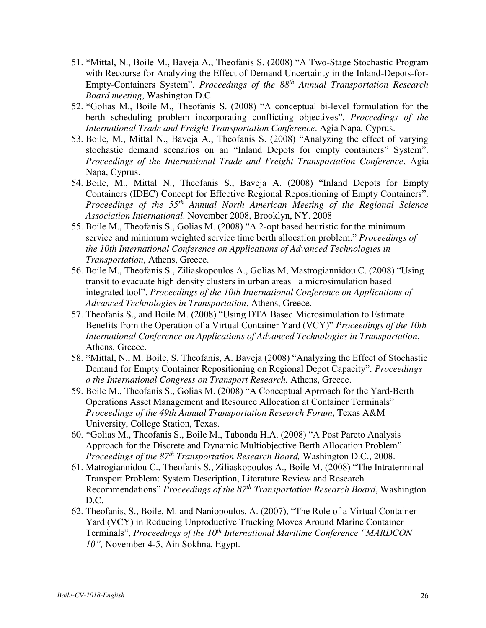- 51. \*Mittal, N., Boile M., Baveja A., Theofanis S. (2008) "A Two-Stage Stochastic Program with Recourse for Analyzing the Effect of Demand Uncertainty in the Inland-Depots-for-Empty-Containers System". *Proceedings of the 88th Annual Transportation Research Board meeting*, Washington D.C.
- 52. \*Golias M., Boile M., Theofanis S. (2008) "A conceptual bi-level formulation for the berth scheduling problem incorporating conflicting objectives". *Proceedings of the International Trade and Freight Transportation Conference*. Agia Napa, Cyprus.
- 53. Boile, M., Mittal N., Baveja A., Theofanis S. (2008) "Analyzing the effect of varying stochastic demand scenarios on an "Inland Depots for empty containers" System". *Proceedings of the International Trade and Freight Transportation Conference*, Agia Napa, Cyprus.
- 54. Boile, M., Mittal N., Theofanis S., Baveja A. (2008) "Inland Depots for Empty Containers (IDEC) Concept for Effective Regional Repositioning of Empty Containers". *Proceedings of the 55th Annual North American Meeting of the Regional Science Association International*. November 2008, Brooklyn, NY. 2008
- 55. Boile M., Theofanis S., Golias M. (2008) "A 2-opt based heuristic for the minimum service and minimum weighted service time berth allocation problem." *Proceedings of the 10th International Conference on Applications of Advanced Technologies in Transportation*, Athens, Greece.
- 56. Boile M., Theofanis S., Ziliaskopoulos A., Golias M, Mastrogiannidou C. (2008) "Using transit to evacuate high density clusters in urban areas– a microsimulation based integrated tool". *Proceedings of the 10th International Conference on Applications of Advanced Technologies in Transportation*, Athens, Greece.
- 57. Theofanis S., and Boile M. (2008) "Using DTA Based Microsimulation to Estimate Benefits from the Operation of a Virtual Container Yard (VCY)" *Proceedings of the 10th International Conference on Applications of Advanced Technologies in Transportation*, Athens, Greece.
- 58. \*Mittal, N., M. Boile, S. Theofanis, A. Baveja (2008) "Analyzing the Effect of Stochastic Demand for Empty Container Repositioning on Regional Depot Capacity". *Proceedings o the International Congress on Transport Research.* Athens, Greece.
- 59. Boile M., Theofanis S., Golias M. (2008) "A Conceptual Aprroach for the Yard-Berth Operations Asset Management and Resource Allocation at Container Terminals" *Proceedings of the 49th Annual Transportation Research Forum*, Texas A&M University, College Station, Texas.
- 60. \*Golias M., Theofanis S., Boile M., Taboada H.A. (2008) "A Post Pareto Analysis Approach for the Discrete and Dynamic Multiobjective Berth Allocation Problem" *Proceedings of the 87th Transportation Research Board,* Washington D.C., 2008.
- 61. Matrogiannidou C., Theofanis S., Ziliaskopoulos A., Boile M. (2008) "The Intraterminal Transport Problem: System Description, Literature Review and Research Recommendations" *Proceedings of the 87th Transportation Research Board*, Washington D.C.
- 62. Theofanis, S., Boile, M. and Naniopoulos, A. (2007), "The Role of a Virtual Container Yard (VCY) in Reducing Unproductive Trucking Moves Around Marine Container Terminals", *Proceedings of the 10th International Maritime Conference "MARDCON 10",* November 4-5, Ain Sokhna, Egypt.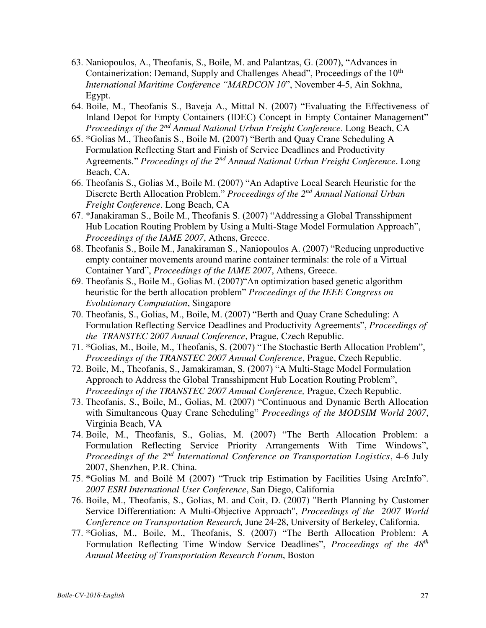- 63. Naniopoulos, A., Theofanis, S., Boile, M. and Palantzas, G. (2007), "Advances in Containerization: Demand, Supply and Challenges Ahead", Proceedings of the  $10<sup>th</sup>$ *International Maritime Conference "MARDCON 10*", November 4-5, Ain Sokhna, Egypt.
- 64. Boile, M., Theofanis S., Baveja A., Mittal N. (2007) "Evaluating the Effectiveness of Inland Depot for Empty Containers (IDEC) Concept in Empty Container Management" *Proceedings of the 2nd Annual National Urban Freight Conference*. Long Beach, CA
- 65. \*Golias M., Theofanis S., Boile M. (2007) "Berth and Quay Crane Scheduling A Formulation Reflecting Start and Finish of Service Deadlines and Productivity Agreements." *Proceedings of the 2nd Annual National Urban Freight Conference*. Long Beach, CA.
- 66. Theofanis S., Golias M., Boile M. (2007) "An Adaptive Local Search Heuristic for the Discrete Berth Allocation Problem." *Proceedings of the 2nd Annual National Urban Freight Conference*. Long Beach, CA
- 67. \*Janakiraman S., Boile M., Theofanis S. (2007) "Addressing a Global Transshipment Hub Location Routing Problem by Using a Multi-Stage Model Formulation Approach", *Proceedings of the IAME 2007*, Athens, Greece.
- 68. Theofanis S., Boile M., Janakiraman S., Naniopoulos A. (2007) "Reducing unproductive empty container movements around marine container terminals: the role of a Virtual Container Yard", *Proceedings of the IAME 2007*, Athens, Greece.
- 69. Theofanis S., Boile M., Golias M. (2007)"An optimization based genetic algorithm heuristic for the berth allocation problem" *Proceedings of the IEEE Congress on Evolutionary Computation*, Singapore
- 70. Theofanis, S., Golias, M., Boile, M. (2007) "Berth and Quay Crane Scheduling: A Formulation Reflecting Service Deadlines and Productivity Agreements", *Proceedings of the TRANSTEC 2007 Annual Conference*, Prague, Czech Republic.
- 71. \*Golias, M., Boile, M., Theofanis, S. (2007) "The Stochastic Berth Allocation Problem", *Proceedings of the TRANSTEC 2007 Annual Conference*, Prague, Czech Republic.
- 72. Boile, M., Theofanis, S., Jamakiraman, S. (2007) "A Multi-Stage Model Formulation Approach to Address the Global Transshipment Hub Location Routing Problem", *Proceedings of the TRANSTEC 2007 Annual Conference,* Prague, Czech Republic.
- 73. Theofanis, S., Boile, M., Golias, M. (2007) "Continuous and Dynamic Berth Allocation with Simultaneous Quay Crane Scheduling" *Proceedings of the MODSIM World 2007*, Virginia Beach, VA
- 74. Boile, M., Theofanis, S., Golias, M. (2007) "The Berth Allocation Problem: a Formulation Reflecting Service Priority Arrangements With Time Windows", *Proceedings of the 2nd International Conference on Transportation Logistics*, 4-6 July 2007, Shenzhen, P.R. China.
- 75. \*Golias M. and Boilé M (2007) "Truck trip Estimation by Facilities Using ArcInfo". *2007 ESRI International User Conference*, San Diego, California
- 76. Boile, M., Theofanis, S., Golias, M. and Coit, D. (2007) "Berth Planning by Customer Service Differentiation: A Multi-Objective Approach", *Proceedings of the 2007 World Conference on Transportation Research,* June 24-28, University of Berkeley, California.
- 77. \*Golias, M., Boile, M., Theofanis, S. (2007) "The Berth Allocation Problem: A Formulation Reflecting Time Window Service Deadlines", *Proceedings of the 48th Annual Meeting of Transportation Research Forum*, Boston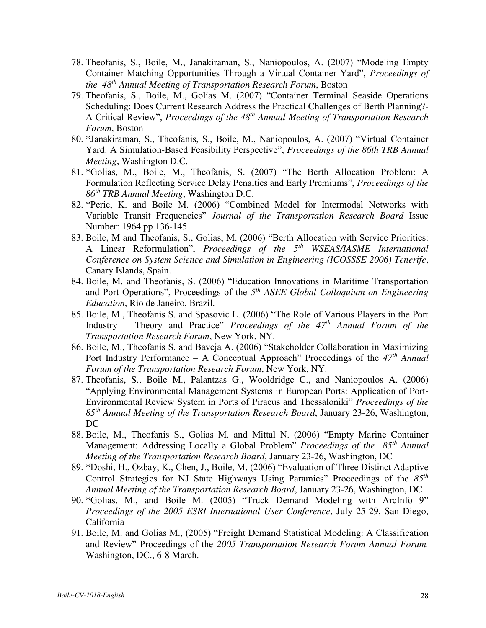- 78. Theofanis, S., Boile, M., Janakiraman, S., Naniopoulos, A. (2007) "Modeling Empty Container Matching Opportunities Through a Virtual Container Yard", *Proceedings of the 48th Annual Meeting of Transportation Research Forum*, Boston
- 79. Theofanis, S., Boile, M., Golias M. (2007) "Container Terminal Seaside Operations Scheduling: Does Current Research Address the Practical Challenges of Berth Planning?- A Critical Review", *Proceedings of the 48th Annual Meeting of Transportation Research Forum*, Boston
- 80. \*Janakiraman, S., Theofanis, S., Boile, M., Naniopoulos, A. (2007) "Virtual Container Yard: A Simulation-Based Feasibility Perspective", *Proceedings of the 86th TRB Annual Meeting*, Washington D.C.
- 81. \*Golias, M., Boile, M., Theofanis, S. (2007) "The Berth Allocation Problem: A Formulation Reflecting Service Delay Penalties and Early Premiums", *Proceedings of the 86th TRB Annual Meeting*, Washington D.C.
- 82. \*Peric, K. and Boile M. (2006) "Combined Model for Intermodal Networks with Variable Transit Frequencies" *Journal of the Transportation Research Board* Issue Number: 1964 pp 136-145
- 83. Boile, M and Theofanis, S., Golias, M. (2006) "Berth Allocation with Service Priorities: A Linear Reformulation", *Proceedings of the 5th WSEAS/IASME International Conference on System Science and Simulation in Engineering (ICOSSSE 2006) Tenerife*, Canary Islands, Spain.
- 84. Boile, M. and Theofanis, S. (2006) "Education Innovations in Maritime Transportation and Port Operations", Proceedings of the *5 th ASEE Global Colloquium on Engineering Education*, Rio de Janeiro, Brazil.
- 85. Boile, M., Theofanis S. and Spasovic L. (2006) "The Role of Various Players in the Port Industry – Theory and Practice" *Proceedings of the 47th Annual Forum of the Transportation Research Forum*, New York, NY.
- 86. Boile, M., Theofanis S. and Baveja A. (2006) "Stakeholder Collaboration in Maximizing Port Industry Performance – A Conceptual Approach" Proceedings of the *47th Annual Forum of the Transportation Research Forum*, New York, NY.
- 87. Theofanis, S., Boile M., Palantzas G., Wooldridge C., and Naniopoulos A. (2006) "Applying Environmental Management Systems in European Ports: Application of Port-Environmental Review System in Ports of Piraeus and Thessaloniki" *Proceedings of the 85th Annual Meeting of the Transportation Research Board*, January 23-26, Washington, DC
- 88. Boile, M., Theofanis S., Golias M. and Mittal N. (2006) "Empty Marine Container Management: Addressing Locally a Global Problem" *Proceedings of the 85th Annual Meeting of the Transportation Research Board*, January 23-26, Washington, DC
- 89. \*Doshi, H., Ozbay, K., Chen, J., Boile, M. (2006) "Evaluation of Three Distinct Adaptive Control Strategies for NJ State Highways Using Paramics" Proceedings of the *85th Annual Meeting of the Transportation Research Board*, January 23-26, Washington, DC
- 90. \*Golias, M., and Boile M. (2005) "Truck Demand Modeling with ArcInfo 9" *Proceedings of the 2005 ESRI International User Conference*, July 25-29, San Diego, California
- 91. Boile, M. and Golias M., (2005) "Freight Demand Statistical Modeling: A Classification and Review" Proceedings of the *2005 Transportation Research Forum Annual Forum,*  Washington, DC., 6-8 March.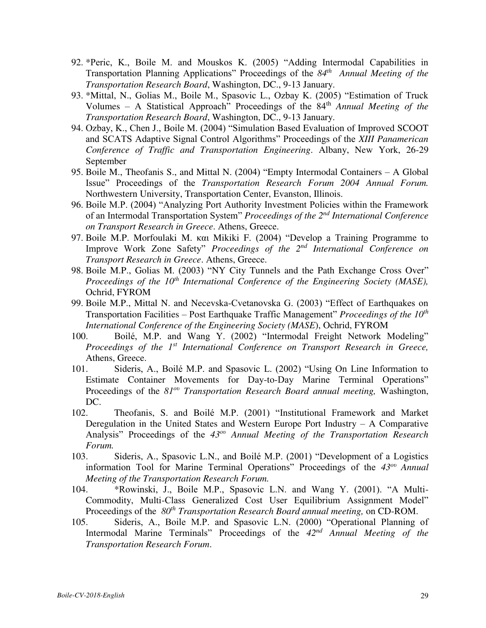- 92. \*Peric, K., Boile M. and Mouskos K. (2005) "Adding Intermodal Capabilities in Transportation Planning Applications" Proceedings of the *84th Annual Meeting of the Transportation Research Board*, Washington, DC., 9-13 January.
- 93. \*Mittal, N., Golias M., Boile M., Spasovic L., Ozbay K. (2005) "Estimation of Truck Volumes – A Statistical Approach" Proceedings of the 84th *Annual Meeting of the Transportation Research Board*, Washington, DC., 9-13 January.
- 94. Ozbay, K., Chen J., Boile M. (2004) "Simulation Based Evaluation of Improved SCOOT and SCATS Adaptive Signal Control Algorithms" Proceedings of the *XIII Panamerican Conference of Traffic and Transportation Engineering*. Albany, New York, 26-29 September
- 95. Boile M., Theofanis S., and Mittal N. (2004) "Empty Intermodal Containers A Global Issue" Proceedings of the *Transportation Research Forum 2004 Annual Forum.* Northwestern University, Transportation Center, Evanston, Illinois.
- 96. Boile M.P. (2004) "Analyzing Port Authority Investment Policies within the Framework of an Intermodal Transportation System" *Proceedings of the 2nd International Conference on Transport Research in Greece*. Athens, Greece.
- 97. Boile M.P. Morfoulaki M. και Mikiki F. (2004) "Develop a Training Programme to Improve Work Zone Safety" *Proceedings of the 2nd International Conference on Transport Research in Greece*. Athens, Greece.
- 98. Boile M.P., Golias M. (2003) "NY City Tunnels and the Path Exchange Cross Over" *Proceedings of the 10th International Conference of the Engineering Society (MASE),*  Ochrid, FYROM
- 99. Boile M.P., Mittal N. and Necevska-Cvetanovska G. (2003) "Effect of Earthquakes on Transportation Facilities – Post Earthquake Traffic Management" *Proceedings of the 10th International Conference of the Engineering Society (MASE*), Ochrid, FYROM
- 100. Boilé, M.P. and Wang Y. (2002) "Intermodal Freight Network Modeling" *Proceedings of the 1st International Conference on Transport Research in Greece,* Athens, Greece.
- 101. Sideris, A., Boilé M.P. and Spasovic L. (2002) "Using On Line Information to Estimate Container Movements for Day-to-Day Marine Terminal Operations" Proceedings of the *81ου Transportation Research Board annual meeting,* Washington, DC.
- 102. Theofanis, S. and Boilé M.P. (2001) "Institutional Framework and Market Deregulation in the United States and Western Europe Port Industry – A Comparative Analysis" Proceedings of the *43ου Annual Meeting of the Transportation Research Forum.*
- 103. Sideris, A., Spasovic L.N., and Boilé M.P. (2001) "Development of a Logistics information Tool for Marine Terminal Operations" Proceedings of the *43ου Annual Meeting of the Transportation Research Forum.*
- 104. \*Rowinski, J., Boile M.P., Spasovic L.N. and Wang Y. (2001). "A Multi-Commodity, Multi-Class Generalized Cost User Equilibrium Assignment Model" Proceedings of the *80th Transportation Research Board annual meeting,* on CD-ROM.
- 105. Sideris, A., Boile M.P. and Spasovic L.N. (2000) "Operational Planning of Intermodal Marine Terminals" Proceedings of the *42nd Annual Meeting of the Transportation Research Forum*.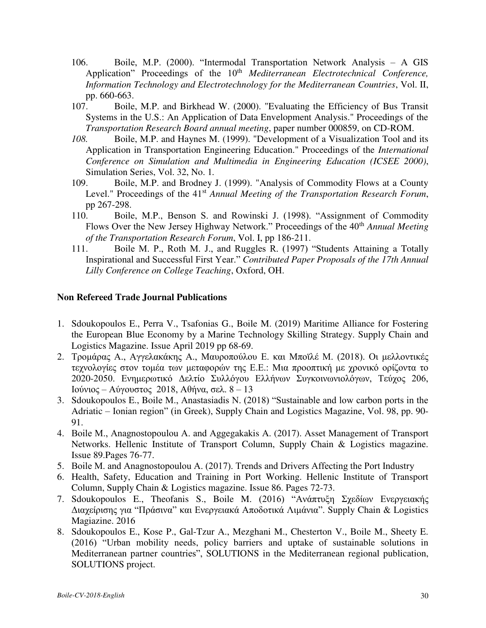- 106. Boile, M.P. (2000). "Intermodal Transportation Network Analysis A GIS Application" Proceedings of the 10<sup>th</sup> *Mediterranean Electrotechnical Conference*, *Information Technology and Electrotechnology for the Mediterranean Countries*, Vol. II, pp. 660-663.
- 107. Boile, M.P. and Birkhead W. (2000). "Evaluating the Efficiency of Bus Transit Systems in the U.S.: An Application of Data Envelopment Analysis." Proceedings of the *Transportation Research Board annual meeting*, paper number 000859, on CD-ROM.
- *108.* Boile, M.P. and Haynes M. (1999). "Development of a Visualization Tool and its Application in Transportation Engineering Education." Proceedings of the *International Conference on Simulation and Multimedia in Engineering Education (ICSEE 2000)*, Simulation Series, Vol. 32, No. 1*.*
- 109. Boile, M.P. and Brodney J. (1999). "Analysis of Commodity Flows at a County Level." Proceedings of the 41<sup>st</sup> *Annual Meeting of the Transportation Research Forum*, pp 267-298.
- 110. Boile, M.P., Benson S. and Rowinski J. (1998). "Assignment of Commodity Flows Over the New Jersey Highway Network." Proceedings of the 40<sup>th</sup> *Annual Meeting of the Transportation Research Forum*, Vol. I, pp 186-211.
- 111. Boile M. P., Roth M. J., and Ruggles R. (1997) "Students Attaining a Totally Inspirational and Successful First Year." *Contributed Paper Proposals of the 17th Annual Lilly Conference on College Teaching*, Oxford, OH.

### **Non Refereed Trade Journal Publications**

- 1. Sdoukopoulos E., Perra V., Tsafonias G., Boile M. (2019) Maritime Alliance for Fostering the European Blue Economy by a Marine Technology Skilling Strategy. Supply Chain and Logistics Magazine. Issue April 2019 pp 68-69.
- 2. Τρομάρας Α., Αγγελακάκης Α., Μαυροπούλου Ε. και Μποϊλέ Μ. (2018). Οι μελλοντικές τεχνολογίες στον τομέα των μεταφορών της Ε.Ε.: Μια προοπτική με χρονικό ορίζοντα το 2020-2050. Ενημερωτικό Δελτίο Συλλόγου Ελλήνων Συγκοινωνιολόγων, Τεύχος 206, Ιούνιος – Αύγουστος 2018, Αθήνα, σελ. 8 – 13
- 3. Sdoukopoulos E., Boile M., Anastasiadis N. (2018) "Sustainable and low carbon ports in the Adriatic – Ionian region" (in Greek), Supply Chain and Logistics Magazine, Vol. 98, pp. 90- 91.
- 4. Boile Μ., Anagnostopoulou A. and Aggegakakis A. (2017). Asset Management of Transport Networks. Hellenic Institute of Transport Column, Supply Chain & Logistics magazine. Issue 89.Pages 76-77.
- 5. Boile M. and Anagnostopoulou A. (2017). Trends and Drivers Affecting the Port Industry
- 6. Health, Safety, Education and Training in Port Working. Hellenic Institute of Transport Column, Supply Chain & Logistics magazine. Issue 86. Pages 72-73.
- 7. Sdoukopoulos E., Theofanis S., Boile M. (2016) "Ανάπτυξη Σχεδίων Ενεργειακής Διαχείρισης για "Πράσινα" και Ενεργειακά Αποδοτικά Λιμάνια". Supply Chain & Logistics Magiazine. 2016
- 8. Sdoukopoulos E., Kose P., Gal-Tzur A., Mezghani M., Chesterton V., Boile M., Sheety E. (2016) "Urban mobility needs, policy barriers and uptake of sustainable solutions in Mediterranean partner countries", SOLUTIONS in the Mediterranean regional publication, SOLUTIONS project.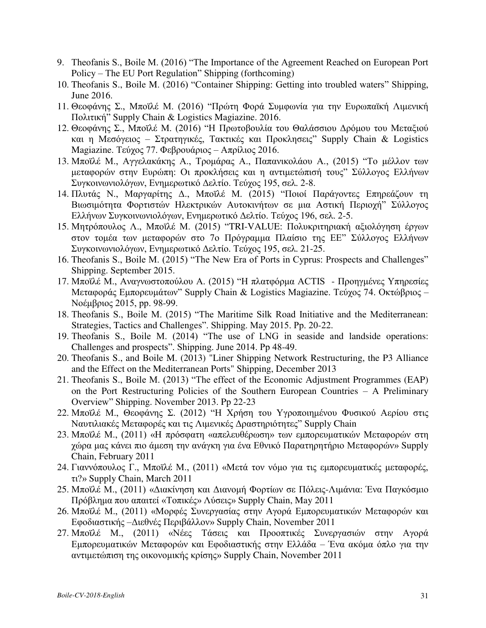- 9. Theofanis S., Boile M. (2016) "The Importance of the Agreement Reached on European Port Policy – The EU Port Regulation" Shipping (forthcoming)
- 10. Theofanis S., Boile M. (2016) "Container Shipping: Getting into troubled waters" Shipping, June 2016.
- 11. Θεοφάνης Σ., Μποϊλέ Μ. (2016) "Πρώτη Φορά Συμφωνία για την Ευρωπαϊκή Λιμενική Πολιτική" Supply Chain & Logistics Magiazine. 2016.
- 12. Θεοφάνης Σ., Μποϊλέ Μ. (2016) "Η Πρωτοβουλία του Θαλάσσιου Δρόμου του Μεταξιού και η Μεσόγειος – Στρατηγικές, Τακτικές και Προκλησεις" Supply Chain & Logistics Magiazine. Τεύχος 77. Φεβρουάριος – Απρίλιος 2016.
- 13. Μποϊλέ Μ., Αγγελακάκης Α., Τρομάρας Α., Παπανικολάου Α., (2015) "Το μέλλον των μεταφορών στην Ευρώπη: Οι προκλήσεις και η αντιμετώπισή τους" Σύλλογος Ελλήνων Συγκοινωνιολόγων, Ενημερωτικό Δελτίο. Τεύχος 195, σελ. 2-8.
- 14. Πλυτάς Ν., Μαργαρίτης Δ., Μποϊλέ Μ. (2015) "Ποιοί Παράγοντες Επηρεάζουν τη Βιωσιμότητα Φορτιστών Ηλεκτρικών Αυτοκινήτων σε μια Αστική Περιοχή" Σύλλογος Ελλήνων Συγκοινωνιολόγων, Ενημερωτικό Δελτίο. Τεύχος 196, σελ. 2-5.
- 15. Μητρόπουλος Λ., Μποϊλέ Μ. (2015) "TRI-VALUE: Πολυκριτηριακή αξιολόγηση έργων στον τομέα των μεταφορών στο 7ο Πρόγραμμα Πλαίσιο της ΕΕ" Σύλλογος Ελλήνων Συγκοινωνιολόγων, Ενημερωτικό Δελτίο. Τεύχος 195, σελ. 21-25.
- 16. Theofanis S., Boile M. (2015) "The New Era of Ports in Cyprus: Prospects and Challenges" Shipping. September 2015.
- 17. Μποϊλέ Μ., Αναγνωστοπούλου Α. (2015) "Η πλατφόρμα ACTIS Προηγμένες Υπηρεσίες Μεταφοράς Εμπορευμάτων" Supply Chain & Logistics Magiazine. Τεύχος 74. Οκτώβριος – Νοέμβριος 2015, pp. 98-99.
- 18. Theofanis S., Boile M. (2015) "The Maritime Silk Road Initiative and the Mediterranean: Strategies, Tactics and Challenges". Shipping. May 2015. Pp. 20-22.
- 19. Theofanis S., Boile M. (2014) "The use of LNG in seaside and landside operations: Challenges and prospects". Shipping. June 2014. Pp 48-49.
- 20. Theofanis S., and Boile M. (2013) "Liner Shipping Network Restructuring, the P3 Alliance and the Effect on the Mediterranean Ports" Shipping, December 2013
- 21. Theofanis S., Boile M. (2013) "The effect of the Economic Adjustment Programmes (EAP) on the Port Restructuring Policies of the Southern European Countries – A Preliminary Overview" Shipping. November 2013. Pp 22-23
- 22. Μποϊλέ Μ., Θεοφάνης Σ. (2012) "Η Χρήση του Υγροποιημένου Φυσικού Αερίου στις Ναυτιλιακές Μεταφορές και τις Λιμενικές Δραστηριότητες" Supply Chain
- 23. Μποϊλέ Μ., (2011) «Η πρόσφατη «απελευθέρωση» των εμπορευματικών Μεταφορών στη χώρα μας κάνει πιο άμεση την ανάγκη για ένα Εθνικό Παρατηρητήριο Μεταφορών» Supply Chain, February 2011
- 24. Γιαννόπουλος Γ., Μποϊλέ Μ., (2011) «Μετά τον νόμο για τις εμπορευματικές μεταφορές, τι?» Supply Chain, March 2011
- 25. Μποϊλέ Μ., (2011) «Διακίνηση και Διανομή Φορτίων σε Πόλεις-Λιμάνια: Ένα Παγκόσμιο Πρόβλημα που απαιτεί «Τοπικές» Λύσεις» Supply Chain, May 2011
- 26. Μποϊλέ Μ., (2011) «Μορφές Συνεργασίας στην Αγορά Εμπορευματικών Μεταφορών και Εφοδιαστικής –Διεθνές Περιβάλλον» Supply Chain, November 2011
- 27. Μποϊλέ Μ., (2011) «Νέες Τάσεις και Προοπτικές Συνεργασιών στην Αγορά Εμπορευματικών Μεταφορών και Εφοδιαστικής στην Ελλάδα – Ένα ακόμα όπλο για την αντιμετώπιση της οικονομικής κρίσης» Supply Chain, November 2011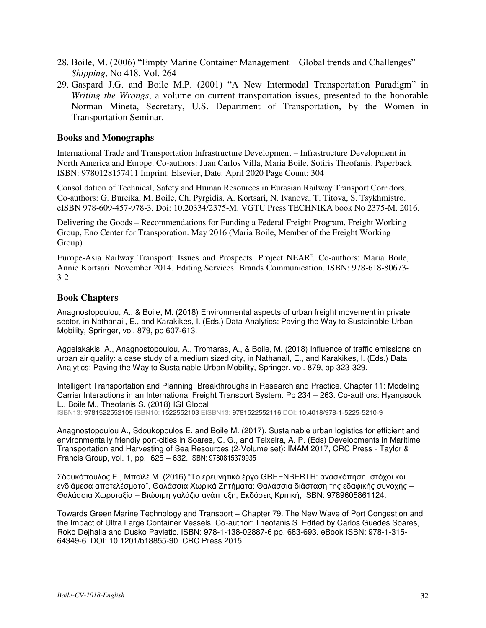- 28. Boile, M. (2006) "Empty Marine Container Management Global trends and Challenges" *Shipping*, No 418, Vol. 264
- 29. Gaspard J.G. and Boile M.P. (2001) "A New Intermodal Transportation Paradigm" in *Writing the Wrongs*, a volume on current transportation issues, presented to the honorable Norman Mineta, Secretary, U.S. Department of Transportation, by the Women in Transportation Seminar.

#### **Books and Monographs**

International Trade and Transportation Infrastructure Development – Infrastructure Development in North America and Europe. Co-authors: Juan Carlos Villa, Maria Boile, Sotiris Theofanis. Paperback ISBN: 9780128157411 Imprint: Elsevier, Date: April 2020 Page Count: 304

Consolidation of Technical, Safety and Human Resources in Eurasian Railway Transport Corridors. Co-authors: G. Bureika, M. Boile, Ch. Pyrgidis, A. Kortsari, N. Ivanova, T. Titova, S. Tsykhmistro. eISBN 978-609-457-978-3. Doi: 10.20334/2375-M. VGTU Press TECHNIKA book No 2375-M. 2016.

Delivering the Goods – Recommendations for Funding a Federal Freight Program. Freight Working Group, Eno Center for Transporation. May 2016 (Maria Boile, Member of the Freight Working Group)

Europe-Asia Railway Transport: Issues and Prospects. Project NEAR<sup>2</sup>. Co-authors: Maria Boile, Annie Kortsari. November 2014. Editing Services: Brands Communication. ISBN: 978-618-80673- 3-2

#### **Book Chapters**

Anagnostopoulou, A., & Boile, M. (2018) Environmental aspects of urban freight movement in private sector, in Nathanail, E., and Karakikes, I. (Eds.) Data Analytics: Paving the Way to Sustainable Urban Mobility, Springer, vol. 879, pp 607-613.

Aggelakakis, A., Anagnostopoulou, A., Tromaras, A., & Boile, M. (2018) Influence of traffic emissions on urban air quality: a case study of a medium sized city, in Nathanail, E., and Karakikes, I. (Eds.) Data Analytics: Paving the Way to Sustainable Urban Mobility, Springer, vol. 879, pp 323-329.

Intelligent Transportation and Planning: Breakthroughs in Research and Practice. Chapter 11: Modeling Carrier Interactions in an International Freight Transport System. Pp 234 – 263. Co-authors: Hyangsook L., Boile M., Theofanis S. (2018) IGI Global

ISBN13: 9781522552109|ISBN10: 1522552103|EISBN13: 9781522552116|DOI: 10.4018/978-1-5225-5210-9

Anagnostopoulou A., Sdoukopoulos E. and Boile M. (2017). Sustainable urban logistics for efficient and environmentally friendly port-cities in Soares, C. G., and Teixeira, A. P. (Eds) Developments in Maritime Transportation and Harvesting of Sea Resources (2-Volume set): IMAM 2017, CRC Press - Taylor & Francis Group, vol. 1, pp. 625 – 632. ISBN: 9780815379935

Σδουκόπουλος Ε., Μποϊλέ Μ. (2016) "Το ερευνητικό έργο GREENBERTH: ανασκόπηση, στόχοι και ενδιάμεσα αποτελέσματα", Θαλάσσια Χωρικά Ζητήματα: Θαλάσσια διάσταση της εδαφικής συνοχής – Θαλάσσια Χωροταξία – Βιώσιμη γαλάζια ανάπτυξη, Εκδόσεις Κριτική, ISBN: 9789605861124.

Towards Green Marine Technology and Transport – Chapter 79. The New Wave of Port Congestion and the Impact of Ultra Large Container Vessels. Co-author: Theofanis S. Edited by Carlos Guedes Soares, Roko Dejhalla and Dusko Pavletic. ISBN: 978-1-138-02887-6 pp. 683-693. eBook ISBN: 978-1-315- 64349-6. DOI: 10.1201/b18855-90. CRC Press 2015.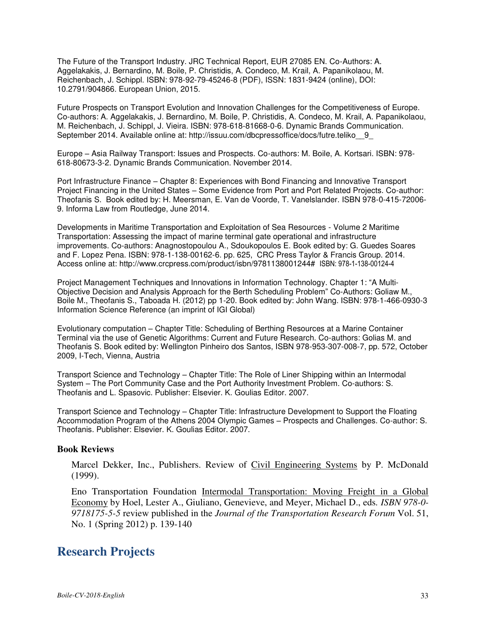The Future of the Transport Industry. JRC Technical Report, EUR 27085 EN. Co-Authors: A. Aggelakakis, J. Bernardino, M. Boile, P. Christidis, A. Condeco, M. Krail, A. Papanikolaou, M. Reichenbach, J. Schippl. ISBN: 978-92-79-45246-8 (PDF), ISSN: 1831-9424 (online), DOI: 10.2791/904866. European Union, 2015.

Future Prospects on Transport Evolution and Innovation Challenges for the Competitiveness of Europe. Co-authors: A. Aggelakakis, J. Bernardino, M. Boile, P. Christidis, A. Condeco, M. Krail, A. Papanikolaou, M. Reichenbach, J. Schippl, J. Vieira. ISBN: 978-618-81668-0-6. Dynamic Brands Communication. September 2014. Available online at: http://issuu.com/dbcpressoffice/docs/futre.teliko 9

Europe – Asia Railway Transport: Issues and Prospects. Co-authors: M. Boile, A. Kortsari. ISBN: 978- 618-80673-3-2. Dynamic Brands Communication. November 2014.

Port Infrastructure Finance – Chapter 8: Experiences with Bond Financing and Innovative Transport Project Financing in the United States – Some Evidence from Port and Port Related Projects. Co-author: Theofanis S. Book edited by: H. Meersman, E. Van de Voorde, T. Vanelslander. ISBN 978-0-415-72006- 9. Informa Law from Routledge, June 2014.

Developments in Maritime Transportation and Exploitation of Sea Resources - Volume 2 Maritime Transportation: Assessing the impact of marine terminal gate operational and infrastructure improvements. Co-authors: Anagnostopoulou A., Sdoukopoulos E. Book edited by: G. Guedes Soares and F. Lopez Pena. ISBN: 978-1-138-00162-6. pp. 625, CRC Press Taylor & Francis Group. 2014. Access online at: [http://www.crcpress.com/product/isbn/9781138001244#](http://www.crcpress.com/product/isbn/9781138001244) ISBN: 978-1-138-00124-4

Project Management Techniques and Innovations in Information Technology. Chapter 1: "A Multi-Objective Decision and Analysis Approach for the Berth Scheduling Problem" Co-Authors: Goliaw M., Boile M., Theofanis S., Taboada H. (2012) pp 1-20. Book edited by: John Wang. ISBN: 978-1-466-0930-3 Information Science Reference (an imprint of IGI Global)

Evolutionary computation – Chapter Title: Scheduling of Berthing Resources at a Marine Container Terminal via the use of Genetic Algorithms: Current and Future Research. Co-authors: Golias M. and Theofanis S. Book edited by: Wellington Pinheiro dos Santos, ISBN 978-953-307-008-7, pp. 572, October 2009, I-Tech, Vienna, Austria

Transport Science and Technology – Chapter Title: The Role of Liner Shipping within an Intermodal System – The Port Community Case and the Port Authority Investment Problem. Co-authors: S. Theofanis and L. Spasovic. Publisher: Elsevier. K. Goulias Editor. 2007.

Transport Science and Technology – Chapter Title: Infrastructure Development to Support the Floating Accommodation Program of the Athens 2004 Olympic Games – Prospects and Challenges. Co-author: S. Theofanis. Publisher: Elsevier. K. Goulias Editor. 2007.

#### **Book Reviews**

Marcel Dekker, Inc., Publishers. Review of Civil Engineering Systems by P. McDonald (1999).

Eno Transportation Foundation Intermodal Transportation: Moving Freight in a Global Economy by Hoel, Lester A., Giuliano, Genevieve, and Meyer, Michael D., eds*. ISBN 978-0- 9718175-5-5* review published in the *Journal of the Transportation Research Forum* Vol. 51, No. 1 (Spring 2012) p. 139-140

## **Research Projects**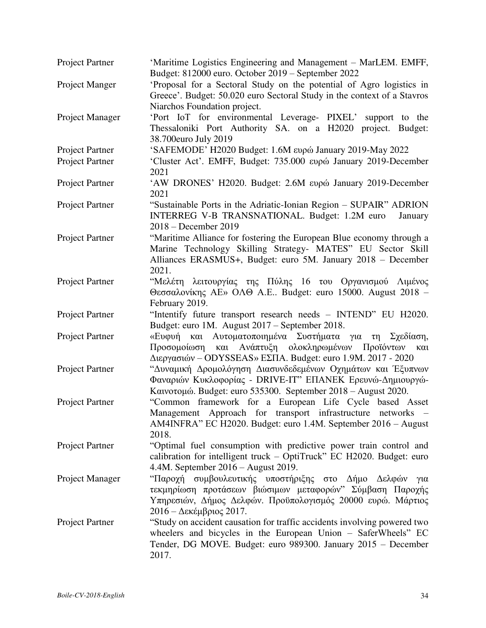| Project Partner        | 'Maritime Logistics Engineering and Management – MarLEM. EMFF,<br>Budget: 812000 euro. October 2019 – September 2022                                                                                                |
|------------------------|---------------------------------------------------------------------------------------------------------------------------------------------------------------------------------------------------------------------|
| Project Manger         | 'Proposal for a Sectoral Study on the potential of Agro logistics in<br>Greece'. Budget: 50.020 euro Sectoral Study in the context of a Stavros<br>Niarchos Foundation project.                                     |
| Project Manager        | 'Port IoT for environmental Leverage- PIXEL' support to the<br>Thessaloniki Port Authority SA. on a H2020 project. Budget:<br>38.700euro July 2019                                                                  |
| Project Partner        | 'SAFEMODE' H2020 Budget: 1.6M ευρώ January 2019-May 2022                                                                                                                                                            |
| Project Partner        | 'Cluster Act'. EMFF, Budget: 735.000 ευρώ January 2019-December<br>2021                                                                                                                                             |
| Project Partner        | 'AW DRONES' H2020. Budget: 2.6M ευρώ January 2019-December<br>2021                                                                                                                                                  |
| Project Partner        | "Sustainable Ports in the Adriatic-Ionian Region - SUPAIR" ADRION<br>INTERREG V-B TRANSNATIONAL. Budget: 1.2M euro<br>January<br>2018 – December 2019                                                               |
| Project Partner        | "Maritime Alliance for fostering the European Blue economy through a<br>Marine Technology Skilling Strategy- MATES" EU Sector Skill<br>Alliances ERASMUS+, Budget: euro 5M. January 2018 – December<br>2021.        |
| Project Partner        | "Μελέτη λειτουργίας της Πύλης 16 του Οργανισμού Λιμένος<br>Θεσσαλονίκης ΑΕ» ΟΛΘ Α.Ε Budget: euro 15000. August 2018 -<br>February 2019.                                                                             |
| Project Partner        | "Intentify future transport research needs - INTEND" EU H2020.<br>Budget: euro 1M. August 2017 – September 2018.                                                                                                    |
| Project Partner        | «Ευφυή και Αυτοματοποιημένα Συστήματα για<br>τη Σχεδίαση,<br>και Ανάπτυξη ολοκληρωμένων<br>Προϊόντων<br>Προσομοίωση<br>και<br>Διεργασιών – ODYSSEAS» ΕΣΠΑ. Budget: euro 1.9M. 2017 - 2020                           |
| Project Partner        | "Δυναμική Δρομολόγηση Διασυνδεδεμένων Οχημάτων και Εξυπνων<br>Φαναριών Κυκλοφορίας - DRIVE-IT" ΕΠΑΝΕΚ Ερευνώ-Δημιουργώ-<br>Καινοτομώ. Budget: euro 535300. September 2018 - August 2020.                            |
| Project Partner        | "Common framework for a European Life Cycle based Asset<br>Management Approach for transport infrastructure networks -<br>AM4INFRA" EC H2020. Budget: euro 1.4M. September 2016 – August<br>2018.                   |
| <b>Project Partner</b> | "Optimal fuel consumption with predictive power train control and<br>calibration for intelligent truck – OptiTruck" EC H2020. Budget: euro<br>4.4M. September $2016 -$ August 2019.                                 |
| Project Manager        | "Παροχή συμβουλευτικής υποστήριξης στο Δήμο Δελφών<br>για<br>τεκμηρίωση προτάσεων βιώσιμων μεταφορών" Σύμβαση Παροχής<br>Υπηρεσιών, Δήμος Δελφών. Προϋπολογισμός 20000 ευρώ. Μάρτιος<br>2016 – Δεκέμβριος 2017.     |
| <b>Project Partner</b> | "Study on accident causation for traffic accidents involving powered two<br>wheelers and bicycles in the European Union – SaferWheels" EC<br>Tender, DG MOVE. Budget: euro 989300. January 2015 - December<br>2017. |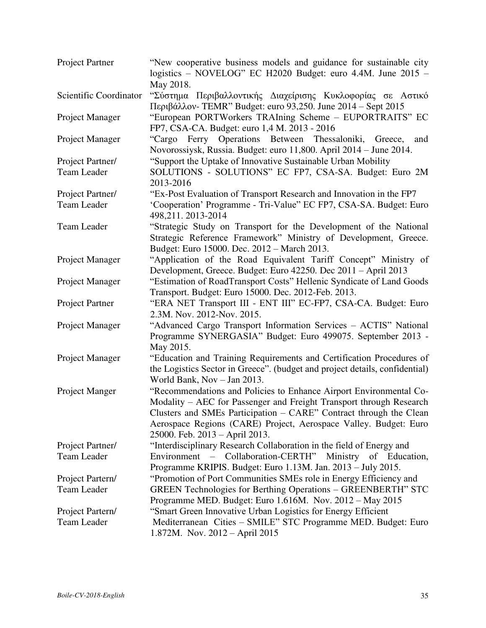| Project Partner        | "New cooperative business models and guidance for sustainable city<br>logistics - NOVELOG" EC H2020 Budget: euro 4.4M. June 2015 -<br>May 2018.                                                                                                                                                                       |
|------------------------|-----------------------------------------------------------------------------------------------------------------------------------------------------------------------------------------------------------------------------------------------------------------------------------------------------------------------|
| Scientific Coordinator | "Σύστημα Περιβαλλοντικής Διαχείρισης Κυκλοφορίας σε Αστικό<br>Περιβάλλον- TEMR" Budget: euro 93,250. June 2014 – Sept 2015                                                                                                                                                                                            |
| Project Manager        | "European PORTWorkers TRAIning Scheme - EUPORTRAITS" EC<br>FP7, CSA-CA. Budget: euro 1,4 M. 2013 - 2016                                                                                                                                                                                                               |
| Project Manager        | "Cargo Ferry Operations Between Thessaloniki,<br>Greece,<br>and<br>Novorossiysk, Russia. Budget: euro 11,800. April 2014 – June 2014.                                                                                                                                                                                 |
| Project Partner/       | "Support the Uptake of Innovative Sustainable Urban Mobility                                                                                                                                                                                                                                                          |
| Team Leader            | SOLUTIONS - SOLUTIONS" EC FP7, CSA-SA. Budget: Euro 2M                                                                                                                                                                                                                                                                |
|                        | 2013-2016                                                                                                                                                                                                                                                                                                             |
| Project Partner/       | "Ex-Post Evaluation of Transport Research and Innovation in the FP7                                                                                                                                                                                                                                                   |
| Team Leader            | 'Cooperation' Programme - Tri-Value" EC FP7, CSA-SA. Budget: Euro<br>498,211.2013-2014                                                                                                                                                                                                                                |
| Team Leader            | "Strategic Study on Transport for the Development of the National<br>Strategic Reference Framework" Ministry of Development, Greece.<br>Budget: Euro 15000. Dec. 2012 - March 2013.                                                                                                                                   |
| Project Manager        | "Application of the Road Equivalent Tariff Concept" Ministry of<br>Development, Greece. Budget: Euro 42250. Dec 2011 – April 2013                                                                                                                                                                                     |
| Project Manager        | "Estimation of RoadTransport Costs" Hellenic Syndicate of Land Goods<br>Transport. Budget: Euro 15000. Dec. 2012-Feb. 2013.                                                                                                                                                                                           |
| Project Partner        | "ERA NET Transport III - ENT III" EC-FP7, CSA-CA. Budget: Euro<br>2.3M. Nov. 2012-Nov. 2015.                                                                                                                                                                                                                          |
| Project Manager        | "Advanced Cargo Transport Information Services - ACTIS" National<br>Programme SYNERGASIA" Budget: Euro 499075. September 2013 -<br>May 2015.                                                                                                                                                                          |
| Project Manager        | "Education and Training Requirements and Certification Procedures of<br>the Logistics Sector in Greece". (budget and project details, confidential)<br>World Bank, Nov - Jan 2013.                                                                                                                                    |
| Project Manger         | "Recommendations and Policies to Enhance Airport Environmental Co-<br>Modality - AEC for Passenger and Freight Transport through Research<br>Clusters and SMEs Participation - CARE" Contract through the Clean<br>Aerospace Regions (CARE) Project, Aerospace Valley. Budget: Euro<br>25000. Feb. 2013 - April 2013. |
| Project Partner/       | "Interdisciplinary Research Collaboration in the field of Energy and                                                                                                                                                                                                                                                  |
| <b>Team Leader</b>     | Environment<br>- Collaboration-CERTH" Ministry of Education,                                                                                                                                                                                                                                                          |
|                        | Programme KRIPIS. Budget: Euro 1.13M. Jan. 2013 - July 2015.                                                                                                                                                                                                                                                          |
| Project Partern/       | "Promotion of Port Communities SMEs role in Energy Efficiency and                                                                                                                                                                                                                                                     |
| <b>Team Leader</b>     | GREEN Technologies for Berthing Operations - GREENBERTH" STC<br>Programme MED. Budget: Euro 1.616M. Nov. 2012 - May 2015                                                                                                                                                                                              |
| Project Partern/       | "Smart Green Innovative Urban Logistics for Energy Efficient                                                                                                                                                                                                                                                          |
| <b>Team Leader</b>     | Mediterranean Cities - SMILE" STC Programme MED. Budget: Euro<br>1.872M. Nov. 2012 – April 2015                                                                                                                                                                                                                       |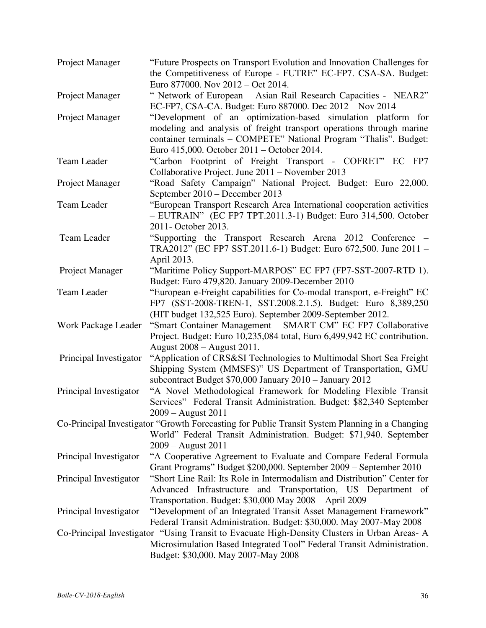| Project Manager        | "Future Prospects on Transport Evolution and Innovation Challenges for<br>the Competitiveness of Europe - FUTRE" EC-FP7. CSA-SA. Budget:                                                                                                                 |
|------------------------|----------------------------------------------------------------------------------------------------------------------------------------------------------------------------------------------------------------------------------------------------------|
| Project Manager        | Euro 877000. Nov 2012 – Oct 2014.<br>" Network of European - Asian Rail Research Capacities - NEAR2"<br>EC-FP7, CSA-CA. Budget: Euro 887000. Dec 2012 – Nov 2014                                                                                         |
| Project Manager        | "Development of an optimization-based simulation platform for<br>modeling and analysis of freight transport operations through marine<br>container terminals - COMPETE" National Program "Thalis". Budget:<br>Euro 415,000. October 2011 – October 2014. |
| <b>Team Leader</b>     | "Carbon Footprint of Freight Transport - COFRET" EC FP7<br>Collaborative Project. June 2011 - November 2013                                                                                                                                              |
| Project Manager        | "Road Safety Campaign" National Project. Budget: Euro 22,000.<br>September 2010 - December 2013                                                                                                                                                          |
| <b>Team Leader</b>     | "European Transport Research Area International cooperation activities<br>- EUTRAIN" (EC FP7 TPT.2011.3-1) Budget: Euro 314,500. October<br>2011- October 2013.                                                                                          |
| <b>Team Leader</b>     | "Supporting the Transport Research Arena 2012 Conference –<br>TRA2012" (EC FP7 SST.2011.6-1) Budget: Euro 672,500. June 2011 -<br>April 2013.                                                                                                            |
| Project Manager        | "Maritime Policy Support-MARPOS" EC FP7 (FP7-SST-2007-RTD 1).<br>Budget: Euro 479,820. January 2009-December 2010                                                                                                                                        |
| Team Leader            | "European e-Freight capabilities for Co-modal transport, e-Freight" EC<br>FP7 (SST-2008-TREN-1, SST.2008.2.1.5). Budget: Euro 8,389,250<br>(HIT budget 132,525 Euro). September 2009-September 2012.                                                     |
| Work Package Leader    | "Smart Container Management - SMART CM" EC FP7 Collaborative<br>Project. Budget: Euro 10,235,084 total, Euro 6,499,942 EC contribution.<br>August 2008 – August 2011.                                                                                    |
| Principal Investigator | "Application of CRS&SI Technologies to Multimodal Short Sea Freight<br>Shipping System (MMSFS)" US Department of Transportation, GMU<br>subcontract Budget \$70,000 January 2010 - January 2012                                                          |
| Principal Investigator | "A Novel Methodological Framework for Modeling Flexible Transit<br>Services" Federal Transit Administration. Budget: \$82,340 September<br>2009 – August 2011                                                                                            |
|                        | Co-Principal Investigator "Growth Forecasting for Public Transit System Planning in a Changing<br>World" Federal Transit Administration. Budget: \$71,940. September<br>$2009 -$ August 2011                                                             |
| Principal Investigator | "A Cooperative Agreement to Evaluate and Compare Federal Formula<br>Grant Programs" Budget \$200,000. September 2009 - September 2010                                                                                                                    |
| Principal Investigator | "Short Line Rail: Its Role in Intermodalism and Distribution" Center for<br>Advanced Infrastructure and Transportation, US Department of<br>Transportation. Budget: \$30,000 May 2008 - April 2009                                                       |
| Principal Investigator | "Development of an Integrated Transit Asset Management Framework"<br>Federal Transit Administration. Budget: \$30,000. May 2007-May 2008                                                                                                                 |
|                        | Co-Principal Investigator "Using Transit to Evacuate High-Density Clusters in Urban Areas-A<br>Microsimulation Based Integrated Tool" Federal Transit Administration.<br>Budget: \$30,000. May 2007-May 2008                                             |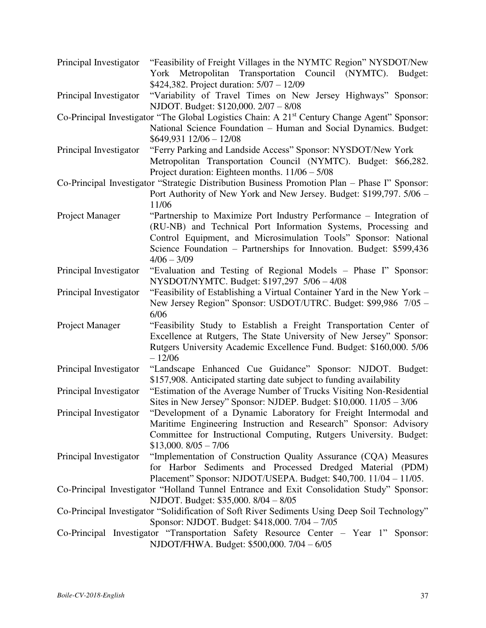| Principal Investigator | "Feasibility of Freight Villages in the NYMTC Region" NYSDOT/New<br>Transportation Council (NYMTC).<br>York Metropolitan<br>Budget:                                                                                                                                                              |
|------------------------|--------------------------------------------------------------------------------------------------------------------------------------------------------------------------------------------------------------------------------------------------------------------------------------------------|
| Principal Investigator | \$424,382. Project duration: 5/07 - 12/09<br>"Variability of Travel Times on New Jersey Highways" Sponsor:<br>NJDOT. Budget: \$120,000. 2/07 - 8/08                                                                                                                                              |
|                        | Co-Principal Investigator "The Global Logistics Chain: A 21 <sup>st</sup> Century Change Agent" Sponsor:<br>National Science Foundation - Human and Social Dynamics. Budget:                                                                                                                     |
| Principal Investigator | $$649,931$ $12/06 - 12/08$<br>"Ferry Parking and Landside Access" Sponsor: NYSDOT/New York<br>Metropolitan Transportation Council (NYMTC). Budget: \$66,282.<br>Project duration: Eighteen months. $11/06 - 5/08$                                                                                |
|                        | Co-Principal Investigator "Strategic Distribution Business Promotion Plan – Phase I" Sponsor:<br>Port Authority of New York and New Jersey. Budget: \$199,797. 5/06 -<br>11/06                                                                                                                   |
| Project Manager        | "Partnership to Maximize Port Industry Performance – Integration of<br>(RU-NB) and Technical Port Information Systems, Processing and<br>Control Equipment, and Microsimulation Tools" Sponsor: National<br>Science Foundation - Partnerships for Innovation. Budget: \$599,436<br>$4/06 - 3/09$ |
| Principal Investigator | "Evaluation and Testing of Regional Models – Phase I" Sponsor:<br>NYSDOT/NYMTC. Budget: \$197,297 5/06 - 4/08                                                                                                                                                                                    |
| Principal Investigator | "Feasibility of Establishing a Virtual Container Yard in the New York –<br>New Jersey Region" Sponsor: USDOT/UTRC. Budget: \$99,986 7/05 -<br>6/06                                                                                                                                               |
| Project Manager        | "Feasibility Study to Establish a Freight Transportation Center of<br>Excellence at Rutgers, The State University of New Jersey" Sponsor:<br>Rutgers University Academic Excellence Fund. Budget: \$160,000. 5/06<br>$-12/06$                                                                    |
| Principal Investigator | "Landscape Enhanced Cue Guidance" Sponsor: NJDOT. Budget:<br>\$157,908. Anticipated starting date subject to funding availability                                                                                                                                                                |
| Principal Investigator | "Estimation of the Average Number of Trucks Visiting Non-Residential<br>Sites in New Jersey" Sponsor: NJDEP. Budget: \$10,000. 11/05 - 3/06                                                                                                                                                      |
| Principal Investigator | "Development of a Dynamic Laboratory for Freight Intermodal and<br>Maritime Engineering Instruction and Research" Sponsor: Advisory<br>Committee for Instructional Computing, Rutgers University. Budget:<br>$$13,000.8/05 - 7/06$                                                               |
| Principal Investigator | "Implementation of Construction Quality Assurance (CQA) Measures<br>for Harbor Sediments and Processed Dredged Material (PDM)<br>Placement" Sponsor: NJDOT/USEPA. Budget: \$40,700. 11/04 - 11/05.                                                                                               |
|                        | Co-Principal Investigator "Holland Tunnel Entrance and Exit Consolidation Study" Sponsor:<br>NJDOT. Budget: \$35,000. 8/04 - 8/05                                                                                                                                                                |
|                        | Co-Principal Investigator "Solidification of Soft River Sediments Using Deep Soil Technology"<br>Sponsor: NJDOT. Budget: \$418,000. 7/04 - 7/05                                                                                                                                                  |
|                        | Co-Principal Investigator "Transportation Safety Resource Center - Year 1" Sponsor:<br>NJDOT/FHWA. Budget: \$500,000. 7/04 - 6/05                                                                                                                                                                |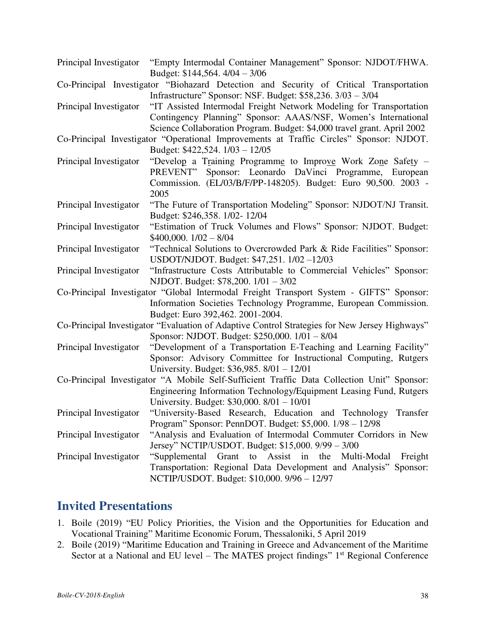- Principal Investigator "Empty Intermodal Container Management" Sponsor: NJDOT/FHWA. Budget: \$144,564. 4/04 – 3/06
- Co-Principal Investigator "Biohazard Detection and Security of Critical Transportation Infrastructure" Sponsor: NSF. Budget: \$58,236. 3/03 – 3/04

Principal Investigator "IT Assisted Intermodal Freight Network Modeling for Transportation Contingency Planning" Sponsor: AAAS/NSF, Women's International Science Collaboration Program. Budget: \$4,000 travel grant. April 2002

- Co-Principal Investigator "Operational Improvements at Traffic Circles" Sponsor: NJDOT. Budget: \$422,524. 1/03 – 12/05
- Principal Investigator "Develop a Training Programme to Improve Work Zone Safety PREVENT" Sponsor: Leonardo DaVinci Programme, European Commission. (EL/03/B/F/PP-148205). Budget: Euro 90,500. 2003 - 2005
- Principal Investigator "The Future of Transportation Modeling" Sponsor: NJDOT/NJ Transit. Budget: \$246,358. 1/02- 12/04
- Principal Investigator "Estimation of Truck Volumes and Flows" Sponsor: NJDOT. Budget: \$400,000. 1/02 – 8/04
- Principal Investigator "Technical Solutions to Overcrowded Park & Ride Facilities" Sponsor: USDOT/NJDOT. Budget: \$47,251. 1/02 –12/03
- Principal Investigator "Infrastructure Costs Attributable to Commercial Vehicles" Sponsor: NJDOT. Budget: \$78,200. 1/01 – 3/02
- Co-Principal Investigator "Global Intermodal Freight Transport System GIFTS" Sponsor: Information Societies Technology Programme, European Commission. Budget: Euro 392,462. 2001-2004.
- Co-Principal Investigator "Evaluation of Adaptive Control Strategies for New Jersey Highways" Sponsor: NJDOT. Budget: \$250,000. 1/01 – 8/04
- Principal Investigator "Development of a Transportation E-Teaching and Learning Facility" Sponsor: Advisory Committee for Instructional Computing, Rutgers University. Budget: \$36,985. 8/01 – 12/01
- Co-Principal Investigator "A Mobile Self-Sufficient Traffic Data Collection Unit" Sponsor: Engineering Information Technology/Equipment Leasing Fund, Rutgers University. Budget: \$30,000. 8/01 – 10/01
- Principal Investigator "University-Based Research, Education and Technology Transfer Program" Sponsor: PennDOT. Budget: \$5,000. 1/98 – 12/98
- Principal Investigator "Analysis and Evaluation of Intermodal Commuter Corridors in New Jersey" NCTIP/USDOT. Budget: \$15,000. 9/99 – 3/00
- Principal Investigator "Supplemental Grant to Assist in the Multi-Modal Freight Transportation: Regional Data Development and Analysis" Sponsor: NCTIP/USDOT. Budget: \$10,000. 9/96 – 12/97

# **Invited Presentations**

- 1. Boile (2019) "EU Policy Priorities, the Vision and the Opportunities for Education and Vocational Training" Maritime Economic Forum, Thessaloniki, 5 April 2019
- 2. Boile (2019) "Maritime Education and Training in Greece and Advancement of the Maritime Sector at a National and EU level – The MATES project findings"  $1<sup>st</sup>$  Regional Conference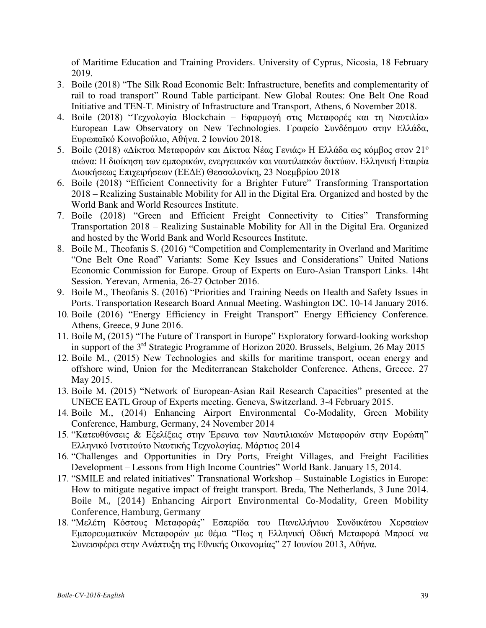of Maritime Education and Training Providers. University of Cyprus, Nicosia, 18 February 2019.

- 3. Boile (2018) "The Silk Road Economic Belt: Infrastructure, benefits and complementarity of rail to road transport" Round Table participant. New Global Routes: One Belt One Road Initiative and TEN-T. Ministry of Infrastructure and Transport, Athens, 6 November 2018.
- 4. Boile (2018) "Τεχνολογία Blockchain Εφαρμογή στις Μεταφορές και τη Ναυτιλία» European Law Observatory on New Technologies. Γραφείο Συνδέσμου στην Ελλάδα, Ευρωπαϊκό Κοινοβούλιο, Αθήνα. 2 Ιουνίου 2018.
- 5. Boile (2018) «Δίκτυα Μεταφορών και Δίκτυα Νέας Γενιάς» Η Ελλάδα ως κόμβος στον 21<sup>°</sup> αιώνα: Η διοίκηση των εμπορικών, ενεργειακών και ναυτιλιακών δικτύων. Ελληνική Εταιρία Διοικήσεως Επιχειρήσεων (ΕΕΔΕ) Θεσσαλονίκη, 23 Νοεμβρίου 2018
- 6. Boile (2018) "Efficient Connectivity for a Brighter Future" Transforming Transportation 2018 – Realizing Sustainable Mobility for All in the Digital Era. Organized and hosted by the World Bank and World Resources Institute.
- 7. Boile (2018) "Green and Efficient Freight Connectivity to Cities" Transforming Transportation 2018 – Realizing Sustainable Mobility for All in the Digital Era. Organized and hosted by the World Bank and World Resources Institute.
- 8. Boile M., Theofanis S. (2016) "Competition and Complementarity in Overland and Maritime "One Belt One Road" Variants: Some Key Issues and Considerations" United Nations Economic Commission for Europe. Group of Experts on Euro-Asian Transport Links. 14ht Session. Yerevan, Armenia, 26-27 October 2016.
- 9. Boile M., Theofanis S. (2016) "Priorities and Training Needs on Health and Safety Issues in Ports. Transportation Research Board Annual Meeting. Washington DC. 10-14 January 2016.
- 10. Boile (2016) "Energy Efficiency in Freight Transport" Energy Efficiency Conference. Athens, Greece, 9 June 2016.
- 11. Boile M, (2015) "The Future of Transport in Europe" Exploratory forward-looking workshop in support of the 3<sup>rd</sup> Strategic Programme of Horizon 2020. Brussels, Belgium, 26 May 2015
- 12. Boile M., (2015) New Technologies and skills for maritime transport, ocean energy and offshore wind, Union for the Mediterranean Stakeholder Conference. Athens, Greece. 27 May 2015.
- 13. Boile M. (2015) "Network of European-Asian Rail Research Capacities" presented at the UNECE EATL Group of Experts meeting. Geneva, Switzerland. 3-4 February 2015.
- 14. Boile M., (2014) Enhancing Airport Environmental Co-Modality, Green Mobility Conference, Hamburg, Germany, 24 November 2014
- 15. "Κατευθύνσεις & Εξελίξεις στην Έρευνα των Ναυτιλιακών Μεταφορών στην Ευρώπη" Ελληνικό Ινστιτούτο Ναυτικής Τεχνολογίας. Μάρτιος 2014
- 16. "Challenges and Opportunities in Dry Ports, Freight Villages, and Freight Facilities Development – Lessons from High Income Countries" World Bank. January 15, 2014.
- 17. "SMILE and related initiatives" Transnational Workshop Sustainable Logistics in Europe: How to mitigate negative impact of freight transport. Breda, The Netherlands, 3 June 2014. Boile M., (2014) Enhancing Airport Environmental Co-Modality, Green Mobility Conference, Hamburg, Germany
- 18. "Μελέτη Κόστους Μεταφοράς" Εσπερίδα του Πανελλήνιου Συνδικάτου Χερσαίων Εμπορευματικών Μεταφορών με θέμα "Πως η Ελληνική Οδική Μεταφορά Μπροεί να Συνεισφέρει στην Ανάπτυξη της Εθνικής Οικονομίας" 27 Ιουνίου 2013, Αθήνα.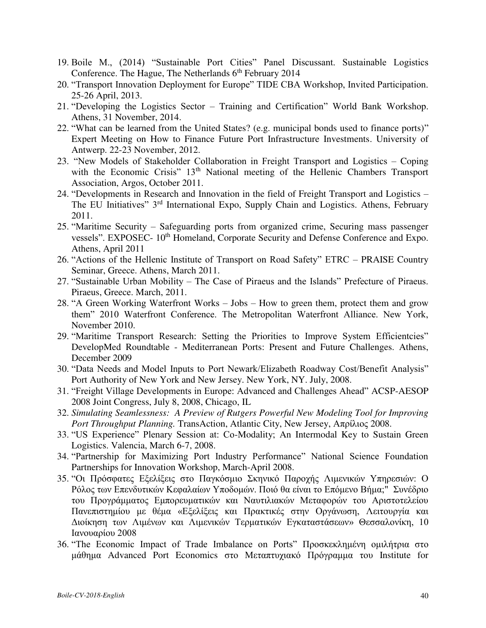- 19. Boile M., (2014) "Sustainable Port Cities" Panel Discussant. Sustainable Logistics Conference. The Hague, The Netherlands  $6<sup>th</sup>$  February 2014
- 20. "Transport Innovation Deployment for Europe" TIDE CBA Workshop, Invited Participation. 25-26 April, 2013.
- 21. "Developing the Logistics Sector Training and Certification" World Bank Workshop. Athens, 31 November, 2014.
- 22. "What can be learned from the United States? (e.g. municipal bonds used to finance ports)" Expert Meeting on How to Finance Future Port Infrastructure Investments. University of Antwerp. 22-23 November, 2012.
- 23. "New Models of Stakeholder Collaboration in Freight Transport and Logistics Coping with the Economic Crisis" 13<sup>th</sup> National meeting of the Hellenic Chambers Transport Association, Argos, October 2011.
- 24. "Developments in Research and Innovation in the field of Freight Transport and Logistics The EU Initiatives" 3<sup>rd</sup> International Expo, Supply Chain and Logistics. Athens, February 2011.
- 25. "Maritime Security Safeguarding ports from organized crime, Securing mass passenger vessels". EXPOSEC- 10th Homeland, Corporate Security and Defense Conference and Expo. Athens, April 2011
- 26. "Actions of the Hellenic Institute of Transport on Road Safety" ETRC PRAISE Country Seminar, Greece. Athens, March 2011.
- 27. "Sustainable Urban Mobility The Case of Piraeus and the Islands" Prefecture of Piraeus. Piraeus, Greece. March, 2011.
- 28. "A Green Working Waterfront Works Jobs How to green them, protect them and grow them" 2010 Waterfront Conference. The Metropolitan Waterfront Alliance. New York, November 2010.
- 29. "Maritime Transport Research: Setting the Priorities to Improve System Efficientcies" DevelopMed Roundtable - Mediterranean Ports: Present and Future Challenges. Athens, December 2009
- 30. "Data Needs and Model Inputs to Port Newark/Elizabeth Roadway Cost/Benefit Analysis" Port Authority of New York and New Jersey. New York, NY. July, 2008.
- 31. "Freight Village Developments in Europe: Advanced and Challenges Ahead" ACSP-AESOP 2008 Joint Congress, July 8, 2008, Chicago, IL
- 32. *Simulating Seamlessness: A Preview of Rutgers Powerful New Modeling Tool for Improving Port Throughput Planning.* TransAction, Atlantic City, New Jersey, Απρίλιος 2008.
- 33. "US Experience" Plenary Session at: Co-Modality; An Intermodal Key to Sustain Green Logistics. Valencia, March 6-7, 2008.
- 34. "Partnership for Maximizing Port Industry Performance" National Science Foundation Partnerships for Innovation Workshop, March-April 2008.
- 35. "Οι Πρόσφατες Εξελίξεις στο Παγκόσμιο Σκηνικό Παροχής Λιμενικών Υπηρεσιών: Ο Ρόλος των Επενδυτικών Κεφαλαίων Υποδομών. Ποιό θα είναι το Επόμενο Βήμα;" Συνέδριο του Προγράμματος Εμπορευματικών και Ναυτιλιακών Μεταφορών του Αριστοτελείου Πανεπιστημίου με θέμα «Εξελίξεις και Πρακτικές στην Οργάνωση, Λειτουργία και Διοίκηση των Λιμένων και Λιμενικών Τερματικών Εγκαταστάσεων» Θεσσαλονίκη, 10 Ιανουαρίου 2008
- 36. "The Economic Impact of Trade Imbalance on Ports" Προσκεκλημένη ομιλήτρια στο μάθημα Advanced Port Economics στο Μεταπτυχιακό Πρόγραμμα του Institute for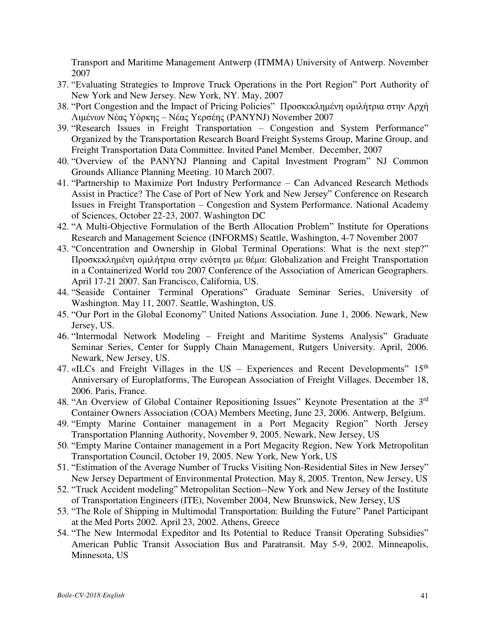Transport and Maritime Management Antwerp (ITMMA) University of Antwerp. November 2007

- 37. "Evaluating Strategies to Improve Truck Operations in the Port Region" Port Authority of New York and New Jersey. New York, NY. May, 2007
- 38. "Port Congestion and the Impact of Pricing Policies" Προσκεκλημένη ομιλήτρια στην Αρχή Λιμένων Νέας Υόρκης – Νέας Υερσέης (PANYNJ) November 2007
- 39. "Research Issues in Freight Transportation Congestion and System Performance" Organized by the Transportation Research Board Freight Systems Group, Marine Group, and Freight Transportation Data Committee. Invited Panel Member. December, 2007
- 40. "Overview of the PANYNJ Planning and Capital Investment Program" NJ Common Grounds Alliance Planning Meeting. 10 March 2007.
- 41. "Partnership to Maximize Port Industry Performance Can Advanced Research Methods Assist in Practice? The Case of Port of New York and New Jersey" Conference on Research Issues in Freight Transportation – Congestion and System Performance. National Academy of Sciences, October 22-23, 2007. Washington DC
- 42. "A Multi-Objective Formulation of the Berth Allocation Problem" Institute for Operations Research and Management Science (INFORMS) Seattle, Washington, 4-7 November 2007
- 43. "Concentration and Ownership in Global Terminal Operations: What is the next step?" Προσκεκλημένη ομιλήτρια στην ενότητα με θέμα: Globalization and Freight Transportation in a Containerized World του 2007 Conference of the Association of American Geographers. April 17-21 2007. San Francisco, California, US.
- 44. "Seaside Container Terminal Operations" Graduate Seminar Series, University of Washington. May 11, 2007. Seattle, Washington, US.
- 45. "Our Port in the Global Economy" United Nations Association. June 1, 2006. Newark, New Jersey, US.
- 46. "Intermodal Network Modeling Freight and Maritime Systems Analysis" Graduate Seminar Series, Center for Supply Chain Management, Rutgers University. April, 2006. Newark, New Jersey, US.
- 47. «ILCs and Freight Villages in the US Experiences and Recent Developments" 15<sup>th</sup> Anniversary of Europlatforms, The European Association of Freight Villages. December 18, 2006. Paris, France.
- 48. "An Overview of Global Container Repositioning Issues" Keynote Presentation at the 3<sup>rd</sup> Container Owners Association (COA) Members Meeting, June 23, 2006. Antwerp, Belgium.
- 49. "Empty Marine Container management in a Port Megacity Region" North Jersey Transportation Planning Authority, November 9, 2005. Νewark, New Jersey, US
- 50. "Empty Marine Container management in a Port Megacity Region, New York Metropolitan Transportation Council, October 19, 2005. New York, New York, US
- 51. "Estimation of the Average Number of Trucks Visiting Non-Residential Sites in New Jersey" New Jersey Department of Environmental Protection. May 8, 2005. Trenton, New Jersey, US
- 52. "Truck Accident modeling" Metropolitan Section--New York and New Jersey of the Institute of Transportation Engineers (ITE), November 2004, New Brunswick, New Jersey, US
- 53. "The Role of Shipping in Multimodal Transportation: Building the Future" Panel Participant at the Med Ports 2002. April 23, 2002. Athens, Greece
- 54. "The New Intermodal Expeditor and Its Potential to Reduce Transit Operating Subsidies" American Public Transit Association Bus and Paratransit. May 5-9, 2002. Minneapolis, Minnesota, US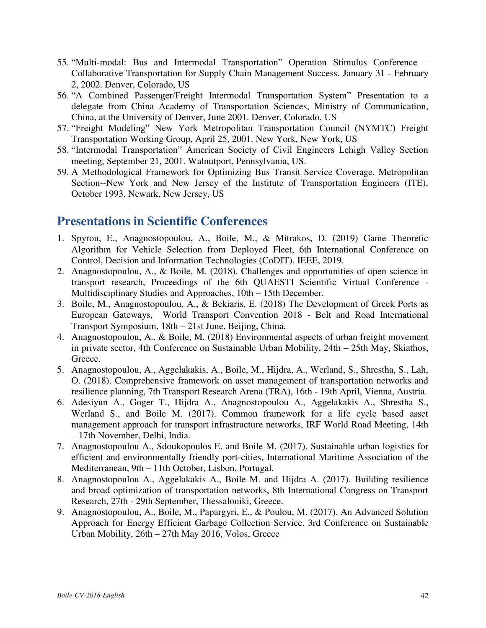- 55. "Multi-modal: Bus and Intermodal Transportation" Operation Stimulus Conference Collaborative Transportation for Supply Chain Management Success. January 31 - February 2, 2002. Denver, Colorado, US
- 56. "A Combined Passenger/Freight Intermodal Transportation System" Presentation to a delegate from China Academy of Transportation Sciences, Ministry of Communication, China, at the University of Denver, June 2001. Denver, Colorado, US
- 57. "Freight Modeling" New York Metropolitan Transportation Council (NYMTC) Freight Transportation Working Group, April 25, 2001. New York, New York, US
- 58. "Intermodal Transportation" American Society of Civil Engineers Lehigh Valley Section meeting, September 21, 2001. Walnutport, Pennsylvania, US.
- 59. A Methodological Framework for Optimizing Bus Transit Service Coverage. Metropolitan Section--New York and New Jersey of the Institute of Transportation Engineers (ITE), October 1993. Newark, New Jersey, US

# **Presentations in Scientific Conferences**

- 1. Spyrou, E., Anagnostopoulou, A., Boile, M., & Mitrakos, D. (2019) Game Theoretic Algorithm for Vehicle Selection from Deployed Fleet, 6th International Conference on Control, Decision and Information Technologies (CoDIT). IEEE, 2019.
- 2. Anagnostopoulou, A., & Boile, M. (2018). Challenges and opportunities of open science in transport research, Proceedings of the 6th QUAESTI Scientific Virtual Conference - Multidisciplinary Studies and Approaches, 10th – 15th December.
- 3. Boile, M., Anagnostopoulou, A., & Bekiaris, E. (2018) The Development of Greek Ports as European Gateways, World Transport Convention 2018 - Belt and Road International Transport Symposium, 18th – 21st June, Beijing, China.
- 4. Anagnostopoulou, A., & Boile, M. (2018) Environmental aspects of urban freight movement in private sector, 4th Conference on Sustainable Urban Mobility, 24th – 25th May, Skiathos, Greece.
- 5. Anagnostopoulou, A., Aggelakakis, A., Boile, M., Hijdra, A., Werland, S., Shrestha, S., Lah, O. (2018). Comprehensive framework on asset management of transportation networks and resilience planning, 7th Transport Research Arena (TRA), 16th - 19th April, Vienna, Austria.
- 6. Adesiyun A., Goger T., Hijdra A., Anagnostopoulou A., Aggelakakis A., Shrestha S., Werland S., and Boile M. (2017). Common framework for a life cycle based asset management approach for transport infrastructure networks, IRF World Road Meeting, 14th – 17th November, Delhi, India.
- 7. Anagnostopoulou A., Sdoukopoulos E. and Boile M. (2017). Sustainable urban logistics for efficient and environmentally friendly port-cities, International Maritime Association of the Mediterranean, 9th – 11th October, Lisbon, Portugal.
- 8. Anagnostopoulou A., Aggelakakis A., Boile M. and Hijdra A. (2017). Building resilience and broad optimization of transportation networks, 8th International Congress on Transport Research, 27th - 29th September, Thessaloniki, Greece.
- 9. Anagnostopoulou, A., Boile, M., Papargyri, E., & Poulou, M. (2017). An Advanced Solution Approach for Energy Efficient Garbage Collection Service. 3rd Conference on Sustainable Urban Mobility, 26th – 27th May 2016, Volos, Greece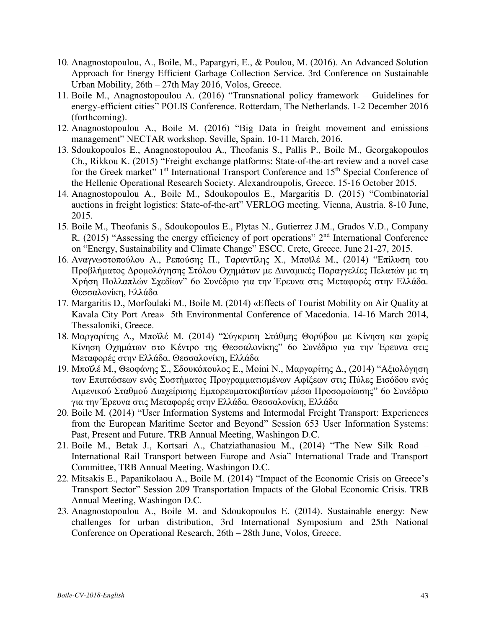- 10. Anagnostopoulou, A., Boile, M., Papargyri, E., & Poulou, M. (2016). An Advanced Solution Approach for Energy Efficient Garbage Collection Service. 3rd Conference on Sustainable Urban Mobility, 26th – 27th May 2016, Volos, Greece.
- 11. Boile M., Anagnostopoulou A. (2016) "Transnational policy framework Guidelines for energy-efficient cities" POLIS Conference. Rotterdam, The Netherlands. 1-2 December 2016 (forthcoming).
- 12. Anagnostopoulou A., Boile M. (2016) "Big Data in freight movement and emissions management" NECTAR workshop. Seville, Spain. 10-11 March, 2016.
- 13. Sdoukopoulos E., Anagnostopoulou A., Theofanis S., Pallis P., Boile M., Georgakopoulos Ch., Rikkou K. (2015) "Freight exchange platforms: State-of-the-art review and a novel case for the Greek market" 1<sup>st</sup> International Transport Conference and 15<sup>th</sup> Special Conference of the Hellenic Operational Research Society. Alexandroupolis, Greece. 15-16 October 2015.
- 14. Anagnostopoulou A., Boile M., Sdoukopoulos E., Margaritis D. (2015) "Combinatorial auctions in freight logistics: State-of-the-art" VERLOG meeting. Vienna, Austria. 8-10 June, 2015.
- 15. Boile M., Theofanis S., Sdoukopoulos E., Plytas N., Gutierrez J.M., Grados V.D., Company R. (2015) "Assessing the energy efficiency of port operations"  $2<sup>nd</sup>$  International Conference on "Energy, Sustainability and Climate Change" ESCC. Crete, Greece. June 21-27, 2015.
- 16. Αναγνωστοπούλου Α., Ρεπούσης Π., Ταραντίλης Χ., Μποϊλέ Μ., (2014) "Επίλυση του Προβλήματος Δρομολόγησης Στόλου Οχημάτων με Δυναμικές Παραγγελίες Πελατών με τη Χρήση Πολλαπλών Σχεδίων" 6ο Συνέδριο για την Έρευνα στις Μεταφορές στην Ελλάδα. Θεσσαλονίκη, Ελλάδα
- 17. Margaritis D., Morfoulaki M., Boile M. (2014) «Effects of Tourist Mobility on Air Quality at Kavala City Port Area» 5th Environmental Conference of Macedonia. 14-16 March 2014, Thessaloniki, Greece.
- 18. Μαργαρίτης Δ., Μποϊλέ Μ. (2014) "Σύγκριση Στάθμης Θορύβου με Κίνηση και χωρίς Κίνηση Οχημάτων στο Κέντρο της Θεσσαλονίκης" 6ο Συνέδριο για την Έρευνα στις Μεταφορές στην Ελλάδα. Θεσσαλονίκη, Ελλάδα
- 19. Μποϊλέ Μ., Θεοφάνης Σ., Σδουκόπουλος Ε., Moini N., Μαργαρίτης Δ., (2014) "Αξιολόγηση των Επιπτώσεων ενός Συστήματος Προγραμματισμένων Αφίξεων στις Πύλες Εισόδου ενός Λιμενικού Σταθμού Διαχείρισης Εμπορευματοκιβωτίων μέσω Προσομοίωσης" 6ο Συνέδριο για την Έρευνα στις Μεταφορές στην Ελλάδα. Θεσσαλονίκη, Ελλάδα
- 20. Boile M. (2014) "User Information Systems and Intermodal Freight Transport: Experiences from the European Maritime Sector and Beyond" Session 653 User Information Systems: Past, Present and Future. TRB Annual Meeting, Washingon D.C.
- 21. Boile M., Betak J., Kortsari A., Chatziathanasiou M., (2014) "The New Silk Road International Rail Transport between Europe and Asia" International Trade and Transport Committee, TRB Annual Meeting, Washingon D.C.
- 22. Mitsakis E., Papanikolaou A., Boile M. (2014) "Impact of the Economic Crisis on Greece's Transport Sector" Session 209 Transportation Impacts of the Global Economic Crisis. TRB Annual Meeting, Washingon D.C.
- 23. Anagnostopoulou A., Boile M. and Sdoukopoulos E. (2014). Sustainable energy: New challenges for urban distribution, 3rd International Symposium and 25th National Conference on Operational Research, 26th – 28th June, Volos, Greece.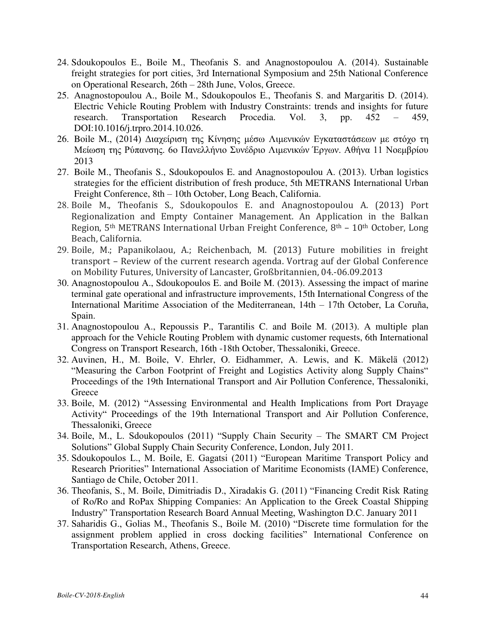- 24. Sdoukopoulos E., Boile M., Theofanis S. and Anagnostopoulou A. (2014). Sustainable freight strategies for port cities, 3rd International Symposium and 25th National Conference on Operational Research, 26th – 28th June, Volos, Greece.
- 25. Anagnostopoulou A., Boile M., Sdoukopoulos E., Theofanis S. and Margaritis D. (2014). Electric Vehicle Routing Problem with Industry Constraints: trends and insights for future research. Transportation Research Procedia. Vol. 3, pp. 452 – 459, DOI:10.1016/j.trpro.2014.10.026.
- 26. Boile M., (2014) Διαχείριση της Κίνησης μέσω Λιμενικών Εγκαταστάσεων με στόχο τη Μείωση της Ρύπανσης. 6ο Πανελλήνιο Συνέδριο Λιμενικών Έργων. Αθήνα 11 Νοεμβρίου 2013
- 27. Boile M., Theofanis S., Sdoukopoulos E. and Anagnostopoulou A. (2013). Urban logistics strategies for the efficient distribution of fresh produce, 5th METRANS International Urban Freight Conference, 8th – 10th October, Long Beach, California.
- 28. Boile M., Theofanis S., Sdoukopoulos E. and Anagnostopoulou A. (2013) Port Regionalization and Empty Container Management. An Application in the Balkan Region, 5th METRANS International Urban Freight Conference, 8th – 10th October, Long Beach, California.
- 29. Boile, M.; Papanikolaou, A.; Reichenbach, M. (2013) Future mobilities in freight transport – Review of the current research agenda. Vortrag auf der Global Conference on Mobility Futures, University of Lancaster, Großbritannien, 04.-06.09.2013
- 30. Anagnostopoulou A., Sdoukopoulos E. and Boile M. (2013). Assessing the impact of marine terminal gate operational and infrastructure improvements, 15th International Congress of the International Maritime Association of the Mediterranean, 14th – 17th October, La Coruña, Spain.
- 31. Anagnostopoulou A., Repoussis P., Tarantilis C. and Boile M. (2013). A multiple plan approach for the Vehicle Routing Problem with dynamic customer requests, 6th International Congress on Transport Research, 16th -18th October, Thessaloniki, Greece.
- 32. Auvinen, H., M. Boile, V. Ehrler, O. Eidhammer, A. Lewis, and K. Mäkelä (2012) "Measuring the Carbon Footprint of Freight and Logistics Activity along Supply Chains" Proceedings of the 19th International Transport and Air Pollution Conference, Thessaloniki, **Greece**
- 33. Boile, M. (2012) "Assessing Environmental and Health Implications from Port Drayage Activity" Proceedings of the 19th International Transport and Air Pollution Conference, Thessaloniki, Greece
- 34. Boile, M., L. Sdoukopoulos (2011) "Supply Chain Security The SMART CM Project Solutions" Global Supply Chain Security Conference, London, July 2011.
- 35. Sdoukopoulos L., M. Boile, E. Gagatsi (2011) "European Maritime Transport Policy and Research Priorities" International Association of Maritime Economists (IAME) Conference, Santiago de Chile, October 2011.
- 36. Theofanis, S., M. Boile, Dimitriadis D., Xiradakis G. (2011) "Financing Credit Risk Rating of Ro/Ro and RoPax Shipping Companies: An Application to the Greek Coastal Shipping Industry" Transportation Research Board Annual Meeting, Washington D.C. January 2011
- 37. Saharidis G., Golias M., Theofanis S., Boile M. (2010) "Discrete time formulation for the assignment problem applied in cross docking facilities" International Conference on Transportation Research, Athens, Greece.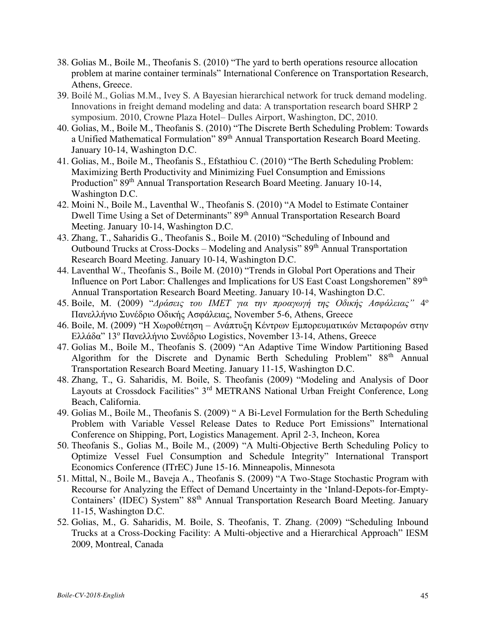- 38. Golias M., Boile M., Theofanis S. (2010) "The yard to berth operations resource allocation problem at marine container terminals" International Conference on Transportation Research, Athens, Greece.
- 39. Boilé M., Golias M.M., Ivey S. A Bayesian hierarchical network for truck demand modeling. Innovations in freight demand modeling and data: A transportation research board SHRP 2 symposium. 2010, Crowne Plaza Hotel– Dulles Airport, Washington, DC, 2010.
- 40. Golias, M., Boile M., Theofanis S. (2010) "The Discrete Berth Scheduling Problem: Towards a Unified Mathematical Formulation" 89<sup>th</sup> Annual Transportation Research Board Meeting. January 10-14, Washington D.C.
- 41. Golias, M., Boile M., Theofanis S., Efstathiou C. (2010) "The Berth Scheduling Problem: Maximizing Berth Productivity and Minimizing Fuel Consumption and Emissions Production" 89<sup>th</sup> Annual Transportation Research Board Meeting. January 10-14, Washington D.C.
- 42. Moini N., Boile M., Laventhal W., Theofanis S. (2010) "A Model to Estimate Container Dwell Time Using a Set of Determinants" 89<sup>th</sup> Annual Transportation Research Board Meeting. January 10-14, Washington D.C.
- 43. Zhang, T., Saharidis G., Theofanis S., Boile M. (2010) "Scheduling of Inbound and Outbound Trucks at Cross-Docks – Modeling and Analysis" 89<sup>th</sup> Annual Transportation Research Board Meeting. January 10-14, Washington D.C.
- 44. Laventhal W., Theofanis S., Boile M. (2010) "Trends in Global Port Operations and Their Influence on Port Labor: Challenges and Implications for US East Coast Longshoremen" 89<sup>th</sup> Annual Transportation Research Board Meeting. January 10-14, Washington D.C.
- 45. Boile, M. (2009) "*Δράσεις του ΙΜΕΤ για την προαγωγή της Οδικής Ασφάλειας"* 4 ο Πανελλήνιο Συνέδριο Οδικής Ασφάλειας, November 5-6, Athens, Greece
- 46. Boile, M. (2009) "Η Χωροθέτηση Ανάπτυξη Κέντρων Εμπορευματικών Μεταφορών στην Ελλάδα" 13<sup>ο</sup> Πανελλήνιο Συνέδριο Logistics, November 13-14, Athens, Greece
- 47. Golias M., Boile M., Theofanis S. (2009) "An Adaptive Time Window Partitioning Based Algorithm for the Discrete and Dynamic Berth Scheduling Problem" 88<sup>th</sup> Annual Transportation Research Board Meeting. January 11-15, Washington D.C.
- 48. Zhang, T., G. Saharidis, M. Boile, S. Theofanis (2009) "Modeling and Analysis of Door Layouts at Crossdock Facilities" 3<sup>rd</sup> METRANS National Urban Freight Conference, Long Beach, California.
- 49. Golias M., Boile M., Theofanis S. (2009) " A Bi-Level Formulation for the Berth Scheduling Problem with Variable Vessel Release Dates to Reduce Port Emissions" International Conference on Shipping, Port, Logistics Management. April 2-3, Incheon, Korea
- 50. Theofanis S., Golias M., Boile M., (2009) "A Multi-Objective Berth Scheduling Policy to Optimize Vessel Fuel Consumption and Schedule Integrity" International Transport Economics Conference (ITrEC) June 15-16. Minneapolis, Minnesota
- 51. Mittal, N., Boile M., Baveja A., Theofanis S. (2009) "A Two-Stage Stochastic Program with Recourse for Analyzing the Effect of Demand Uncertainty in the 'Inland-Depots-for-Empty-Containers' (IDEC) System" 88th Annual Transportation Research Board Meeting. January 11-15, Washington D.C.
- 52. Golias, M., G. Saharidis, M. Boile, S. Theofanis, T. Zhang. (2009) "Scheduling Inbound Trucks at a Cross-Docking Facility: A Multi-objective and a Hierarchical Approach" IESM 2009, Montreal, Canada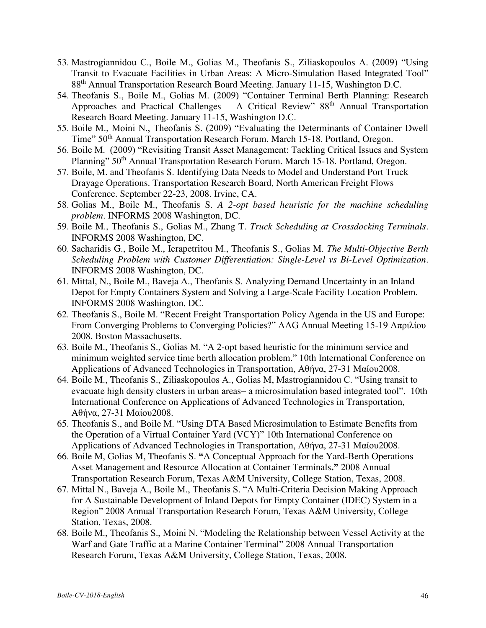- 53. Mastrogiannidou C., Boile M., Golias M., Theofanis S., Ziliaskopoulos A. (2009) "Using Transit to Evacuate Facilities in Urban Areas: A Micro-Simulation Based Integrated Tool" 88th Annual Transportation Research Board Meeting. January 11-15, Washington D.C.
- 54. Theofanis S., Boile M., Golias M. (2009) "Container Terminal Berth Planning: Research Approaches and Practical Challenges – A Critical Review"  $88<sup>th</sup>$  Annual Transportation Research Board Meeting. January 11-15, Washington D.C.
- 55. Boile M., Moini N., Theofanis S. (2009) "Evaluating the Determinants of Container Dwell Time" 50th Annual Transportation Research Forum. March 15-18. Portland, Oregon.
- 56. Boile M. (2009) "Revisiting Transit Asset Management: Tackling Critical Issues and System Planning" 50<sup>th</sup> Annual Transportation Research Forum. March 15-18. Portland, Oregon.
- 57. Boile, M. and Theofanis S. Identifying Data Needs to Model and Understand Port Truck Drayage Operations. Transportation Research Board, North American Freight Flows Conference. September 22-23, 2008. Irvine, CA.
- 58. Golias M., Boile M., Theofanis S. *A 2-opt based heuristic for the machine scheduling problem*. INFORMS 2008 Washington, DC.
- 59. Boile M., Theofanis S., Golias M., Zhang T. *Truck Scheduling at Crossdocking Terminals*. INFORMS 2008 Washington, DC.
- 60. Sacharidis G., Boile M., Ierapetritou M., Theofanis S., Golias M. *The Multi-Objective Berth Scheduling Problem with Customer Differentiation: Single-Level vs Bi-Level Optimization*. INFORMS 2008 Washington, DC.
- 61. Mittal, N., Boile M., Baveja A., Theofanis S. Analyzing Demand Uncertainty in an Inland Depot for Empty Containers System and Solving a Large-Scale Facility Location Problem. INFORMS 2008 Washington, DC.
- 62. Theofanis S., Boile M. "Recent Freight Transportation Policy Agenda in the US and Europe: From Converging Problems to Converging Policies?" AAG Annual Meeting 15-19 Απριλίου 2008. Boston Massachusetts.
- 63. Boile M., Theofanis S., Golias M. "A 2-opt based heuristic for the minimum service and minimum weighted service time berth allocation problem." 10th International Conference on Applications of Advanced Technologies in Transportation, Αθήνα, 27-31 Μαίου2008.
- 64. Boile M., Theofanis S., Ziliaskopoulos A., Golias M, Mastrogiannidou C. "Using transit to evacuate high density clusters in urban areas– a microsimulation based integrated tool". 10th International Conference on Applications of Advanced Technologies in Transportation, Αθήνα, 27-31 Μαίου2008.
- 65. Theofanis S., and Boile M. "Using DTA Based Microsimulation to Estimate Benefits from the Operation of a Virtual Container Yard (VCY)" 10th International Conference on Applications of Advanced Technologies in Transportation, Αθήνα, 27-31 Μαίου2008.
- 66. Boile M, Golias M, Theofanis S. **"**A Conceptual Approach for the Yard-Berth Operations Asset Management and Resource Allocation at Container Terminals**."** 2008 Annual Transportation Research Forum, Texas A&M University, College Station, Texas, 2008.
- 67. Mittal N., Baveja A., Boile M., Theofanis S. "A Multi-Criteria Decision Making Approach for A Sustainable Development of Inland Depots for Empty Container (IDEC) System in a Region" 2008 Annual Transportation Research Forum, Texas A&M University, College Station, Texas, 2008.
- 68. Boile M., Theofanis S., Moini N. "Modeling the Relationship between Vessel Activity at the Warf and Gate Traffic at a Marine Container Terminal" 2008 Annual Transportation Research Forum, Texas A&M University, College Station, Texas, 2008.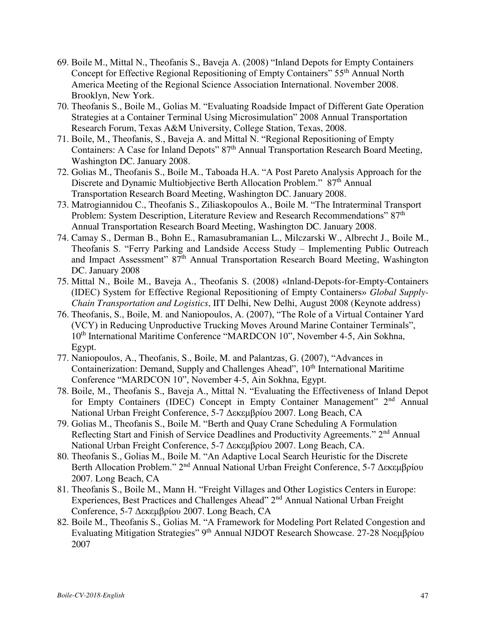- 69. Boile M., Mittal N., Theofanis S., Baveja A. (2008) "Inland Depots for Empty Containers Concept for Effective Regional Repositioning of Empty Containers" 55<sup>th</sup> Annual North America Meeting of the Regional Science Association International. November 2008. Brooklyn, New York.
- 70. Theofanis S., Boile M., Golias M. "Evaluating Roadside Impact of Different Gate Operation Strategies at a Container Terminal Using Microsimulation" 2008 Annual Transportation Research Forum, Texas A&M University, College Station, Texas, 2008.
- 71. Boile, M., Theofanis, S., Baveja A. and Mittal N. "Regional Repositioning of Empty Containers: A Case for Inland Depots" 87<sup>th</sup> Annual Transportation Research Board Meeting, Washington DC. January 2008.
- 72. Golias M., Theofanis S., Boile M., Taboada H.A. "A Post Pareto Analysis Approach for the Discrete and Dynamic Multiobjective Berth Allocation Problem." 87<sup>th</sup> Annual Transportation Research Board Meeting, Washington DC. January 2008.
- 73. Matrogiannidou C., Theofanis S., Ziliaskopoulos A., Boile M. "The Intraterminal Transport Problem: System Description, Literature Review and Research Recommendations" 87<sup>th</sup> Annual Transportation Research Board Meeting, Washington DC. January 2008.
- 74. Camay S., Derman B., Bohn E., Ramasubramanian L., Milczarski W., Albrecht J., Boile M., Theofanis S. "Ferry Parking and Landside Access Study – Implementing Public Outreach and Impact Assessment" 87<sup>th</sup> Annual Transportation Research Board Meeting, Washington DC. January 2008
- 75. Mittal N., Boile M., Baveja A., Theofanis S. (2008) «Inland-Depots-for-Empty-Containers (IDEC) System for Effective Regional Repositioning of Empty Containers» *Global Supply-Chain Transportation and Logistics*, IIT Delhi, New Delhi, August 2008 (Keynote address)
- 76. Theofanis, S., Boile, M. and Naniopoulos, A. (2007), "The Role of a Virtual Container Yard (VCY) in Reducing Unproductive Trucking Moves Around Marine Container Terminals", 10<sup>th</sup> International Maritime Conference "MARDCON 10", November 4-5, Ain Sokhna, Egypt.
- 77. Naniopoulos, A., Theofanis, S., Boile, M. and Palantzas, G. (2007), "Advances in Containerization: Demand, Supply and Challenges Ahead", 10<sup>th</sup> International Maritime Conference "MARDCON 10", November 4-5, Ain Sokhna, Egypt.
- 78. Boile, M., Theofanis S., Baveja A., Mittal N. "Evaluating the Effectiveness of Inland Depot for Empty Containers (IDEC) Concept in Empty Container Management" 2<sup>nd</sup> Annual National Urban Freight Conference, 5-7 Δεκεμβρίου 2007. Long Beach, CA
- 79. Golias M., Theofanis S., Boile M. "Berth and Quay Crane Scheduling A Formulation Reflecting Start and Finish of Service Deadlines and Productivity Agreements." 2<sup>nd</sup> Annual National Urban Freight Conference, 5-7 Δεκεμβρίου 2007. Long Beach, CA.
- 80. Theofanis S., Golias M., Boile M. "An Adaptive Local Search Heuristic for the Discrete Berth Allocation Problem." 2nd Annual National Urban Freight Conference, 5-7 Δεκεμβρίου 2007. Long Beach, CA
- 81. Theofanis S., Boile M., Mann H. "Freight Villages and Other Logistics Centers in Europe: Experiences, Best Practices and Challenges Ahead" 2<sup>nd</sup> Annual National Urban Freight Conference, 5-7 Δεκεμβρίου 2007. Long Beach, CA
- 82. Boile M., Theofanis S., Golias M. "A Framework for Modeling Port Related Congestion and Evaluating Mitigation Strategies" 9th Annual NJDOT Research Showcase. 27-28 Νοεμβρίου 2007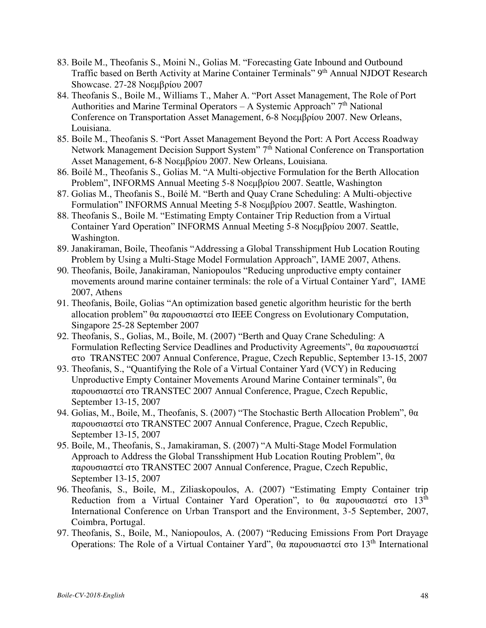- 83. Boile M., Theofanis S., Moini N., Golias M. "Forecasting Gate Inbound and Outbound Traffic based on Berth Activity at Marine Container Terminals" 9<sup>th</sup> Annual NJDOT Research Showcase. 27-28 Νοεμβρίου 2007
- 84. Theofanis S., Boile M., Williams T., Maher A. "Port Asset Management, The Role of Port Authorities and Marine Terminal Operators – A Systemic Approach"  $7<sup>th</sup>$  National Conference on Transportation Asset Management, 6-8 Νοεμβρίου 2007. New Orleans, Louisiana.
- 85. Boile M., Theofanis S. "Port Asset Management Beyond the Port: A Port Access Roadway Network Management Decision Support System" 7<sup>th</sup> National Conference on Transportation Asset Management, 6-8 Νοεμβρίου 2007. New Orleans, Louisiana.
- 86. Boilé M., Theofanis S., Golias M. "A Multi-objective Formulation for the Berth Allocation Problem", INFORMS Annual Meeting 5-8 Νοεμβρίου 2007. Seattle, Washington
- 87. Golias M., Theofanis S., Boilé M. "Berth and Quay Crane Scheduling: A Multi-objective Formulation" INFORMS Annual Meeting 5-8 Νοεμβρίου 2007. Seattle, Washington.
- 88. Theofanis S., Boile M. "Estimating Empty Container Trip Reduction from a Virtual Container Yard Operation" INFORMS Annual Meeting 5-8 Νοεμβρίου 2007. Seattle, Washington.
- 89. Janakiraman, Boile, Theofanis "Addressing a Global Transshipment Hub Location Routing Problem by Using a Multi-Stage Model Formulation Approach", IAME 2007, Athens.
- 90. Theofanis, Boile, Janakiraman, Naniopoulos "Reducing unproductive empty container movements around marine container terminals: the role of a Virtual Container Yard", IAME 2007, Athens
- 91. Theofanis, Boile, Golias "An optimization based genetic algorithm heuristic for the berth allocation problem" θα παρουσιαστεί στο IEEE Congress on Evolutionary Computation, Singapore 25-28 September 2007
- 92. Theofanis, S., Golias, M., Boile, M. (2007) "Berth and Quay Crane Scheduling: A Formulation Reflecting Service Deadlines and Productivity Agreements", θα παρουσιαστεί στο TRANSTEC 2007 Annual Conference, Prague, Czech Republic, September 13-15, 2007
- 93. Theofanis, S., "Quantifying the Role of a Virtual Container Yard (VCY) in Reducing Unproductive Empty Container Movements Around Marine Container terminals", θα παρουσιαστεί στο TRANSTEC 2007 Annual Conference, Prague, Czech Republic, September 13-15, 2007
- 94. Golias, M., Boile, M., Theofanis, S. (2007) "The Stochastic Berth Allocation Problem", θα παρουσιαστεί στο TRANSTEC 2007 Annual Conference, Prague, Czech Republic, September 13-15, 2007
- 95. Boile, M., Theofanis, S., Jamakiraman, S. (2007) "A Multi-Stage Model Formulation Approach to Address the Global Transshipment Hub Location Routing Problem", θα παρουσιαστεί στο TRANSTEC 2007 Annual Conference, Prague, Czech Republic, September 13-15, 2007
- 96. Theofanis, S., Boile, M., Ziliaskopoulos, A. (2007) "Estimating Empty Container trip Reduction from a Virtual Container Yard Operation", to θα παρουσιαστεί στο 13<sup>th</sup> International Conference on Urban Transport and the Environment, 3-5 September, 2007, Coimbra, Portugal.
- 97. Theofanis, S., Boile, M., Naniopoulos, A. (2007) "Reducing Emissions From Port Drayage Operations: The Role of a Virtual Container Yard", θα παρουσιαστεί στο 13<sup>th</sup> International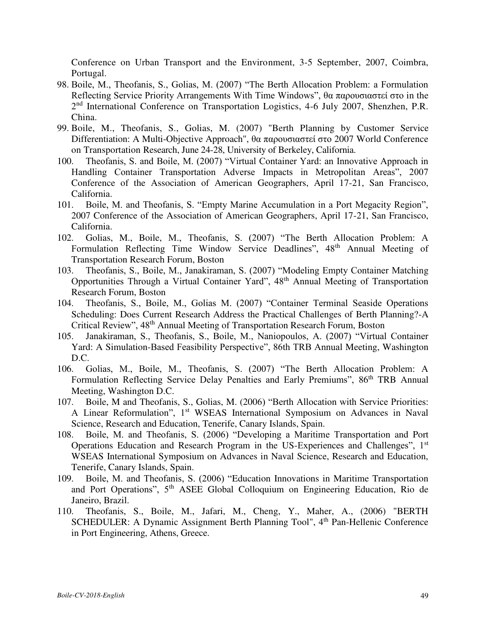Conference on Urban Transport and the Environment, 3-5 September, 2007, Coimbra, Portugal.

- 98. Boile, M., Theofanis, S., Golias, M. (2007) "The Berth Allocation Problem: a Formulation Reflecting Service Priority Arrangements With Time Windows", θα παρουσιαστεί στο in the 2<sup>nd</sup> International Conference on Transportation Logistics, 4-6 July 2007, Shenzhen, P.R. China.
- 99. Boile, M., Theofanis, S., Golias, M. (2007) "Berth Planning by Customer Service Differentiation: A Multi-Objective Approach", θα παρουσιαστεί στο 2007 World Conference on Transportation Research, June 24-28, University of Berkeley, California.
- 100. Theofanis, S. and Boile, M. (2007) "Virtual Container Yard: an Innovative Approach in Handling Container Transportation Adverse Impacts in Metropolitan Areas", 2007 Conference of the Association of American Geographers, April 17-21, San Francisco, California.
- 101. Boile, M. and Theofanis, S. "Empty Marine Accumulation in a Port Megacity Region", 2007 Conference of the Association of American Geographers, April 17-21, San Francisco, California.
- 102. Golias, M., Boile, M., Theofanis, S. (2007) "The Berth Allocation Problem: A Formulation Reflecting Time Window Service Deadlines", 48<sup>th</sup> Annual Meeting of Transportation Research Forum, Boston
- 103. Theofanis, S., Boile, M., Janakiraman, S. (2007) "Modeling Empty Container Matching Opportunities Through a Virtual Container Yard", 48<sup>th</sup> Annual Meeting of Transportation Research Forum, Boston
- 104. Theofanis, S., Boile, M., Golias M. (2007) "Container Terminal Seaside Operations Scheduling: Does Current Research Address the Practical Challenges of Berth Planning?-A Critical Review", 48th Annual Meeting of Transportation Research Forum, Boston
- 105. Janakiraman, S., Theofanis, S., Boile, M., Naniopoulos, A. (2007) "Virtual Container Yard: A Simulation-Based Feasibility Perspective", 86th TRB Annual Meeting, Washington D.C.
- 106. Golias, M., Boile, M., Theofanis, S. (2007) "The Berth Allocation Problem: A Formulation Reflecting Service Delay Penalties and Early Premiums", 86<sup>th</sup> TRB Annual Meeting, Washington D.C.
- 107. Boile, M and Theofanis, S., Golias, M. (2006) "Berth Allocation with Service Priorities: A Linear Reformulation", 1<sup>st</sup> WSEAS International Symposium on Advances in Naval Science, Research and Education, Tenerife, Canary Islands, Spain.
- 108. Boile, M. and Theofanis, S. (2006) "Developing a Maritime Transportation and Port Operations Education and Research Program in the US-Experiences and Challenges", 1<sup>st</sup> WSEAS International Symposium on Advances in Naval Science, Research and Education, Tenerife, Canary Islands, Spain.
- 109. Boile, M. and Theofanis, S. (2006) "Education Innovations in Maritime Transportation and Port Operations", 5th ASEE Global Colloquium on Engineering Education, Rio de Janeiro, Brazil.
- 110. Theofanis, S., Boile, M., Jafari, M., Cheng, Y., Maher, A., (2006) "BERTH SCHEDULER: A Dynamic Assignment Berth Planning Tool", 4<sup>th</sup> Pan-Hellenic Conference in Port Engineering, Athens, Greece.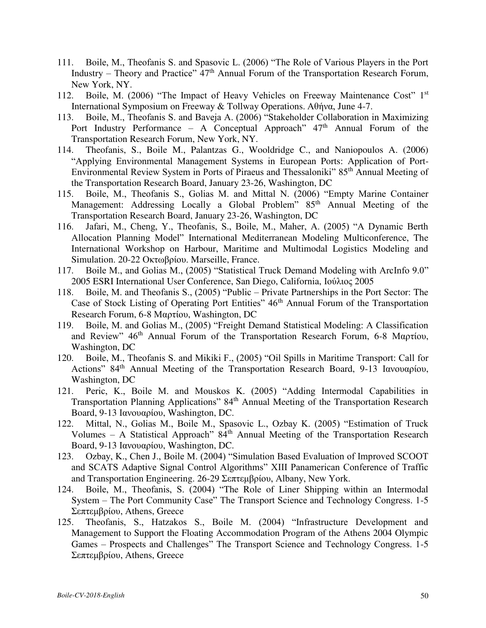- 111. Boile, M., Theofanis S. and Spasovic L. (2006) "The Role of Various Players in the Port Industry – Theory and Practice"  $47<sup>th</sup>$  Annual Forum of the Transportation Research Forum, New York, NY.
- 112. Boile, M. (2006) "The Impact of Heavy Vehicles on Freeway Maintenance Cost" 1st International Symposium on Freeway & Tollway Operations. Αθήνα, June 4-7.
- 113. Boile, M., Theofanis S. and Baveja A. (2006) "Stakeholder Collaboration in Maximizing Port Industry Performance – A Conceptual Approach"  $47<sup>th</sup>$  Annual Forum of the Transportation Research Forum, New York, NY.
- 114. Theofanis, S., Boile M., Palantzas G., Wooldridge C., and Naniopoulos A. (2006) "Applying Environmental Management Systems in European Ports: Application of Port-Environmental Review System in Ports of Piraeus and Thessaloniki" 85th Annual Meeting of the Transportation Research Board, January 23-26, Washington, DC
- 115. Boile, M., Theofanis S., Golias M. and Mittal N. (2006) "Empty Marine Container Management: Addressing Locally a Global Problem" 85<sup>th</sup> Annual Meeting of the Transportation Research Board, January 23-26, Washington, DC
- 116. Jafari, M., Cheng, Y., Theofanis, S., Boile, M., Maher, A. (2005) "A Dynamic Berth Allocation Planning Model" International Mediterranean Modeling Multiconference, The International Workshop on Harbour, Maritime and Multimodal Logistics Modeling and Simulation. 20-22 Οκτωβρίου. Marseille, France.
- 117. Boile M., and Golias M., (2005) "Statistical Truck Demand Modeling with ArcInfo 9.0" 2005 ESRI International User Conference, San Diego, California, Ιούλιος 2005
- 118. Boile, M. and Theofanis S., (2005) "Public Private Partnerships in the Port Sector: The Case of Stock Listing of Operating Port Entities" 46<sup>th</sup> Annual Forum of the Transportation Research Forum, 6-8 Μαρτίου, Washington, DC
- 119. Boile, M. and Golias M., (2005) "Freight Demand Statistical Modeling: A Classification and Review" 46<sup>th</sup> Annual Forum of the Transportation Research Forum, 6-8 Μαρτίου, Washington, DC
- 120. Boile, M., Theofanis S. and Mikiki F., (2005) "Oil Spills in Maritime Transport: Call for Actions" 84th Annual Meeting of the Transportation Research Board, 9-13 Ιανουαρίου, Washington, DC
- 121. Peric, K., Boile M. and Mouskos K. (2005) "Adding Intermodal Capabilities in Transportation Planning Applications" 84<sup>th</sup> Annual Meeting of the Transportation Research Board, 9-13 Ιανουαρίου, Washington, DC.
- 122. Mittal, N., Golias M., Boile M., Spasovic L., Ozbay K. (2005) "Estimation of Truck Volumes – A Statistical Approach"  $84<sup>th</sup>$  Annual Meeting of the Transportation Research Board, 9-13 Ιανουαρίου, Washington, DC.
- 123. Ozbay, K., Chen J., Boile M. (2004) "Simulation Based Evaluation of Improved SCOOT and SCATS Adaptive Signal Control Algorithms" XIII Panamerican Conference of Traffic and Transportation Engineering. 26-29 Σεπτεμβρίου, Albany, New York.
- 124. Boile, M., Theofanis, S. (2004) "The Role of Liner Shipping within an Intermodal System – The Port Community Case" The Transport Science and Technology Congress. 1-5 Σεπτεμβρίου, Athens, Greece
- 125. Theofanis, S., Hatzakos S., Boile M. (2004) "Infrastructure Development and Management to Support the Floating Accommodation Program of the Athens 2004 Olympic Games – Prospects and Challenges" The Transport Science and Technology Congress. 1-5 Σεπτεμβρίου, Athens, Greece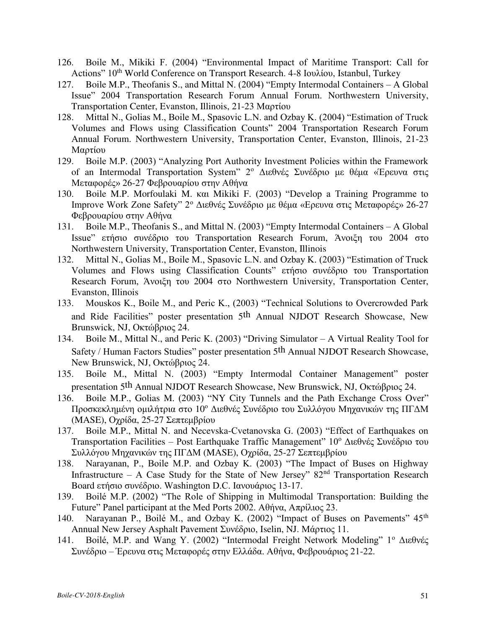- 126. Boile M., Mikiki F. (2004) "Environmental Impact of Maritime Transport: Call for Actions" 10<sup>th</sup> World Conference on Transport Research. 4-8 Ιουλίου, Istanbul, Turkey
- 127. Boile M.P., Theofanis S., and Mittal N. (2004) "Empty Intermodal Containers A Global Issue" 2004 Transportation Research Forum Annual Forum. Northwestern University, Transportation Center, Evanston, Illinois, 21-23 Μαρτίου
- 128. Mittal N., Golias M., Boile M., Spasovic L.N. and Ozbay K. (2004) "Estimation of Truck Volumes and Flows using Classification Counts" 2004 Transportation Research Forum Annual Forum. Northwestern University, Transportation Center, Evanston, Illinois, 21-23 Mαρτίου
- 129. Boile M.P. (2003) "Analyzing Port Authority Investment Policies within the Framework of an Intermodal Transportation System" 2<sup>ο</sup> Διεθνές Συνέδριο με θέμα «Έρευνα στις Μεταφορές» 26-27 Φεβρουαρίου στην Αθήνα
- 130. Boile M.P. Morfoulaki M. και Mikiki F. (2003) "Develop a Training Programme to Improve Work Zone Safety" 2<sup>ο</sup> Διεθνές Συνέδριο με θέμα «Ερευνα στις Μεταφορές» 26-27 Φεβρουαρίου στην Αθήνα
- 131. Boile M.P., Theofanis S., and Mittal N. (2003) "Empty Intermodal Containers A Global Issue" ετήσιο συνέδριο του Transportation Research Forum, Άνοιξη του 2004 στο Northwestern University, Transportation Center, Evanston, Illinois
- 132. Mittal N., Golias M., Boile M., Spasovic L.N. and Ozbay K. (2003) "Estimation of Truck Volumes and Flows using Classification Counts" ετήσιο συνέδριο του Transportation Research Forum, Άνοιξη του 2004 στο Northwestern University, Transportation Center, Evanston, Illinois
- 133. Mouskos K., Boile M., and Peric K., (2003) "Technical Solutions to Overcrowded Park and Ride Facilities" poster presentation 5th Annual NJDOT Research Showcase, New Brunswick, NJ, Οκτώβριος 24.
- 134. Boile M., Mittal N., and Peric K. (2003) "Driving Simulator A Virtual Reality Tool for Safety / Human Factors Studies" poster presentation 5th Annual NJDOT Research Showcase, New Brunswick, NJ, Οκτώβριος 24.
- 135. Boile M., Mittal N. (2003) "Empty Intermodal Container Management" poster presentation 5th Annual NJDOT Research Showcase, New Brunswick, NJ, Οκτώβριος 24.
- 136. Boile M.P., Golias M. (2003) "NY City Tunnels and the Path Exchange Cross Over" Προσκεκλημένη ομιλήτρια στο 10<sup>ο</sup> Διεθνές Συνέδριο του Συλλόγου Μηχανικών της ΠΓΔΜ (MASE), Οχρίδα, 25-27 Σεπτεμβρίου
- 137. Boile M.P., Mittal N. and Necevska-Cvetanovska G. (2003) "Effect of Earthquakes on Transportation Facilities – Post Earthquake Traffic Management" 10<sup>°</sup> Διεθνές Συνέδριο του Συλλόγου Μηχανικών της ΠΓΔΜ (MASE), Οχρίδα, 25-27 Σεπτεμβρίου
- 138. Narayanan, P., Boile M.P. and Ozbay K. (2003) "The Impact of Buses on Highway Infrastructure – A Case Study for the State of New Jersey"  $82<sup>nd</sup>$  Transportation Research Board ετήσιο συνέδριο. Washington D.C. Ιανουάριος 13-17.
- 139. Boilé M.P. (2002) "The Role of Shipping in Multimodal Transportation: Building the Future" Panel participant at the Med Ports 2002. Αθήνα, Απρίλιος 23.
- 140. Narayanan P., Boilé M., and Ozbay K. (2002) "Impact of Buses on Pavements" 45th Annual New Jersey Asphalt Pavement Συνέδριο, Iselin, NJ. Mάρτιος 11.
- 141. Boilé, M.P. and Wang Y. (2002) "Intermodal Freight Network Modeling" 1<sup>°</sup> Διεθνές Συνέδριο – Έρευνα στις Μεταφορές στην Ελλάδα. Αθήνα, Φεβρουάριος 21-22.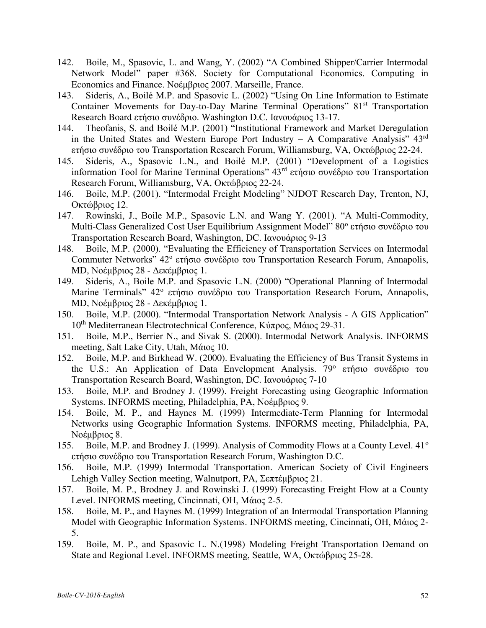- 142. Boile, M., Spasovic, L. and Wang, Y. (2002) "A Combined Shipper/Carrier Intermodal Network Model" paper #368. Society for Computational Economics. Computing in Economics and Finance. Νοέμβριος 2007. Marseille, France.
- 143. Sideris, A., Boilé M.P. and Spasovic L. (2002) "Using On Line Information to Estimate Container Movements for Day-to-Day Marine Terminal Operations" 81<sup>st</sup> Transportation Research Board ετήσιο συνέδριο. Washington D.C. Ιανουάριος 13-17.
- 144. Theofanis, S. and Boilé M.P. (2001) "Institutional Framework and Market Deregulation in the United States and Western Europe Port Industry  $-$  A Comparative Analysis"  $43<sup>rd</sup>$ ετήσιο συνέδριο του Transportation Research Forum, Williamsburg, VA, Οκτώβριος 22-24.
- 145. Sideris, A., Spasovic L.N., and Boilé M.P. (2001) "Development of a Logistics information Tool for Marine Terminal Operations" 43rd ετήσιο συνέδριο του Transportation Research Forum, Williamsburg, VA, Οκτώβριος 22-24.
- 146. Boile, M.P. (2001). "Intermodal Freight Modeling" NJDOT Research Day, Trenton, NJ, Οκτώβριος 12.
- 147. Rowinski, J., Boile M.P., Spasovic L.N. and Wang Y. (2001). "A Multi-Commodity, Multi-Class Generalized Cost User Equilibrium Assignment Model" 80° ετήσιο συνέδριο του Transportation Research Board, Washington, DC. Ιανουάριος 9-13
- 148. Boile, M.P. (2000). "Evaluating the Efficiency of Transportation Services on Intermodal Commuter Networks" 42° ετήσιο συνέδριο του Transportation Research Forum, Annapolis, MD, Νοέμβριος 28 - Δεκέμβριος 1.
- 149. Sideris, A., Boile M.P. and Spasovic L.N. (2000) "Operational Planning of Intermodal Marine Terminals" 42° ετήσιο συνέδριο του Transportation Research Forum, Annapolis, MD, Νοέμβριος 28 - Δεκέμβριος 1.
- 150. Boile, M.P. (2000). "Intermodal Transportation Network Analysis A GIS Application" 10th Mediterranean Electrotechnical Conference, Κύπρος, Mάιος 29-31.
- 151. Boile, M.P., Berrier N., and Sivak S. (2000). Intermodal Network Analysis. INFORMS meeting, Salt Lake City, Utah, Μάιος 10.
- 152. Boile, M.P. and Birkhead W. (2000). Evaluating the Efficiency of Bus Transit Systems in the U.S.: An Application of Data Envelopment Analysis. 79<sup>°</sup> ετήσιο συνέδριο του Transportation Research Board, Washington, DC. Ιανουάριος 7-10
- 153. Boile, M.P. and Brodney J. (1999). Freight Forecasting using Geographic Information Systems. INFORMS meeting, Philadelphia, PA, Νοέμβριος 9.
- 154. Boile, M. P., and Haynes M. (1999) Intermediate-Term Planning for Intermodal Networks using Geographic Information Systems. INFORMS meeting, Philadelphia, PA, Noέμβριος 8.
- 155. Boile, M.P. and Brodney J. (1999). Analysis of Commodity Flows at a County Level. 41<sup>o</sup> ετήσιο συνέδριο του Transportation Research Forum, Washington D.C.
- 156. Boile, M.P. (1999) Intermodal Transportation. American Society of Civil Engineers Lehigh Valley Section meeting, Walnutport, PA, Σεπτέμβριος 21.
- 157. Boile, M. P., Brodney J. and Rowinski J. (1999) Forecasting Freight Flow at a County Level. INFORMS meeting, Cincinnati, OH, Mάιος 2-5.
- 158. Boile, M. P., and Haynes M. (1999) Integration of an Intermodal Transportation Planning Model with Geographic Information Systems. INFORMS meeting, Cincinnati, OH, Μάιος 2- 5.
- 159. Boile, M. P., and Spasovic L. N.(1998) Modeling Freight Transportation Demand on State and Regional Level. INFORMS meeting, Seattle, WA, Οκτώβριος 25-28.